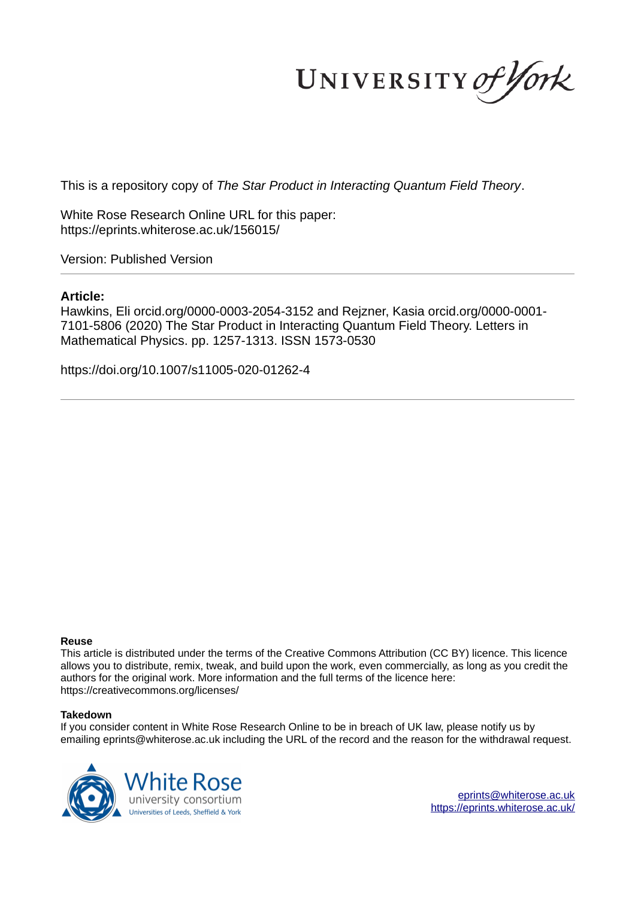UNIVERSITY of York

This is a repository copy of *The Star Product in Interacting Quantum Field Theory*.

White Rose Research Online URL for this paper: https://eprints.whiterose.ac.uk/156015/

Version: Published Version

# **Article:**

Hawkins, Eli orcid.org/0000-0003-2054-3152 and Rejzner, Kasia orcid.org/0000-0001- 7101-5806 (2020) The Star Product in Interacting Quantum Field Theory. Letters in Mathematical Physics. pp. 1257-1313. ISSN 1573-0530

https://doi.org/10.1007/s11005-020-01262-4

## **Reuse**

This article is distributed under the terms of the Creative Commons Attribution (CC BY) licence. This licence allows you to distribute, remix, tweak, and build upon the work, even commercially, as long as you credit the authors for the original work. More information and the full terms of the licence here: https://creativecommons.org/licenses/

## **Takedown**

If you consider content in White Rose Research Online to be in breach of UK law, please notify us by emailing eprints@whiterose.ac.uk including the URL of the record and the reason for the withdrawal request.

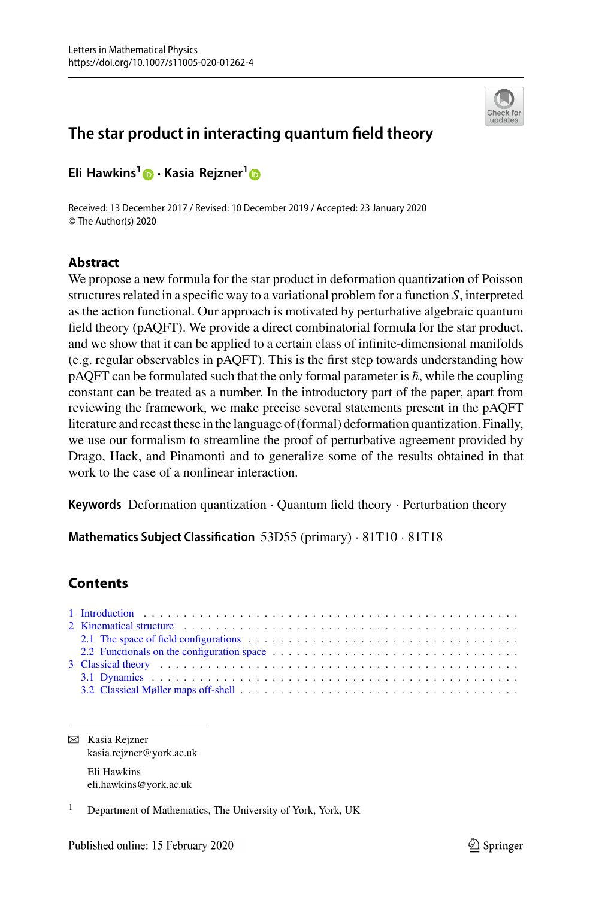

# **The star product in interacting quantum field theory**

**Eli Hawkins[1](http://orcid.org/0000-0003-2054-3152)** · **Kasia Rejzner[1](http://orcid.org/0000-0001-7101-5806)**

Received: 13 December 2017 / Revised: 10 December 2019 / Accepted: 23 January 2020 © The Author(s) 2020

### **Abstract**

We propose a new formula for the star product in deformation quantization of Poisson structures related in a specific way to a variational problem for a function *S*, interpreted as the action functional. Our approach is motivated by perturbative algebraic quantum field theory (pAQFT). We provide a direct combinatorial formula for the star product, and we show that it can be applied to a certain class of infinite-dimensional manifolds (e.g. regular observables in pAQFT). This is the first step towards understanding how pAQFT can be formulated such that the only formal parameter is  $\hbar,$  while the coupling constant can be treated as a number. In the introductory part of the paper, apart from reviewing the framework, we make precise several statements present in the pAQFT literature and recast these in the language of (formal) deformation quantization. Finally, we use our formalism to streamline the proof of perturbative agreement provided by Drago, Hack, and Pinamonti and to generalize some of the results obtained in that work to the case of a nonlinear interaction.

**Keywords** Deformation quantization · Quantum field theory · Perturbation theory

**Mathematics Subject Classification** 53D55 (primary) · 81T10 · 81T18

## **Contents**

| 2 Kinematical structure expansion of the state of the state of the state of the state of the state of the state of the state of the state of the state of the state of the state of the state of the state of the state of the |
|--------------------------------------------------------------------------------------------------------------------------------------------------------------------------------------------------------------------------------|
| 2.1 The space of field configurations entertainment and the space of field configurations entertainment and the space of field configurations entertainment and the space of field configurations.                             |
|                                                                                                                                                                                                                                |
|                                                                                                                                                                                                                                |
|                                                                                                                                                                                                                                |
|                                                                                                                                                                                                                                |

B Kasia Rejzner kasia.rejzner@york.ac.uk Eli Hawkins eli.hawkins@york.ac.uk

<sup>&</sup>lt;sup>1</sup> Department of Mathematics, The University of York, York, UK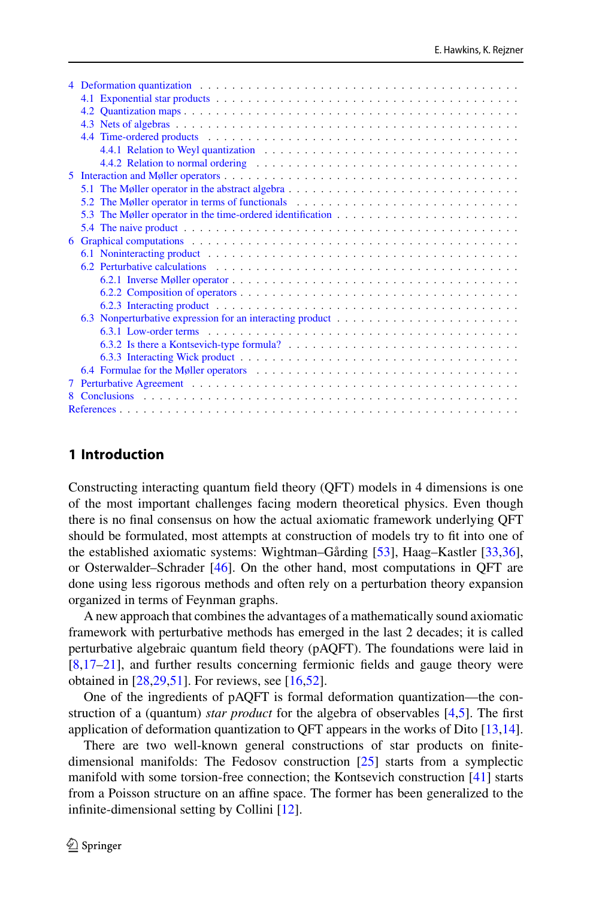|    | Deformation quantization enterprise in the contract of the contract of the contract of the contract of the contract of the contract of the contract of the contract of the contract of the contract of the contract of the con |  |  |  |  |  |  |  |  |
|----|--------------------------------------------------------------------------------------------------------------------------------------------------------------------------------------------------------------------------------|--|--|--|--|--|--|--|--|
|    |                                                                                                                                                                                                                                |  |  |  |  |  |  |  |  |
|    |                                                                                                                                                                                                                                |  |  |  |  |  |  |  |  |
|    |                                                                                                                                                                                                                                |  |  |  |  |  |  |  |  |
|    |                                                                                                                                                                                                                                |  |  |  |  |  |  |  |  |
|    |                                                                                                                                                                                                                                |  |  |  |  |  |  |  |  |
|    |                                                                                                                                                                                                                                |  |  |  |  |  |  |  |  |
| 5. |                                                                                                                                                                                                                                |  |  |  |  |  |  |  |  |
|    |                                                                                                                                                                                                                                |  |  |  |  |  |  |  |  |
|    | 5.2 The Møller operator in terms of functionals                                                                                                                                                                                |  |  |  |  |  |  |  |  |
|    |                                                                                                                                                                                                                                |  |  |  |  |  |  |  |  |
|    |                                                                                                                                                                                                                                |  |  |  |  |  |  |  |  |
| 6  | Graphical computations et al., and a series of the series of the series of the series of the series of the series of the series of the series of the series of the series of the series of the series of the series of the ser |  |  |  |  |  |  |  |  |
|    |                                                                                                                                                                                                                                |  |  |  |  |  |  |  |  |
|    | 6.2 Perturbative calculations experience in the contract of the contract of the contract of the contract of the contract of the contract of the contract of the contract of the contract of the contract of the contract of th |  |  |  |  |  |  |  |  |
|    |                                                                                                                                                                                                                                |  |  |  |  |  |  |  |  |
|    |                                                                                                                                                                                                                                |  |  |  |  |  |  |  |  |
|    |                                                                                                                                                                                                                                |  |  |  |  |  |  |  |  |
|    |                                                                                                                                                                                                                                |  |  |  |  |  |  |  |  |
|    |                                                                                                                                                                                                                                |  |  |  |  |  |  |  |  |
|    |                                                                                                                                                                                                                                |  |  |  |  |  |  |  |  |
|    |                                                                                                                                                                                                                                |  |  |  |  |  |  |  |  |
|    | 6.4 Formulae for the Møller operators et al., and a series of the Model of the Møller operators et al., and a series of the Møller operators et al., and a series of the Møller operators et al., and a series of the Møller o |  |  |  |  |  |  |  |  |
| 7  |                                                                                                                                                                                                                                |  |  |  |  |  |  |  |  |
|    |                                                                                                                                                                                                                                |  |  |  |  |  |  |  |  |
|    |                                                                                                                                                                                                                                |  |  |  |  |  |  |  |  |

## <span id="page-2-0"></span>**1 Introduction**

Constructing interacting quantum field theory (QFT) models in 4 dimensions is one of the most important challenges facing modern theoretical physics. Even though there is no final consensus on how the actual axiomatic framework underlying QFT should be formulated, most attempts at construction of models try to fit into one of the established axiomatic systems: Wightman–Gårding [\[53](#page-57-0)], Haag–Kastler [\[33](#page-56-0)[,36](#page-56-1)], or Osterwalder–Schrader [\[46\]](#page-57-1). On the other hand, most computations in QFT are done using less rigorous methods and often rely on a perturbation theory expansion organized in terms of Feynman graphs.

A new approach that combines the advantages of a mathematically sound axiomatic framework with perturbative methods has emerged in the last 2 decades; it is called perturbative algebraic quantum field theory (pAQFT). The foundations were laid in [\[8](#page-55-1)[,17](#page-56-2)[–21](#page-56-3)], and further results concerning fermionic fields and gauge theory were obtained in [\[28](#page-56-4)[,29](#page-56-5)[,51\]](#page-57-2). For reviews, see [\[16](#page-56-6)[,52\]](#page-57-3).

One of the ingredients of pAQFT is formal deformation quantization—the construction of a (quantum) *star product* for the algebra of observables [\[4](#page-55-2)[,5\]](#page-55-3). The first application of deformation quantization to QFT appears in the works of Dito [\[13](#page-56-7)[,14](#page-56-8)].

There are two well-known general constructions of star products on finitedimensional manifolds: The Fedosov construction [\[25\]](#page-56-9) starts from a symplectic manifold with some torsion-free connection; the Kontsevich construction [\[41\]](#page-57-4) starts from a Poisson structure on an affine space. The former has been generalized to the infinite-dimensional setting by Collini [\[12](#page-56-10)].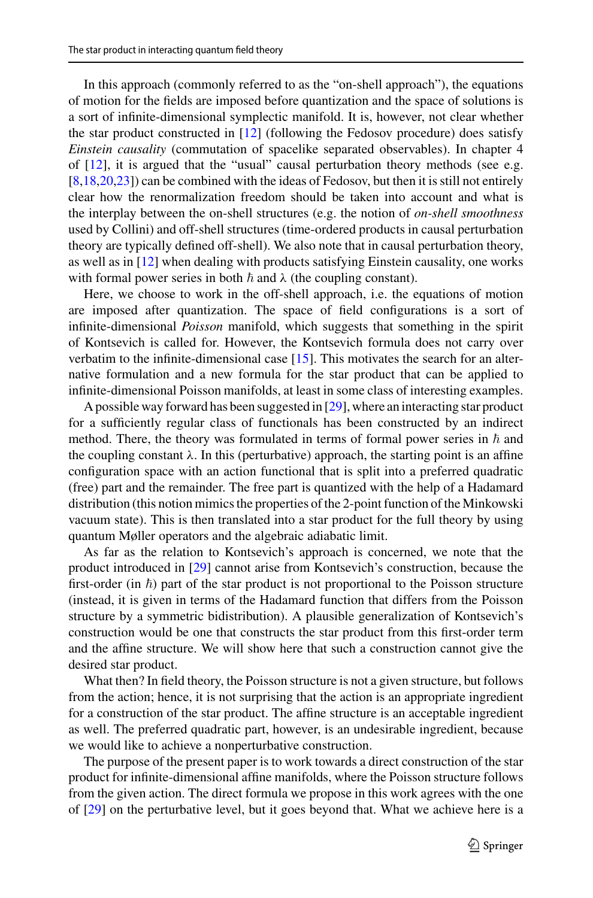In this approach (commonly referred to as the "on-shell approach"), the equations of motion for the fields are imposed before quantization and the space of solutions is a sort of infinite-dimensional symplectic manifold. It is, however, not clear whether the star product constructed in [\[12\]](#page-56-10) (following the Fedosov procedure) does satisfy *Einstein causality* (commutation of spacelike separated observables). In chapter 4 of [\[12](#page-56-10)], it is argued that the "usual" causal perturbation theory methods (see e.g. [\[8](#page-55-1)[,18](#page-56-11)[,20](#page-56-12)[,23](#page-56-13)]) can be combined with the ideas of Fedosov, but then it is still not entirely clear how the renormalization freedom should be taken into account and what is the interplay between the on-shell structures (e.g. the notion of *on-shell smoothness* used by Collini) and off-shell structures (time-ordered products in causal perturbation theory are typically defined off-shell). We also note that in causal perturbation theory, as well as in [\[12](#page-56-10)] when dealing with products satisfying Einstein causality, one works with formal power series in both  $\hbar$  and  $\lambda$  (the coupling constant).

Here, we choose to work in the off-shell approach, i.e. the equations of motion are imposed after quantization. The space of field configurations is a sort of infinite-dimensional *Poisson* manifold, which suggests that something in the spirit of Kontsevich is called for. However, the Kontsevich formula does not carry over verbatim to the infinite-dimensional case [\[15](#page-56-14)]. This motivates the search for an alternative formulation and a new formula for the star product that can be applied to infinite-dimensional Poisson manifolds, at least in some class of interesting examples.

A possible way forward has been suggested in [\[29\]](#page-56-5), where an interacting star product for a sufficiently regular class of functionals has been constructed by an indirect method. There, the theory was formulated in terms of formal power series in  $\hbar$  and the coupling constant  $\lambda$ . In this (perturbative) approach, the starting point is an affine configuration space with an action functional that is split into a preferred quadratic (free) part and the remainder. The free part is quantized with the help of a Hadamard distribution (this notion mimics the properties of the 2-point function of the Minkowski vacuum state). This is then translated into a star product for the full theory by using quantum Møller operators and the algebraic adiabatic limit.

As far as the relation to Kontsevich's approach is concerned, we note that the product introduced in [\[29](#page-56-5)] cannot arise from Kontsevich's construction, because the first-order (in  $\hbar$ ) part of the star product is not proportional to the Poisson structure (instead, it is given in terms of the Hadamard function that differs from the Poisson structure by a symmetric bidistribution). A plausible generalization of Kontsevich's construction would be one that constructs the star product from this first-order term and the affine structure. We will show here that such a construction cannot give the desired star product.

What then? In field theory, the Poisson structure is not a given structure, but follows from the action; hence, it is not surprising that the action is an appropriate ingredient for a construction of the star product. The affine structure is an acceptable ingredient as well. The preferred quadratic part, however, is an undesirable ingredient, because we would like to achieve a nonperturbative construction.

The purpose of the present paper is to work towards a direct construction of the star product for infinite-dimensional affine manifolds, where the Poisson structure follows from the given action. The direct formula we propose in this work agrees with the one of [\[29](#page-56-5)] on the perturbative level, but it goes beyond that. What we achieve here is a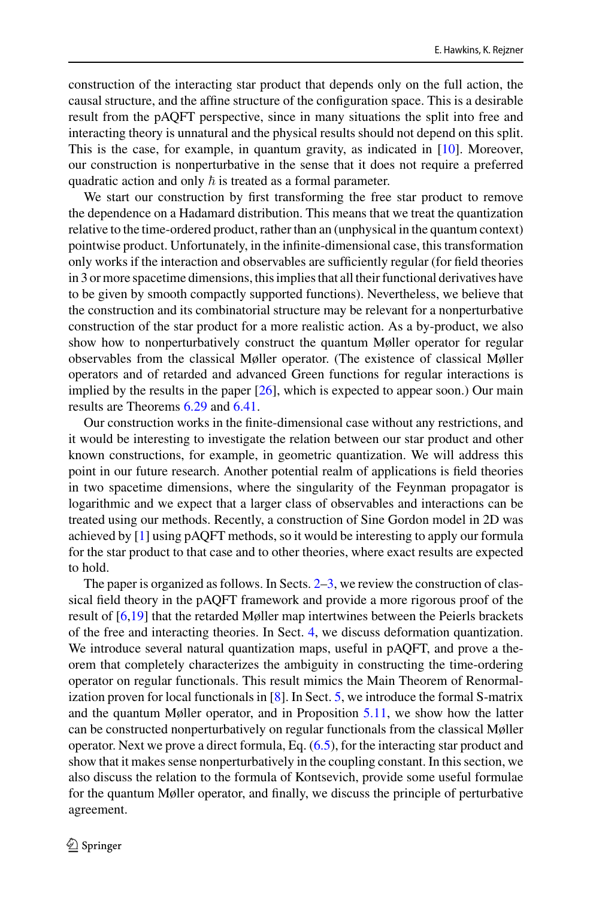construction of the interacting star product that depends only on the full action, the causal structure, and the affine structure of the configuration space. This is a desirable result from the pAQFT perspective, since in many situations the split into free and interacting theory is unnatural and the physical results should not depend on this split. This is the case, for example, in quantum gravity, as indicated in [\[10](#page-56-15)]. Moreover, our construction is nonperturbative in the sense that it does not require a preferred quadratic action and only  $\hbar$  is treated as a formal parameter.

We start our construction by first transforming the free star product to remove the dependence on a Hadamard distribution. This means that we treat the quantization relative to the time-ordered product, rather than an (unphysical in the quantum context) pointwise product. Unfortunately, in the infinite-dimensional case, this transformation only works if the interaction and observables are sufficiently regular (for field theories in 3 or more spacetime dimensions, this implies that all their functional derivatives have to be given by smooth compactly supported functions). Nevertheless, we believe that the construction and its combinatorial structure may be relevant for a nonperturbative construction of the star product for a more realistic action. As a by-product, we also show how to nonperturbatively construct the quantum Møller operator for regular observables from the classical Møller operator. (The existence of classical Møller operators and of retarded and advanced Green functions for regular interactions is implied by the results in the paper  $[26]$ , which is expected to appear soon.) Our main results are Theorems [6.29](#page-41-0) and [6.41.](#page-48-0)

Our construction works in the finite-dimensional case without any restrictions, and it would be interesting to investigate the relation between our star product and other known constructions, for example, in geometric quantization. We will address this point in our future research. Another potential realm of applications is field theories in two spacetime dimensions, where the singularity of the Feynman propagator is logarithmic and we expect that a larger class of observables and interactions can be treated using our methods. Recently, a construction of Sine Gordon model in 2D was achieved by [\[1\]](#page-55-4) using pAQFT methods, so it would be interesting to apply our formula for the star product to that case and to other theories, where exact results are expected to hold.

The paper is organized as follows. In Sects. [2–](#page-5-0)[3,](#page-7-0) we review the construction of classical field theory in the pAQFT framework and provide a more rigorous proof of the result of [\[6](#page-55-5)[,19\]](#page-56-17) that the retarded Møller map intertwines between the Peierls brackets of the free and interacting theories. In Sect. [4,](#page-13-0) we discuss deformation quantization. We introduce several natural quantization maps, useful in pAQFT, and prove a theorem that completely characterizes the ambiguity in constructing the time-ordering operator on regular functionals. This result mimics the Main Theorem of Renormalization proven for local functionals in  $[8]$ . In Sect. [5,](#page-26-0) we introduce the formal S-matrix and the quantum Møller operator, and in Proposition [5.11,](#page-31-0) we show how the latter can be constructed nonperturbatively on regular functionals from the classical Møller operator. Next we prove a direct formula, Eq. [\(6.5\)](#page-41-1), for the interacting star product and show that it makes sense nonperturbatively in the coupling constant. In this section, we also discuss the relation to the formula of Kontsevich, provide some useful formulae for the quantum Møller operator, and finally, we discuss the principle of perturbative agreement.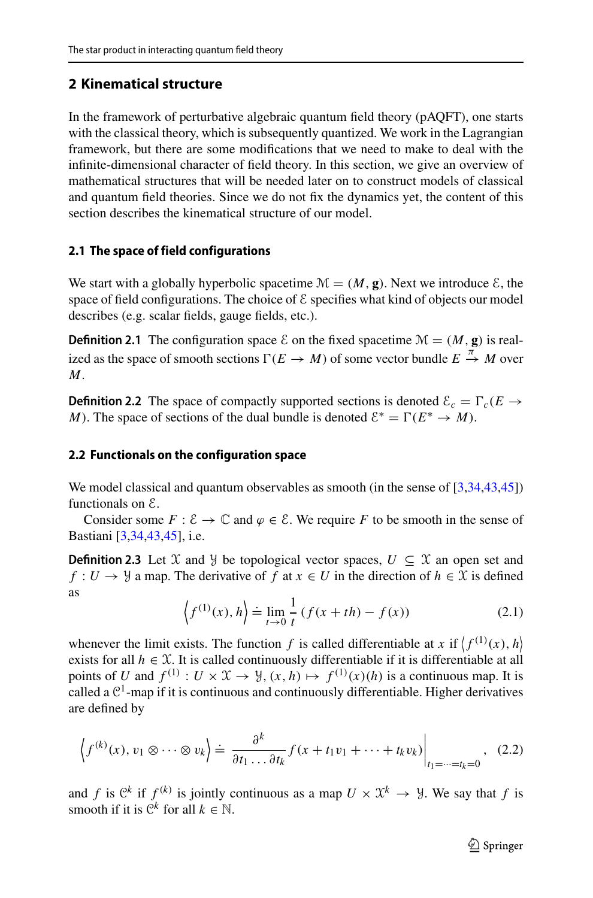## <span id="page-5-0"></span>**2 Kinematical structure**

In the framework of perturbative algebraic quantum field theory (pAQFT), one starts with the classical theory, which is subsequently quantized. We work in the Lagrangian framework, but there are some modifications that we need to make to deal with the infinite-dimensional character of field theory. In this section, we give an overview of mathematical structures that will be needed later on to construct models of classical and quantum field theories. Since we do not fix the dynamics yet, the content of this section describes the kinematical structure of our model.

### <span id="page-5-1"></span>**2.1 The space of field configurations**

We start with a globally hyperbolic spacetime  $\mathcal{M} = (M, g)$ . Next we introduce  $\mathcal{E}$ , the space of field configurations. The choice of  $\mathcal E$  specifies what kind of objects our model describes (e.g. scalar fields, gauge fields, etc.).

**Definition 2.1** The configuration space  $\mathcal{E}$  on the fixed spacetime  $\mathcal{M} = (M, \mathbf{g})$  is realized as the space of smooth sections  $\Gamma(E \to M)$  of some vector bundle  $E \stackrel{\pi}{\to} M$  over *M*.

**Definition 2.2** The space of compactly supported sections is denoted  $\mathcal{E}_c = \Gamma_c(E \rightarrow E)$ *M*). The space of sections of the dual bundle is denoted  $\mathcal{E}^* = \Gamma(E^* \to M)$ .

### <span id="page-5-2"></span>**2.2 Functionals on the configuration space**

We model classical and quantum observables as smooth (in the sense of [\[3](#page-55-6)[,34](#page-56-18)[,43](#page-57-5)[,45](#page-57-6)]) functionals on E.

Consider some  $F : \mathcal{E} \to \mathbb{C}$  and  $\varphi \in \mathcal{E}$ . We require F to be smooth in the sense of Bastiani [\[3](#page-55-6)[,34](#page-56-18)[,43](#page-57-5)[,45\]](#page-57-6), i.e.

**Definition 2.3** Let X and Y be topological vector spaces,  $U \subseteq X$  an open set and  $f: U \to \mathcal{Y}$  a map. The derivative of *f* at  $x \in U$  in the direction of  $h \in \mathcal{X}$  is defined as

$$
\left\langle f^{(1)}(x), h \right\rangle \doteq \lim_{t \to 0} \frac{1}{t} \left( f(x + th) - f(x) \right) \tag{2.1}
$$

whenever the limit exists. The function f is called differentiable at x if  $\langle f^{(1)}(x), h \rangle$ exists for all  $h \in \mathcal{X}$ . It is called continuously differentiable if it is differentiable at all points of *U* and  $f^{(1)}: U \times \mathcal{X} \to \mathcal{Y}$ ,  $(x, h) \mapsto f^{(1)}(x)(h)$  is a continuous map. It is called a  $\mathbb{C}^1$ -map if it is continuous and continuously differentiable. Higher derivatives are defined by

$$
\left\langle f^{(k)}(x), v_1 \otimes \cdots \otimes v_k \right\rangle \doteq \left. \frac{\partial^k}{\partial t_1 \dots \partial t_k} f(x + t_1 v_1 + \cdots + t_k v_k) \right|_{t_1 = \dots = t_k = 0}, \quad (2.2)
$$

and *f* is  $\mathbb{C}^k$  if  $f^{(k)}$  is jointly continuous as a map  $U \times \mathfrak{X}^k \to \mathcal{Y}$ . We say that *f* is smooth if it is  $\mathbb{C}^k$  for all  $k \in \mathbb{N}$ .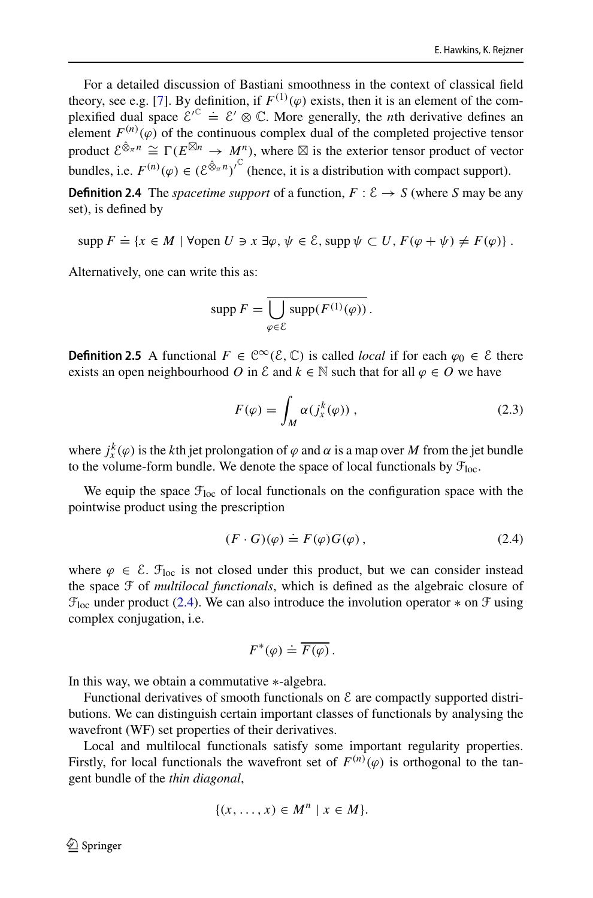For a detailed discussion of Bastiani smoothness in the context of classical field theory, see e.g. [\[7\]](#page-55-7). By definition, if  $F^{(1)}(\varphi)$  exists, then it is an element of the complexified dual space  $\mathcal{E}'^{\mathbb{C}} \doteq \mathcal{E}' \otimes \mathbb{C}$ . More generally, the *n*th derivative defines an element  $F^{(n)}(\varphi)$  of the continuous complex dual of the completed projective tensor product  $\mathcal{E}^{\hat{\otimes}_{\pi}n} \cong \Gamma(E^{\boxtimes n} \to M^n)$ , where  $\boxtimes$  is the exterior tensor product of vector bundles, i.e.  $F^{(n)}(\varphi) \in (\mathcal{E}^{\hat{\otimes}_{\pi}n})^{\mathbb{C}}$  (hence, it is a distribution with compact support).

**Definition 2.4** The *spacetime support* of a function,  $F : \mathcal{E} \to S$  (where *S* may be any set), is defined by

 $\text{supp } F \doteq \{x \in M \mid \forall \text{open } U \ni x \exists \varphi, \psi \in \mathcal{E}, \text{supp } \psi \subset U, F(\varphi + \psi) \neq F(\varphi) \}.$ 

Alternatively, one can write this as:

$$
\operatorname{supp} F = \overline{\bigcup_{\varphi \in \mathcal{E}} \operatorname{supp}(F^{(1)}(\varphi))}.
$$

**Definition 2.5** A functional  $F \in \mathbb{C}^{\infty}(\mathcal{E}, \mathbb{C})$  is called *local* if for each  $\varphi_0 \in \mathcal{E}$  there exists an open neighbourhood *O* in  $\&$  and  $k \in \mathbb{N}$  such that for all  $\varphi \in O$  we have

$$
F(\varphi) = \int_M \alpha(j_x^k(\varphi)), \qquad (2.3)
$$

where  $j_x^k(\varphi)$  is the *k*th jet prolongation of  $\varphi$  and  $\alpha$  is a map over *M* from the jet bundle to the volume-form bundle. We denote the space of local functionals by  $\mathcal{F}_{loc}$ .

We equip the space  $\mathcal{F}_{loc}$  of local functionals on the configuration space with the pointwise product using the prescription

<span id="page-6-0"></span>
$$
(F \cdot G)(\varphi) \doteq F(\varphi)G(\varphi), \qquad (2.4)
$$

where  $\varphi \in \mathcal{E}$ .  $\mathcal{F}_{loc}$  is not closed under this product, but we can consider instead the space F of *multilocal functionals*, which is defined as the algebraic closure of  $\mathcal{F}_{loc}$  under product [\(2.4\)](#page-6-0). We can also introduce the involution operator  $*$  on  $\mathcal F$  using complex conjugation, i.e.

$$
F^*(\varphi) \doteq \overline{F(\varphi)}.
$$

In this way, we obtain a commutative ∗-algebra.

Functional derivatives of smooth functionals on  $\mathcal E$  are compactly supported distributions. We can distinguish certain important classes of functionals by analysing the wavefront (WF) set properties of their derivatives.

Local and multilocal functionals satisfy some important regularity properties. Firstly, for local functionals the wavefront set of  $F^{(n)}(\varphi)$  is orthogonal to the tangent bundle of the *thin diagonal*,

$$
\{(x,\ldots,x)\in M^n\mid x\in M\}.
$$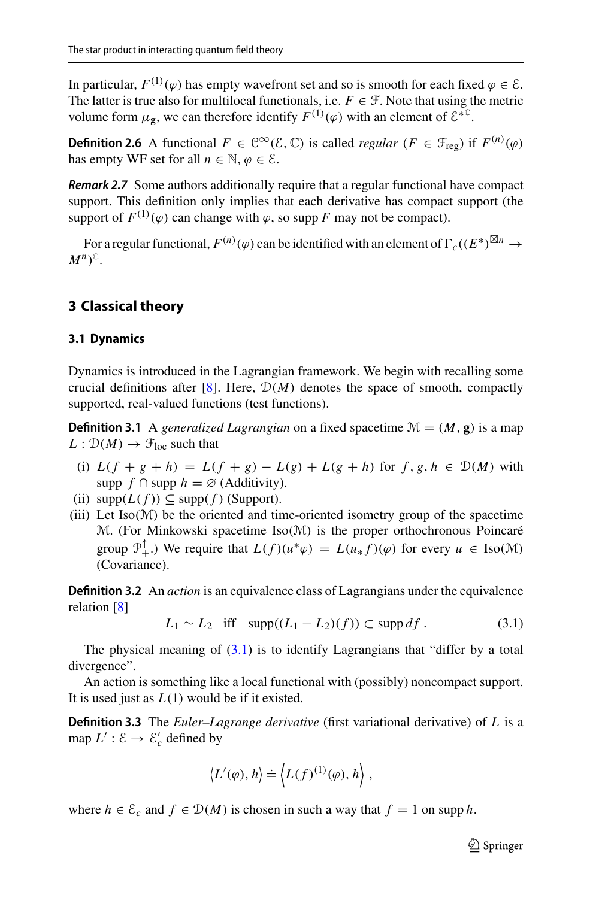In particular,  $F^{(1)}(\varphi)$  has empty wavefront set and so is smooth for each fixed  $\varphi \in \mathcal{E}$ . The latter is true also for multilocal functionals, i.e.  $F \in \mathcal{F}$ . Note that using the metric volume form  $\mu_{\mathbf{g}}$ , we can therefore identify  $F^{(1)}(\varphi)$  with an element of  $\mathcal{E}^{*C}$ .

**Definition 2.6** A functional  $F \in \mathbb{C}^{\infty}(\mathcal{E}, \mathbb{C})$  is called *regular* ( $F \in \mathcal{F}_{reg}$ ) if  $F^{(n)}(\varphi)$ has empty WF set for all  $n \in \mathbb{N}, \varphi \in \mathcal{E}$ .

**Remark 2.7** Some authors additionally require that a regular functional have compact support. This definition only implies that each derivative has compact support (the support of  $F^{(1)}(\varphi)$  can change with  $\varphi$ , so supp *F* may not be compact).

For a regular functional,  $F^{(n)}(\varphi)$  can be identified with an element of  $\Gamma_c((E^*)^{\boxtimes n} \to$  $M^n)$ <sup> $\mathbb{C}$ </sup>.

## <span id="page-7-0"></span>**3 Classical theory**

### <span id="page-7-1"></span>**3.1 Dynamics**

Dynamics is introduced in the Lagrangian framework. We begin with recalling some crucial definitions after [\[8\]](#page-55-1). Here,  $\mathcal{D}(M)$  denotes the space of smooth, compactly supported, real-valued functions (test functions).

**Definition 3.1** A *generalized Lagrangian* on a fixed spacetime  $\mathcal{M} = (M, \mathbf{g})$  is a map  $L: \mathcal{D}(M) \to \mathcal{F}_{loc}$  such that

- (i)  $L(f + g + h) = L(f + g) L(g) + L(g + h)$  for  $f, g, h \in \mathcal{D}(M)$  with supp  $f \cap \text{supp} h = \emptyset$  (Additivity).
- (ii)  $\text{supp}(L(f)) \subseteq \text{supp}(f)$  (Support).
- (iii) Let  $Iso(\mathcal{M})$  be the oriented and time-oriented isometry group of the spacetime M. (For Minkowski spacetime Iso(M) is the proper orthochronous Poincaré group  $\mathcal{P}_+^{\uparrow}$ .) We require that  $L(f)(u^*\varphi) = L(u_*f)(\varphi)$  for every  $u \in \text{Iso}(\mathcal{M})$ (Covariance).

<span id="page-7-3"></span>**Definition 3.2** An *action* is an equivalence class of Lagrangians under the equivalence relation [\[8\]](#page-55-1)

<span id="page-7-2"></span>
$$
L_1 \sim L_2 \quad \text{iff} \quad \text{supp}((L_1 - L_2)(f)) \subset \text{supp} \, df \,. \tag{3.1}
$$

The physical meaning of  $(3.1)$  is to identify Lagrangians that "differ by a total divergence".

An action is something like a local functional with (possibly) noncompact support. It is used just as *L*(1) would be if it existed.

**Definition 3.3** The *Euler–Lagrange derivative* (first variational derivative) of *L* is a map  $L' : \mathcal{E} \to \mathcal{E}'_c$  defined by

$$
\left\langle L'(\varphi),h\right\rangle \doteq \left\langle L(f)^{(1)}(\varphi),h\right\rangle,
$$

where  $h \in \mathcal{E}_c$  and  $f \in \mathcal{D}(M)$  is chosen in such a way that  $f = 1$  on supp h.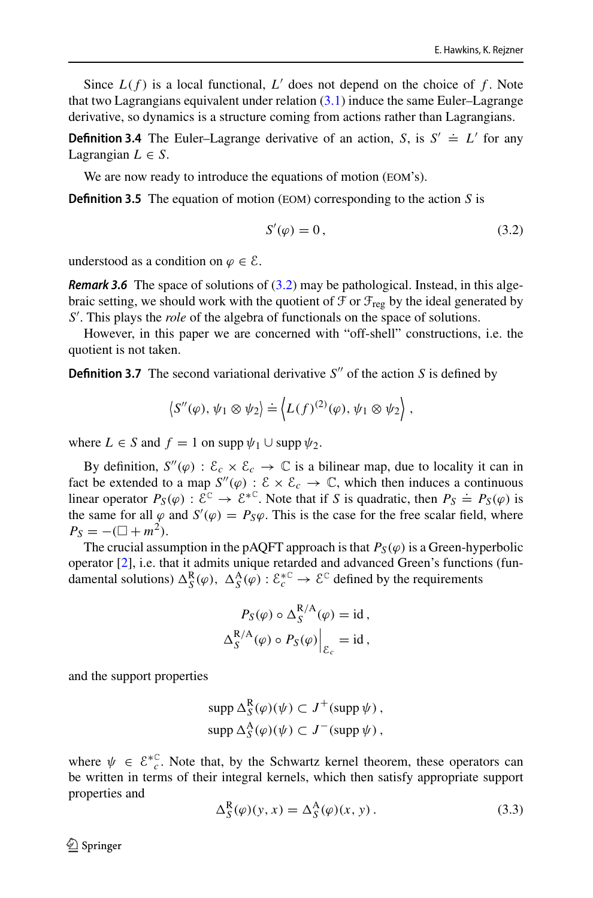Since  $L(f)$  is a local functional,  $L'$  does not depend on the choice of  $f$ . Note that two Lagrangians equivalent under relation  $(3.1)$  induce the same Euler–Lagrange derivative, so dynamics is a structure coming from actions rather than Lagrangians.

**Definition 3.4** The Euler–Lagrange derivative of an action, *S*, is  $S' \doteq L'$  for any Lagrangian  $L \in S$ .

We are now ready to introduce the equations of motion (EOM's).

**Definition 3.5** The equation of motion (EOM) corresponding to the action *S* is

<span id="page-8-0"></span>
$$
S'(\varphi) = 0, \tag{3.2}
$$

understood as a condition on  $\varphi \in \mathcal{E}$ .

**Remark 3.6** The space of solutions of [\(3.2\)](#page-8-0) may be pathological. Instead, in this algebraic setting, we should work with the quotient of  $\mathcal F$  or  $\mathcal F_{\text{reg}}$  by the ideal generated by *S* ′ . This plays the *role* of the algebra of functionals on the space of solutions.

However, in this paper we are concerned with "off-shell" constructions, i.e. the quotient is not taken.

**Definition 3.7** The second variational derivative  $S''$  of the action  $S$  is defined by

$$
\left\langle S''(\varphi),\psi_1\otimes\psi_2\right\rangle \doteq \left\langle L(f)^{(2)}(\varphi),\psi_1\otimes\psi_2\right\rangle,
$$

where  $L \in S$  and  $f = 1$  on supp  $\psi_1 \cup$  supp  $\psi_2$ .

By definition,  $S''(\varphi) : \mathcal{E}_c \times \mathcal{E}_c \to \mathbb{C}$  is a bilinear map, due to locality it can in fact be extended to a map  $S''(\varphi) : \mathcal{E} \times \mathcal{E}_c \to \mathbb{C}$ , which then induces a continuous linear operator  $P_S(\varphi) : \mathcal{E}^{\mathbb{C}} \to \mathcal{E}^{*\mathbb{C}}$ . Note that if *S* is quadratic, then  $P_S \doteq P_S(\varphi)$  is the same for all  $\varphi$  and  $S'(\varphi) = P_S\varphi$ . This is the case for the free scalar field, where  $P_S = -(\Box + m^2).$ 

The crucial assumption in the pAQFT approach is that  $P_S(\varphi)$  is a Green-hyperbolic operator [\[2\]](#page-55-8), i.e. that it admits unique retarded and advanced Green's functions (fundamental solutions)  $\Delta_S^R(\varphi)$ ,  $\Delta_S^A(\varphi)$  :  $\mathcal{E}_c^{*\mathbb{C}} \to \mathcal{E}^{\mathbb{C}}$  defined by the requirements

$$
P_S(\varphi) \circ \Delta_S^{R/A}(\varphi) = id,
$$
  

$$
\Delta_S^{R/A}(\varphi) \circ P_S(\varphi) \Big|_{\mathcal{E}_c} = id,
$$

and the support properties

$$
\text{supp }\Delta_S^R(\varphi)(\psi) \subset J^+(\text{supp }\psi),
$$
  

$$
\text{supp }\Delta_S^A(\varphi)(\psi) \subset J^-(\text{supp }\psi),
$$

where  $\psi \in \mathcal{E}_{c}^{*C}$ . Note that, by the Schwartz kernel theorem, these operators can be written in terms of their integral kernels, which then satisfy appropriate support properties and

<span id="page-8-1"></span>
$$
\Delta_S^R(\varphi)(y, x) = \Delta_S^A(\varphi)(x, y).
$$
 (3.3)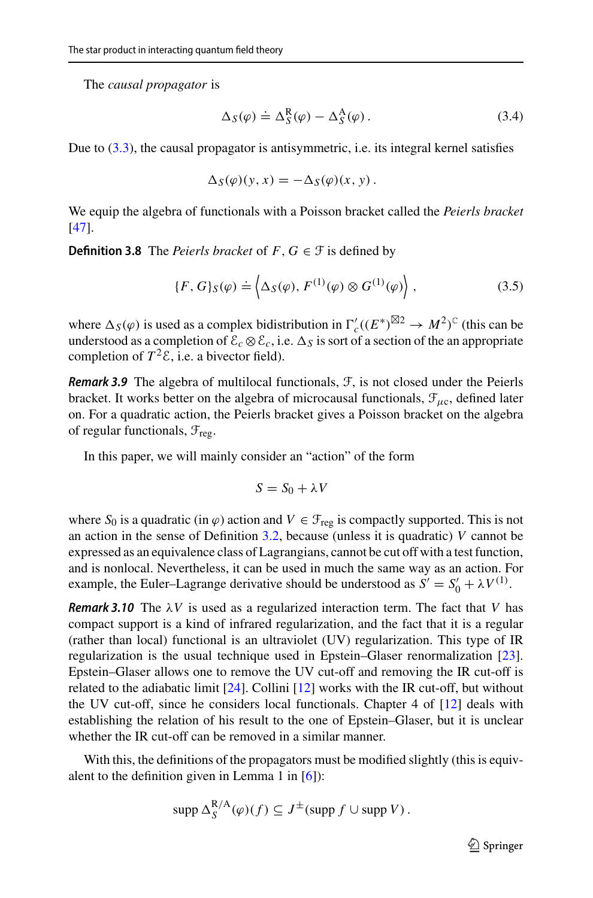The *causal propagator* is

$$
\Delta_S(\varphi) \doteq \Delta_S^R(\varphi) - \Delta_S^A(\varphi). \tag{3.4}
$$

Due to [\(3.3\)](#page-8-1), the causal propagator is antisymmetric, i.e. its integral kernel satisfies

$$
\Delta_S(\varphi)(y, x) = -\Delta_S(\varphi)(x, y).
$$

<span id="page-9-0"></span>We equip the algebra of functionals with a Poisson bracket called the *Peierls bracket* [\[47](#page-57-7)].

**Definition 3.8** The *Peierls bracket* of  $F, G \in \mathcal{F}$  is defined by

$$
\{F, G\}_{S}(\varphi) \doteq \left\langle \Delta_{S}(\varphi), F^{(1)}(\varphi) \otimes G^{(1)}(\varphi) \right\rangle, \tag{3.5}
$$

where  $\Delta_S(\varphi)$  is used as a complex bidistribution in  $\Gamma_c'((E^*)^{\boxtimes 2} \to M^2)^c$  (this can be understood as a completion of  $\mathcal{E}_c \otimes \mathcal{E}_c$ , i.e.  $\Delta_S$  is sort of a section of the an appropriate completion of  $T^2 \mathcal{E}$ , i.e. a bivector field).

**Remark 3.9** The algebra of multilocal functionals, F, is not closed under the Peierls bracket. It works better on the algebra of microcausal functionals,  $\mathcal{F}_{\mu c}$ , defined later on. For a quadratic action, the Peierls bracket gives a Poisson bracket on the algebra of regular functionals,  $\mathcal{F}_{reg}$ .

In this paper, we will mainly consider an "action" of the form

$$
S = S_0 + \lambda V
$$

where  $S_0$  is a quadratic (in  $\varphi$ ) action and  $V \in \mathcal{F}_{reg}$  is compactly supported. This is not an action in the sense of Definition [3.2,](#page-7-3) because (unless it is quadratic) *V* cannot be expressed as an equivalence class of Lagrangians, cannot be cut off with a test function, and is nonlocal. Nevertheless, it can be used in much the same way as an action. For example, the Euler–Lagrange derivative should be understood as  $S' = S'_0 + \lambda V^{(1)}$ .

**Remark 3.10** The  $\lambda V$  is used as a regularized interaction term. The fact that *V* has compact support is a kind of infrared regularization, and the fact that it is a regular (rather than local) functional is an ultraviolet (UV) regularization. This type of IR regularization is the usual technique used in Epstein–Glaser renormalization [\[23](#page-56-13)]. Epstein–Glaser allows one to remove the UV cut-off and removing the IR cut-off is related to the adiabatic limit [\[24\]](#page-56-19). Collini [\[12](#page-56-10)] works with the IR cut-off, but without the UV cut-off, since he considers local functionals. Chapter 4 of [\[12](#page-56-10)] deals with establishing the relation of his result to the one of Epstein–Glaser, but it is unclear whether the IR cut-off can be removed in a similar manner.

With this, the definitions of the propagators must be modified slightly (this is equivalent to the definition given in Lemma 1 in  $[6]$ :

$$
\operatorname{supp} \Delta_S^{R/A}(\varphi)(f) \subseteq J^{\pm}(\operatorname{supp} f \cup \operatorname{supp} V).
$$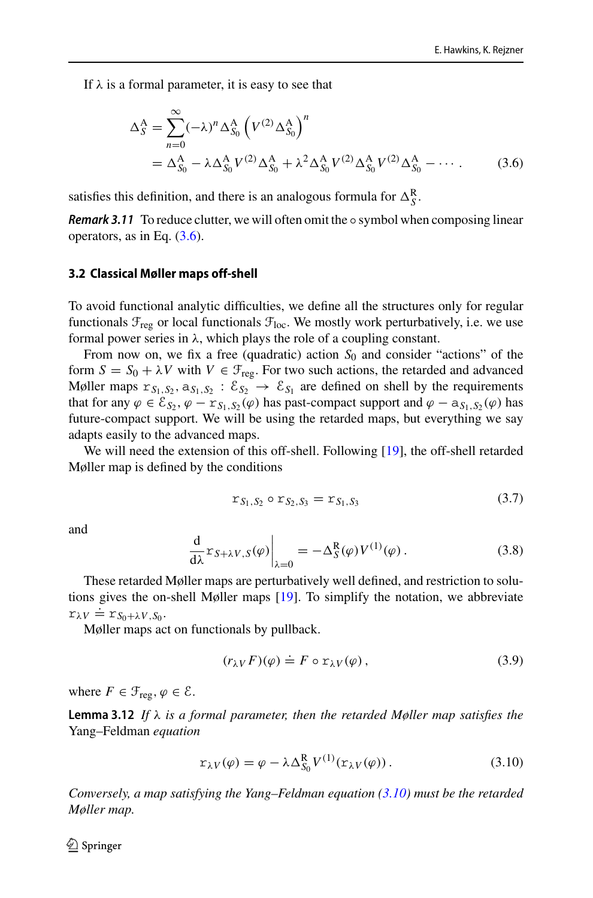If  $\lambda$  is a formal parameter, it is easy to see that

<span id="page-10-1"></span>
$$
\Delta_{S}^{A} = \sum_{n=0}^{\infty} (-\lambda)^{n} \Delta_{S_{0}}^{A} \left( V^{(2)} \Delta_{S_{0}}^{A} \right)^{n}
$$
  
=  $\Delta_{S_{0}}^{A} - \lambda \Delta_{S_{0}}^{A} V^{(2)} \Delta_{S_{0}}^{A} + \lambda^{2} \Delta_{S_{0}}^{A} V^{(2)} \Delta_{S_{0}}^{A} V^{(2)} \Delta_{S_{0}}^{A} - \cdots$  (3.6)

satisfies this definition, and there is an analogous formula for  $\Delta_S^R$ .

**Remark 3.11** To reduce clutter, we will often omit the  $\circ$  symbol when composing linear operators, as in Eq.  $(3.6)$ .

#### <span id="page-10-0"></span>**3.2 Classical Møller maps off-shell**

To avoid functional analytic difficulties, we define all the structures only for regular functionals  $\mathcal{F}_{\text{reg}}$  or local functionals  $\mathcal{F}_{\text{loc}}$ . We mostly work perturbatively, i.e. we use formal power series in  $\lambda$ , which plays the role of a coupling constant.

From now on, we fix a free (quadratic) action  $S_0$  and consider "actions" of the form  $S = S_0 + \lambda V$  with  $V \in \mathcal{F}_{reg}$ . For two such actions, the retarded and advanced Møller maps  $r_{S_1,S_2}$ ,  $a_{S_1,S_2}$ :  $\mathcal{E}_{S_2} \to \mathcal{E}_{S_1}$  are defined on shell by the requirements that for any  $\varphi \in \mathcal{E}_{S_2}, \varphi - \mathbf{r}_{S_1,S_2}(\varphi)$  has past-compact support and  $\varphi - a_{S_1,S_2}(\varphi)$  has future-compact support. We will be using the retarded maps, but everything we say adapts easily to the advanced maps.

We will need the extension of this off-shell. Following [\[19\]](#page-56-17), the off-shell retarded Møller map is defined by the conditions

<span id="page-10-3"></span>
$$
r_{S_1, S_2} \circ r_{S_2, S_3} = r_{S_1, S_3} \tag{3.7}
$$

and

<span id="page-10-4"></span>
$$
\frac{\mathrm{d}}{\mathrm{d}\lambda} \mathbf{r}_{S+\lambda V,S}(\varphi) \bigg|_{\lambda=0} = -\Delta_S^{\mathbf{R}}(\varphi) V^{(1)}(\varphi) . \tag{3.8}
$$

These retarded Møller maps are perturbatively well defined, and restriction to solutions gives the on-shell Møller maps [\[19\]](#page-56-17). To simplify the notation, we abbreviate  $r_{\lambda}V = r_{S_0+\lambda}V_{,S_0}$ .

Møller maps act on functionals by pullback.

$$
(r_{\lambda V}F)(\varphi) \doteq F \circ r_{\lambda V}(\varphi) , \qquad (3.9)
$$

<span id="page-10-5"></span>where  $F \in \mathcal{F}_{\text{reg}}, \varphi \in \mathcal{E}$ .

**Lemma 3.12** *If* λ *is a formal parameter, then the retarded Møller map satisfies the* Yang–Feldman *equation*

<span id="page-10-2"></span>
$$
r_{\lambda V}(\varphi) = \varphi - \lambda \Delta_{S_0}^R V^{(1)}(r_{\lambda V}(\varphi)).
$$
\n(3.10)

*Conversely, a map satisfying the Yang–Feldman equation [\(3.10\)](#page-10-2) must be the retarded Møller map.*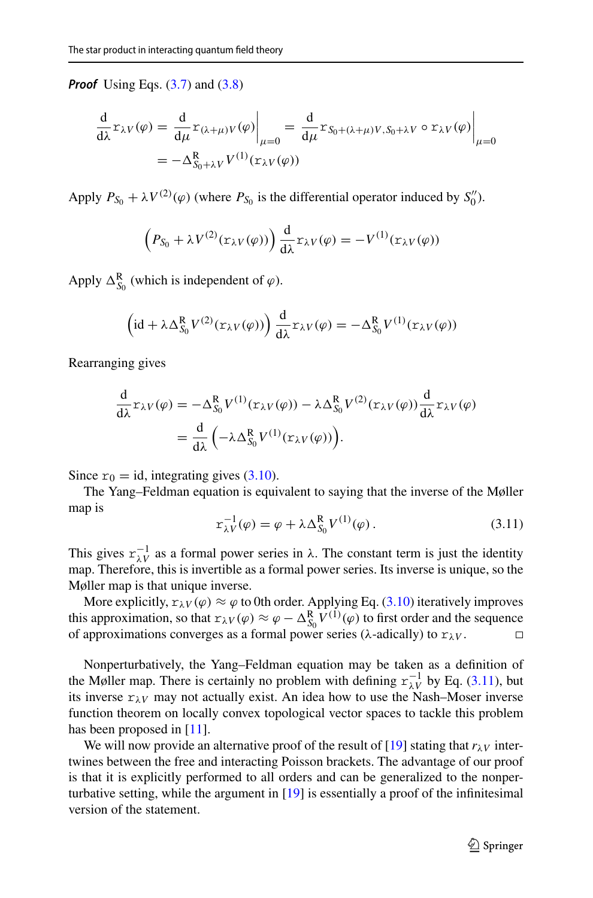**Proof** Using Eqs. [\(3.7\)](#page-10-3) and [\(3.8\)](#page-10-4)

$$
\frac{d}{d\lambda} \mathbf{r}_{\lambda V}(\varphi) = \frac{d}{d\mu} \mathbf{r}_{(\lambda+\mu)V}(\varphi) \Big|_{\mu=0} = \frac{d}{d\mu} \mathbf{r}_{S_0 + (\lambda+\mu)V, S_0 + \lambda V} \circ \mathbf{r}_{\lambda V}(\varphi) \Big|_{\mu=0}
$$

$$
= -\Delta_{S_0 + \lambda V}^{\mathbf{R}} V^{(1)}(\mathbf{r}_{\lambda V}(\varphi))
$$

Apply  $P_{S_0} + \lambda V^{(2)}(\varphi)$  (where  $P_{S_0}$  is the differential operator induced by  $S_0''$ ).

$$
(P_{S_0} + \lambda V^{(2)}(\mathbf{r}_{\lambda V}(\varphi))) \frac{d}{d\lambda} \mathbf{r}_{\lambda V}(\varphi) = -V^{(1)}(\mathbf{r}_{\lambda V}(\varphi))
$$

Apply  $\Delta_{S_0}^{\mathbb{R}}$  (which is independent of  $\varphi$ ).

$$
\left(\mathrm{id} + \lambda \Delta_{S_0}^{\mathbf{R}} V^{(2)}(\mathbf{r}_{\lambda V}(\varphi))\right) \frac{\mathrm{d}}{\mathrm{d}\lambda} \mathbf{r}_{\lambda V}(\varphi) = -\Delta_{S_0}^{\mathbf{R}} V^{(1)}(\mathbf{r}_{\lambda V}(\varphi))
$$

Rearranging gives

$$
\frac{d}{d\lambda} \mathbf{r}_{\lambda V}(\varphi) = -\Delta_{S_0}^R V^{(1)}(\mathbf{r}_{\lambda V}(\varphi)) - \lambda \Delta_{S_0}^R V^{(2)}(\mathbf{r}_{\lambda V}(\varphi)) \frac{d}{d\lambda} \mathbf{r}_{\lambda V}(\varphi)
$$

$$
= \frac{d}{d\lambda} \left( -\lambda \Delta_{S_0}^R V^{(1)}(\mathbf{r}_{\lambda V}(\varphi)) \right).
$$

Since  $r_0 = id$ , integrating gives [\(3.10\)](#page-10-2).

The Yang–Feldman equation is equivalent to saying that the inverse of the Møller map is

<span id="page-11-0"></span>
$$
r_{\lambda V}^{-1}(\varphi) = \varphi + \lambda \Delta_{S_0}^{R} V^{(1)}(\varphi). \qquad (3.11)
$$

This gives  $r_{\lambda V}^{-1}$  as a formal power series in  $\lambda$ . The constant term is just the identity map. Therefore, this is invertible as a formal power series. Its inverse is unique, so the Møller map is that unique inverse.

More explicitly,  $r_{\lambda V}(\varphi) \approx \varphi$  to 0th order. Applying Eq. [\(3.10\)](#page-10-2) iteratively improves this approximation, so that  $r_{\lambda V}(\varphi) \approx \varphi - \Delta_{S_0}^R V^{(1)}(\varphi)$  to first order and the sequence of approximations converges as a formal power series ( $\lambda$ -adically) to  $r_{\lambda}v$ .

Nonperturbatively, the Yang–Feldman equation may be taken as a definition of the Møller map. There is certainly no problem with defining  $r_{\lambda V}^{-1}$  by Eq. [\(3.11\)](#page-11-0), but its inverse  $r_{\lambda V}$  may not actually exist. An idea how to use the Nash–Moser inverse function theorem on locally convex topological vector spaces to tackle this problem has been proposed in [\[11](#page-56-20)].

We will now provide an alternative proof of the result of [\[19\]](#page-56-17) stating that  $r_{\lambda}$ <sub>*V*</sub> intertwines between the free and interacting Poisson brackets. The advantage of our proof is that it is explicitly performed to all orders and can be generalized to the nonperturbative setting, while the argument in  $[19]$  is essentially a proof of the infinitesimal version of the statement.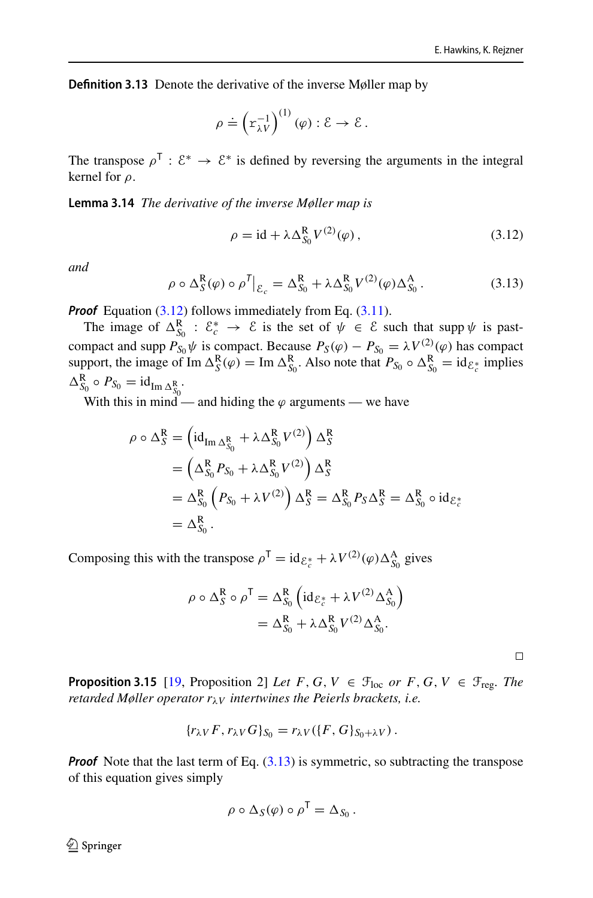**Definition 3.13** Denote the derivative of the inverse Møller map by

$$
\rho \doteq \left( \mathbf{r}_{\lambda V}^{-1} \right)^{(1)} (\varphi) : \mathcal{E} \to \mathcal{E}.
$$

The transpose  $\rho^{\mathsf{T}}: \mathcal{E}^* \to \mathcal{E}^*$  is defined by reversing the arguments in the integral kernel for ρ.

**Lemma 3.14** *The derivative of the inverse Møller map is*

<span id="page-12-0"></span>
$$
\rho = \mathrm{id} + \lambda \Delta_{S_0}^{\mathbf{R}} V^{(2)}(\varphi) \,, \tag{3.12}
$$

*and*

<span id="page-12-1"></span>
$$
\rho \circ \Delta_S^R(\varphi) \circ \rho^T \big|_{\mathcal{E}_c} = \Delta_{S_0}^R + \lambda \Delta_{S_0}^R V^{(2)}(\varphi) \Delta_{S_0}^A. \tag{3.13}
$$

**Proof** Equation [\(3.12\)](#page-12-0) follows immediately from Eq. [\(3.11\)](#page-11-0).

The image of  $\Delta_{S_0}^R$  :  $\mathcal{E}_c^* \to \mathcal{E}$  is the set of  $\psi \in \mathcal{E}$  such that supp  $\psi$  is pastcompact and supp  $P_{S_0}\psi$  is compact. Because  $P_S(\varphi) - P_{S_0} = \lambda V^{(2)}(\varphi)$  has compact support, the image of Im  $\Delta_S^R(\varphi) = \text{Im } \Delta_{S_0}^R$ . Also note that  $P_{S_0} \circ \Delta_{S_0}^R = \text{id}_{\mathcal{E}_c^*}$  implies  $\Delta_{S_0}^{\mathbf{R}} \circ P_{S_0} = \mathrm{id}_{\mathrm{Im}\,\Delta_{S_0}^{\mathbf{R}}}$ .

With this in mind — and hiding the  $\varphi$  arguments — we have

$$
\rho \circ \Delta_S^R = \left( id_{\text{Im } \Delta_{S_0}^R} + \lambda \Delta_{S_0}^R V^{(2)} \right) \Delta_S^R
$$
  
=  $\left( \Delta_{S_0}^R P_{S_0} + \lambda \Delta_{S_0}^R V^{(2)} \right) \Delta_S^R$   
=  $\Delta_{S_0}^R \left( P_{S_0} + \lambda V^{(2)} \right) \Delta_S^R = \Delta_{S_0}^R P_S \Delta_S^R = \Delta_{S_0}^R \circ id_{\mathcal{E}_{c}^*}$   
=  $\Delta_{S_0}^R$ .

Composing this with the transpose  $\rho^{\mathsf{T}} = id_{\mathcal{E}_c^*} + \lambda V^{(2)}(\varphi) \Delta_{S_0}^{\mathsf{A}}$  gives

$$
\rho \circ \Delta_S^R \circ \rho^T = \Delta_{S_0}^R \left( id_{\mathcal{E}_c^*} + \lambda V^{(2)} \Delta_{S_0}^A \right)
$$
  
=  $\Delta_{S_0}^R + \lambda \Delta_{S_0}^R V^{(2)} \Delta_{S_0}^A.$ 

<span id="page-12-2"></span>**Proposition 3.15** [\[19,](#page-56-17) Proposition 2] *Let*  $F$ ,  $G$ ,  $V \in \mathcal{F}_{loc}$  *or*  $F$ ,  $G$ ,  $V \in \mathcal{F}_{reg}$ . *The retarded Møller operator r*λ*<sup>V</sup> intertwines the Peierls brackets, i.e.*

$$
\{r_{\lambda V}F, r_{\lambda V}G\}_{S_0}=r_{\lambda V}(\{F, G\}_{S_0+\lambda V}).
$$

**Proof** Note that the last term of Eq.  $(3.13)$  is symmetric, so subtracting the transpose of this equation gives simply

$$
\rho \circ \Delta_S(\varphi) \circ \rho^{\mathsf{T}} = \Delta_{S_0}.
$$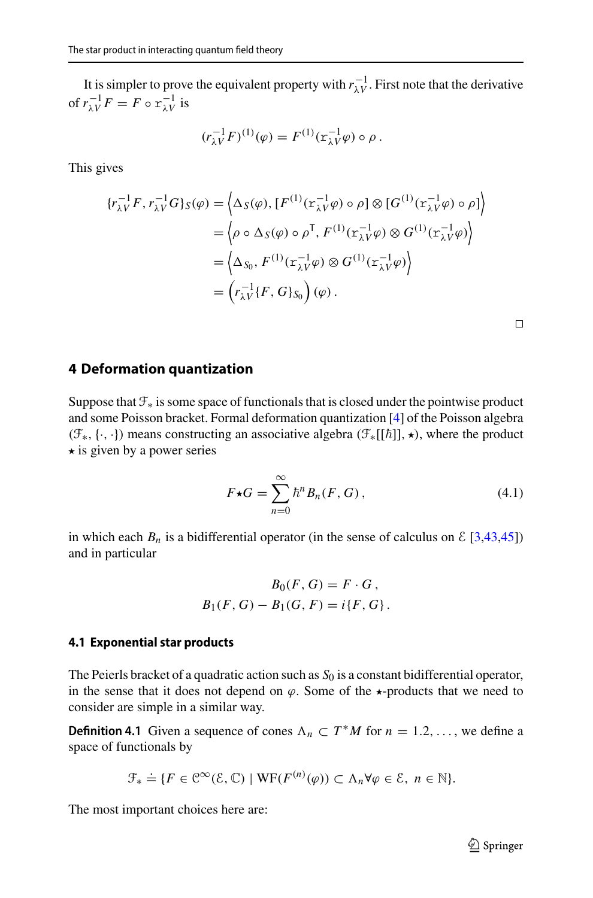It is simpler to prove the equivalent property with  $r_{\lambda V}^{-1}$ . First note that the derivative of  $r_{\lambda V}^{-1}F = F \circ r_{\lambda V}^{-1}$  is

$$
(r_{\lambda V}^{-1}F)^{(1)}(\varphi) = F^{(1)}(x_{\lambda V}^{-1}\varphi) \circ \rho.
$$

This gives

$$
\{r_{\lambda V}^{-1}F, r_{\lambda V}^{-1}G\}_{S}(\varphi) = \langle \Delta_{S}(\varphi), [F^{(1)}(\mathbf{r}_{\lambda V}^{-1}\varphi) \circ \rho] \otimes [G^{(1)}(\mathbf{r}_{\lambda V}^{-1}\varphi) \circ \rho] \rangle
$$
  
\n
$$
= \langle \rho \circ \Delta_{S}(\varphi) \circ \rho^{T}, F^{(1)}(\mathbf{r}_{\lambda V}^{-1}\varphi) \otimes G^{(1)}(\mathbf{r}_{\lambda V}^{-1}\varphi) \rangle
$$
  
\n
$$
= \langle \Delta_{S_{0}}, F^{(1)}(\mathbf{r}_{\lambda V}^{-1}\varphi) \otimes G^{(1)}(\mathbf{r}_{\lambda V}^{-1}\varphi) \rangle
$$
  
\n
$$
= \left(r_{\lambda V}^{-1}\{F, G\}_{S_{0}}\right)(\varphi).
$$

 $\Box$ 

### <span id="page-13-0"></span>**4 Deformation quantization**

Suppose that  $\mathcal{F}_*$  is some space of functionals that is closed under the pointwise product and some Poisson bracket. Formal deformation quantization [\[4\]](#page-55-2) of the Poisson algebra ( $\mathcal{F}_*,$  { ·, · }) means constructing an associative algebra ( $\mathcal{F}_*[[\hbar]], \star)$ , where the product  $\star$  is given by a power series

<span id="page-13-2"></span>
$$
F \star G = \sum_{n=0}^{\infty} \hbar^n B_n(F, G), \qquad (4.1)
$$

in which each  $B_n$  is a bidifferential operator (in the sense of calculus on  $\mathcal{E}$  [\[3](#page-55-6)[,43](#page-57-5)[,45](#page-57-6)]) and in particular

$$
B_0(F, G) = F \cdot G,
$$
  

$$
B_1(F, G) - B_1(G, F) = i\{F, G\}.
$$

#### <span id="page-13-1"></span>**4.1 Exponential star products**

The Peierls bracket of a quadratic action such as  $S_0$  is a constant bidifferential operator, in the sense that it does not depend on  $\varphi$ . Some of the  $\star$ -products that we need to consider are simple in a similar way.

<span id="page-13-3"></span>**Definition 4.1** Given a sequence of cones  $\Lambda_n \subset T^*M$  for  $n = 1, 2, \ldots$ , we define a space of functionals by

$$
\mathcal{F}_{*} \doteq \{ F \in \mathcal{C}^{\infty}(\mathcal{E}, \mathbb{C}) \mid \text{WF}(F^{(n)}(\varphi)) \subset \Lambda_{n} \forall \varphi \in \mathcal{E}, n \in \mathbb{N} \}.
$$

The most important choices here are: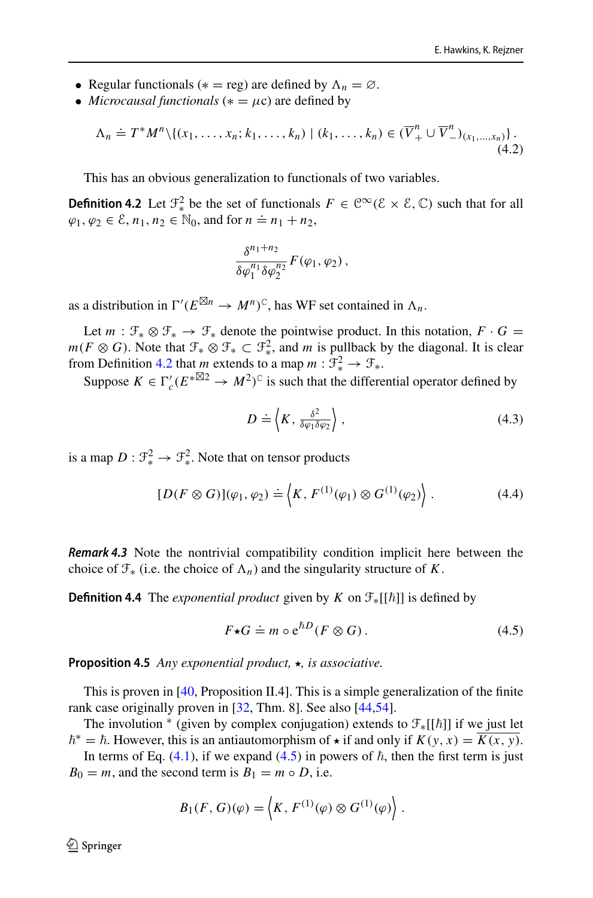- Regular functionals ( $* = \text{reg}$ ) are defined by  $\Lambda_n = \emptyset$ .
- *Microcausal functionals* ( $* = \mu c$ ) are defined by

$$
\Lambda_n \doteq T^*M^n \setminus \{(x_1,\ldots,x_n;k_1,\ldots,k_n) \mid (k_1,\ldots,k_n) \in (\overline{V}_+^n \cup \overline{V}_-^n)_{(x_1,\ldots,x_n)}\}.
$$
\n(4.2)

This has an obvious generalization to functionals of two variables.

**Definition 4.2** Let  $\mathcal{F}^2_*$  be the set of functionals  $F \in \mathbb{C}^\infty(\mathcal{E} \times \mathcal{E}, \mathbb{C})$  such that for all  $\varphi_1, \varphi_2 \in \mathcal{E}, n_1, n_2 \in \mathbb{N}_0$ , and for  $n = n_1 + n_2$ ,

<span id="page-14-0"></span>
$$
\frac{\delta^{n_1+n_2}}{\delta \varphi_1^{n_1} \delta \varphi_2^{n_2}} F(\varphi_1, \varphi_2),
$$

as a distribution in  $\Gamma'(E^{\boxtimes n} \to M^n)^{\mathbb{C}}$ , has WF set contained in  $\Lambda_n$ .

Let  $m : \mathfrak{F}_* \otimes \mathfrak{F}_* \to \mathfrak{F}_*$  denote the pointwise product. In this notation,  $F \cdot G =$ *m*(*F* ⊗ *G*). Note that  $\mathcal{F}_* \otimes \mathcal{F}_* \subset \mathcal{F}_*^2$ , and *m* is pullback by the diagonal. It is clear from Definition [4.2](#page-14-0) that *m* extends to a map  $m : \mathcal{F}^2_* \to \mathcal{F}_*$ .

Suppose  $K \in \Gamma_c'(E^{*\boxtimes 2} \to M^2)^{\mathbb{C}}$  is such that the differential operator defined by

<span id="page-14-2"></span>
$$
D \doteq \left\langle K, \frac{\delta^2}{\delta \varphi_1 \delta \varphi_2} \right\rangle, \tag{4.3}
$$

is a map  $D: \mathcal{F}^2_* \to \mathcal{F}^2_*$ . Note that on tensor products

$$
[D(F \otimes G)](\varphi_1, \varphi_2) \doteq \langle K, F^{(1)}(\varphi_1) \otimes G^{(1)}(\varphi_2) \rangle . \tag{4.4}
$$

**Remark 4.3** Note the nontrivial compatibility condition implicit here between the choice of  $\mathcal{F}_*$  (i.e. the choice of  $\Lambda_n$ ) and the singularity structure of *K*.

<span id="page-14-3"></span>**Definition 4.4** The *exponential product* given by  $K$  on  $\mathcal{F}_{*}[[\hbar]]$  is defined by

<span id="page-14-1"></span>
$$
F \star G \doteq m \circ e^{\hbar D} (F \otimes G). \tag{4.5}
$$

**Proposition 4.5** *Any exponential product, ★, is associative.* 

This is proven in [\[40](#page-57-8), Proposition II.4]. This is a simple generalization of the finite rank case originally proven in [\[32](#page-56-21), Thm. 8]. See also [\[44](#page-57-9)[,54](#page-57-10)].

The involution  $*$  (given by complex conjugation) extends to  $\mathcal{F}_{*}[[\hbar]]$  if we just let  $\hbar^* = \hbar$ . However, this is an antiautomorphism of  $\star$  if and only if  $K(y, x) = \overline{K(x, y)}$ .

In terms of Eq.  $(4.1)$ , if we expand  $(4.5)$  in powers of  $\hbar$ , then the first term is just  $B_0 = m$ , and the second term is  $B_1 = m \circ D$ , i.e.

$$
B_1(F, G)(\varphi) = \langle K, F^{(1)}(\varphi) \otimes G^{(1)}(\varphi) \rangle.
$$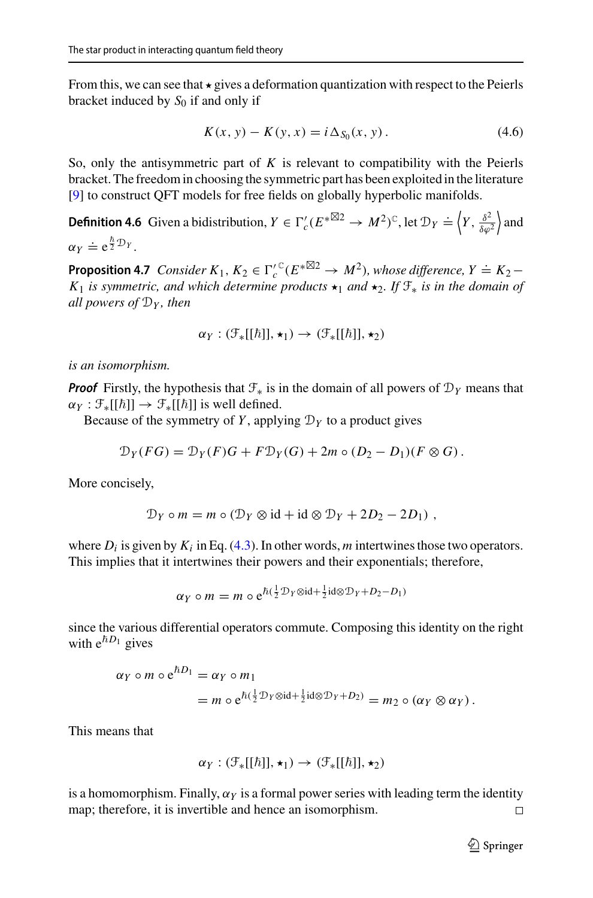From this, we can see that  $\star$  gives a deformation quantization with respect to the Peierls bracket induced by  $S_0$  if and only if

<span id="page-15-0"></span>
$$
K(x, y) - K(y, x) = i \Delta_{S_0}(x, y).
$$
 (4.6)

So, only the antisymmetric part of *K* is relevant to compatibility with the Peierls bracket. The freedom in choosing the symmetric part has been exploited in the literature [\[9](#page-55-9)] to construct QFT models for free fields on globally hyperbolic manifolds.

**Definition 4.6** Given a bidistribution,  $Y \in \Gamma_c'(E^{* \boxtimes 2} \to M^2)^{\mathbb{C}}$ , let  $\mathcal{D}_Y \doteq \left\langle Y, \frac{\delta^2}{\delta \varrho} \right\rangle$  $δφ<sup>2</sup>$  $\vert$  and  $\alpha_Y \doteq e^{\frac{\hbar}{2}\mathcal{D}_Y}.$ 

<span id="page-15-1"></span>**Proposition 4.7** *Consider*  $K_1, K_2 \in \Gamma_c^{\prime \, \mathbb{C}}(E^{*\boxtimes 2} \to M^2)$ , whose difference,  $Y \doteq K_2 -$ *K*<sub>1</sub> *is symmetric, and which determine products*  $\star$ <sub>1</sub> *and*  $\star$ <sub>2</sub>*. If*  $\mathcal{F}_*$  *is in the domain of all powers of* D*<sup>Y</sup> , then*

$$
\alpha_Y: (\mathcal{F}_*[[\hbar]], \star_1) \to (\mathcal{F}_*[[\hbar]], \star_2)
$$

*is an isomorphism.*

**Proof** Firstly, the hypothesis that  $\mathcal{F}_*$  is in the domain of all powers of  $\mathcal{D}_Y$  means that  $\alpha_Y : \mathcal{F}_*[[\hbar]] \to \mathcal{F}_*[[\hbar]]$  is well defined.

Because of the symmetry of *Y*, applying  $\mathcal{D}_Y$  to a product gives

$$
\mathcal{D}_Y(FG) = \mathcal{D}_Y(F)G + F\mathcal{D}_Y(G) + 2m \circ (D_2 - D_1)(F \otimes G).
$$

More concisely,

$$
\mathcal{D}_Y \circ m = m \circ (\mathcal{D}_Y \otimes \text{id} + \text{id} \otimes \mathcal{D}_Y + 2D_2 - 2D_1) ,
$$

where  $D_i$  is given by  $K_i$  in Eq. [\(4.3\)](#page-14-2). In other words, *m* intertwines those two operators. This implies that it intertwines their powers and their exponentials; therefore,

$$
\alpha_Y \circ m = m \circ e^{\hbar(\frac{1}{2}\mathcal{D}_Y \otimes \mathrm{id} + \frac{1}{2}\mathrm{id} \otimes \mathcal{D}_Y + D_2 - D_1)}
$$

since the various differential operators commute. Composing this identity on the right with  $e^{\hbar D_1}$  gives

$$
\alpha_Y \circ m \circ e^{\hbar D_1} = \alpha_Y \circ m_1
$$
  
=  $m \circ e^{\hbar (\frac{1}{2} \mathcal{D}_Y \otimes \mathrm{id} + \frac{1}{2} \mathrm{id} \otimes \mathcal{D}_Y + D_2)} = m_2 \circ (\alpha_Y \otimes \alpha_Y).$ 

This means that

$$
\alpha_Y: (\mathcal{F}_*[[\hbar]], \star_1) \to (\mathcal{F}_*[[\hbar]], \star_2)
$$

is a homomorphism. Finally,  $\alpha_Y$  is a formal power series with leading term the identity map; therefore, it is invertible and hence an isomorphism.  $\Box$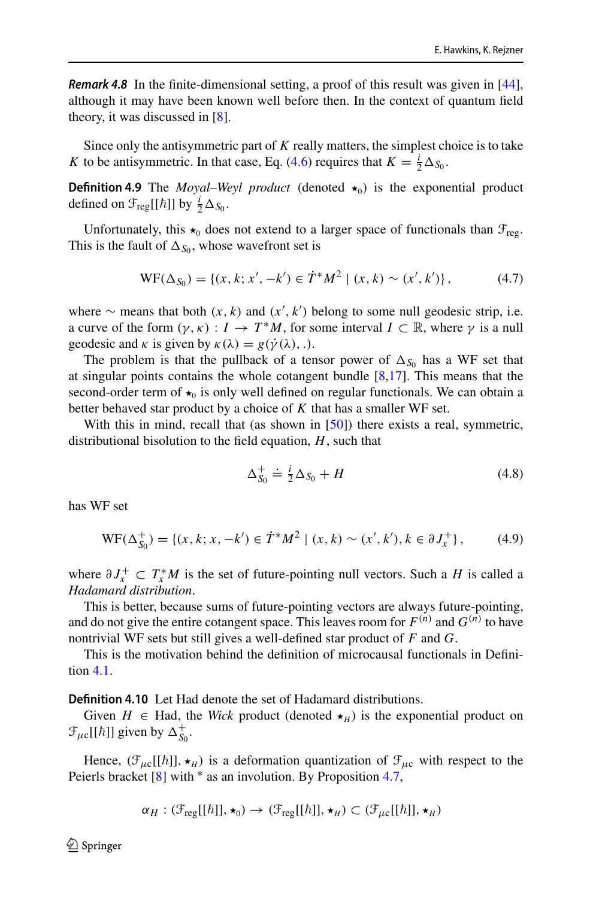**Remark 4.8** In the finite-dimensional setting, a proof of this result was given in [\[44](#page-57-9)], although it may have been known well before then. In the context of quantum field theory, it was discussed in [\[8\]](#page-55-1).

Since only the antisymmetric part of *K* really matters, the simplest choice is to take *K* to be antisymmetric. In that case, Eq. [\(4.6\)](#page-15-0) requires that  $K = \frac{i}{2} \Delta_{S_0}$ .

**Definition 4.9** The *Moyal–Weyl product* (denoted  $\star_0$ ) is the exponential product defined on  $\mathcal{F}_{reg}[[\hbar]]$  by  $\frac{i}{2}\Delta_{S_0}$ .

Unfortunately, this  $\star_0$  does not extend to a larger space of functionals than  $\mathcal{F}_{\text{reg}}$ . This is the fault of  $\Delta_{S_0}$ , whose wavefront set is

$$
WF(\Delta_{S_0}) = \{ (x, k; x', -k') \in \dot{T}^* M^2 \mid (x, k) \sim (x', k') \},\tag{4.7}
$$

where  $\sim$  means that both  $(x, k)$  and  $(x', k')$  belong to some null geodesic strip, i.e. a curve of the form  $(\gamma, \kappa) : I \to T^*M$ , for some interval  $I \subset \mathbb{R}$ , where  $\gamma$  is a null geodesic and  $\kappa$  is given by  $\kappa(\lambda) = g(\dot{\gamma}(\lambda), \cdot)$ .

The problem is that the pullback of a tensor power of  $\Delta_{S_0}$  has a WF set that at singular points contains the whole cotangent bundle [\[8](#page-55-1)[,17](#page-56-2)]. This means that the second-order term of  $\star_0$  is only well defined on regular functionals. We can obtain a better behaved star product by a choice of *K* that has a smaller WF set.

With this in mind, recall that (as shown in  $[50]$ ) there exists a real, symmetric, distributional bisolution to the field equation, *H*, such that

$$
\Delta_{S_0}^+ \doteq \frac{i}{2} \Delta_{S_0} + H \tag{4.8}
$$

has WF set

$$
WF(\Delta_{S_0}^+) = \{ (x, k; x, -k') \in \dot{T}^*M^2 \mid (x, k) \sim (x', k'), k \in \partial J_x^+ \},\tag{4.9}
$$

where  $\partial J_x^+ \subset T_x^*M$  is the set of future-pointing null vectors. Such a *H* is called a *Hadamard distribution*.

This is better, because sums of future-pointing vectors are always future-pointing, and do not give the entire cotangent space. This leaves room for  $F^{(n)}$  and  $G^{(n)}$  to have nontrivial WF sets but still gives a well-defined star product of *F* and *G*.

This is the motivation behind the definition of microcausal functionals in Definition [4.1.](#page-13-3)

**Definition 4.10** Let Had denote the set of Hadamard distributions.

Given  $H \in Had$ , the *Wick* product (denoted  $\star_H$ ) is the exponential product on  $\mathcal{F}_{\mu c}[[\hbar]]$  given by  $\Delta_{S_0}^+$ .

Hence,  $(\mathcal{F}_{\mu c}[[\hbar]], \star_H)$  is a deformation quantization of  $\mathcal{F}_{\mu c}$  with respect to the Peierls bracket [\[8](#page-55-1)] with  $*$  as an involution. By Proposition [4.7,](#page-15-1)

$$
\alpha_H : (\mathcal{F}_{reg}[[\hbar]], \star_0) \to (\mathcal{F}_{reg}[[\hbar]], \star_H) \subset (\mathcal{F}_{\mu c}[[\hbar]], \star_H)
$$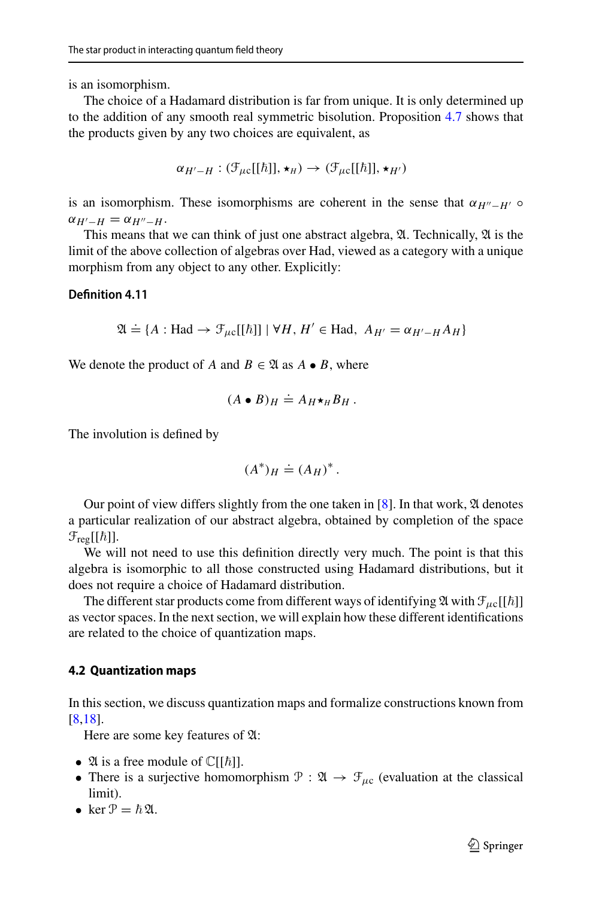is an isomorphism.

The choice of a Hadamard distribution is far from unique. It is only determined up to the addition of any smooth real symmetric bisolution. Proposition [4.7](#page-15-1) shows that the products given by any two choices are equivalent, as

$$
\alpha_{H'-H}: (\mathcal{F}_{\mu\mathrm{c}}[[\hbar]], \star_H) \to (\mathcal{F}_{\mu\mathrm{c}}[[\hbar]], \star_{H'})
$$

is an isomorphism. These isomorphisms are coherent in the sense that  $\alpha_{H''-H'}$   $\circ$  $\alpha_{H'-H} = \alpha_{H''-H}$ .

This means that we can think of just one abstract algebra,  $\mathfrak{A}$ . Technically,  $\mathfrak{A}$  is the limit of the above collection of algebras over Had, viewed as a category with a unique morphism from any object to any other. Explicitly:

### **Definition 4.11**

$$
\mathfrak{A} \doteq \{ A : \text{Had} \rightarrow \mathcal{F}_{\mu c}[[\hbar]] \mid \forall H, H' \in \text{Had}, \ A_{H'} = \alpha_{H'-H} A_H \}
$$

We denote the product of *A* and  $B \in \mathfrak{A}$  as  $A \bullet B$ , where

<span id="page-17-1"></span>
$$
(A \bullet B)_H \doteq A_H \star_H B_H.
$$

The involution is defined by

$$
(A^*)_H \doteq (A_H)^*.
$$

Our point of view differs slightly from the one taken in [\[8\]](#page-55-1). In that work,  $\mathfrak A$  denotes a particular realization of our abstract algebra, obtained by completion of the space  $\mathcal{F}_{reg}[[\hbar]].$ 

We will not need to use this definition directly very much. The point is that this algebra is isomorphic to all those constructed using Hadamard distributions, but it does not require a choice of Hadamard distribution.

The different star products come from different ways of identifying  $\mathfrak A$  with  $\mathfrak F_{\mu\mathrm{c}}[[\hbar]]$ as vector spaces. In the next section, we will explain how these different identifications are related to the choice of quantization maps.

### <span id="page-17-0"></span>**4.2 Quantization maps**

In this section, we discuss quantization maps and formalize constructions known from [\[8](#page-55-1)[,18](#page-56-11)].

Here are some key features of A:

- 24 is a free module of  $\mathbb{C}[[\hbar]]$ .
- There is a surjective homomorphism  $\mathcal{P} : \mathfrak{A} \to \mathcal{F}_{\mu c}$  (evaluation at the classical limit).
- ker  $\mathcal{P} = \hbar \mathfrak{A}$ .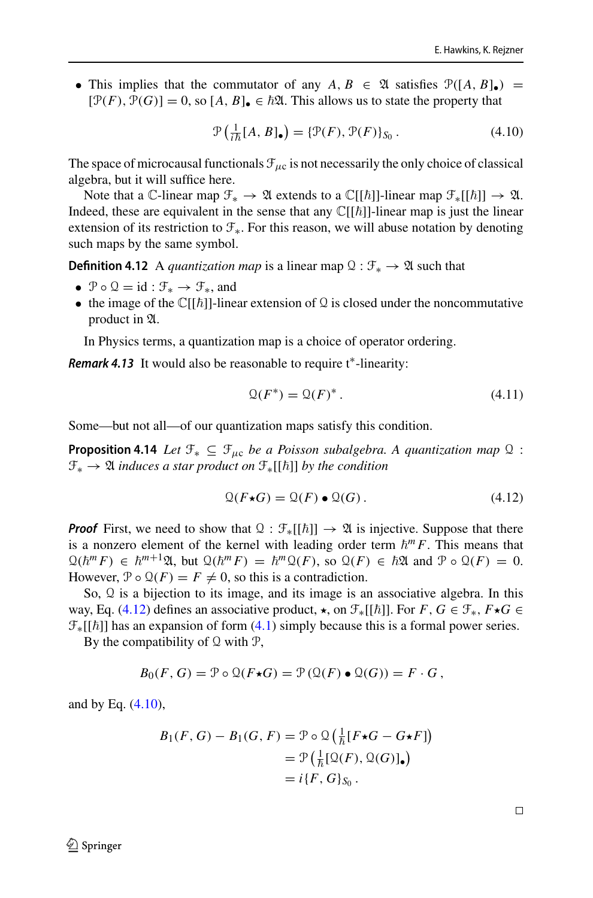• This implies that the commutator of any  $A, B \in \mathcal{A}$  satisfies  $\mathcal{P}([A, B]_{\bullet}) =$  $[\mathcal{P}(F), \mathcal{P}(G)] = 0$ , so  $[A, B]_{\bullet} \in \hbar \mathfrak{A}$ . This allows us to state the property that

<span id="page-18-2"></span><span id="page-18-1"></span>
$$
\mathcal{P}\left(\frac{1}{i\hbar}[A,B]_{\bullet}\right) = \{\mathcal{P}(F),\mathcal{P}(F)\}_{S_0}.
$$
\n(4.10)

The space of microcausal functionals  $\mathcal{F}_{\mu c}$  is not necessarily the only choice of classical algebra, but it will suffice here.

Note that a C-linear map  $\mathcal{F}_* \to \mathfrak{A}$  extends to a  $\mathbb{C}[[\hbar]]$ -linear map  $\mathcal{F}_*[[\hbar]] \to \mathfrak{A}$ . Indeed, these are equivalent in the sense that any  $\mathbb{C}[[\hbar]]$ -linear map is just the linear extension of its restriction to F∗. For this reason, we will abuse notation by denoting such maps by the same symbol.

**Definition 4.12** A *quantization map* is a linear map  $\mathcal{Q}: \mathcal{F}_* \to \mathcal{Q}$  such that

- $\mathcal{P} \circ \mathcal{Q} = id : \mathcal{F}_* \to \mathcal{F}_*$ , and
- the image of the  $\mathbb{C}[[\hbar]]$ -linear extension of  $\Omega$  is closed under the noncommutative product in  $\mathfrak{A}$ .

In Physics terms, a quantization map is a choice of operator ordering.

Remark 4.13 It would also be reasonable to require t<sup>∗</sup>-linearity:

$$
\mathcal{Q}(F^*) = \mathcal{Q}(F)^* \,. \tag{4.11}
$$

Some—but not all—of our quantization maps satisfy this condition.

**Proposition 4.14** *Let*  $\mathcal{F}_* \subseteq \mathcal{F}_{uc}$  *be a Poisson subalgebra. A quantization map*  $\Omega$  :  $\mathcal{F}_*$  →  $\mathfrak A$  *induces a star product on*  $\mathcal{F}_*[[\hbar]]$  *by the condition* 

<span id="page-18-0"></span>
$$
\mathcal{Q}(F \star G) = \mathcal{Q}(F) \bullet \mathcal{Q}(G). \tag{4.12}
$$

**Proof** First, we need to show that  $\mathcal{Q}: \mathcal{F}_{*}[[\hbar]] \to \mathcal{Q}$  is injective. Suppose that there is a nonzero element of the kernel with leading order term  $\hbar^m F$ . This means that  $\mathcal{Q}(\hbar^m F) \in \hbar^{m+1}\mathfrak{A}, \text{ but } \mathcal{Q}(\hbar^m F) = \hbar^m \mathcal{Q}(F), \text{ so } \mathcal{Q}(F) \in \hbar \mathfrak{A} \text{ and } \mathcal{P} \circ \mathcal{Q}(F) = 0.$ However,  $\mathcal{P} \circ \mathcal{Q}(F) = F \neq 0$ , so this is a contradiction.

So, Q is a bijection to its image, and its image is an associative algebra. In this way, Eq. [\(4.12\)](#page-18-0) defines an associative product,  $\star$ , on  $\mathcal{F}_*[[\hbar]]$ . For  $F$ ,  $G \in \mathcal{F}_*, F \star G \in$  $\mathcal{F}_{*}[[\hbar]]$  has an expansion of form [\(4.1\)](#page-13-2) simply because this is a formal power series.

By the compatibility of  $Q$  with  $P$ ,

$$
B_0(F, G) = \mathcal{P} \circ \mathcal{Q}(F \star G) = \mathcal{P}(\mathcal{Q}(F) \bullet \mathcal{Q}(G)) = F \cdot G,
$$

and by Eq. [\(4.10\)](#page-18-1),

$$
B_1(F, G) - B_1(G, F) = \mathcal{P} \circ \mathcal{Q} \left( \frac{1}{\hbar} [F \star G - G \star F] \right)
$$
  
=  $\mathcal{P} \left( \frac{1}{\hbar} [\mathcal{Q}(F), \mathcal{Q}(G)]_{\bullet} \right)$   
=  $i \{ F, G \}_{S_0}.$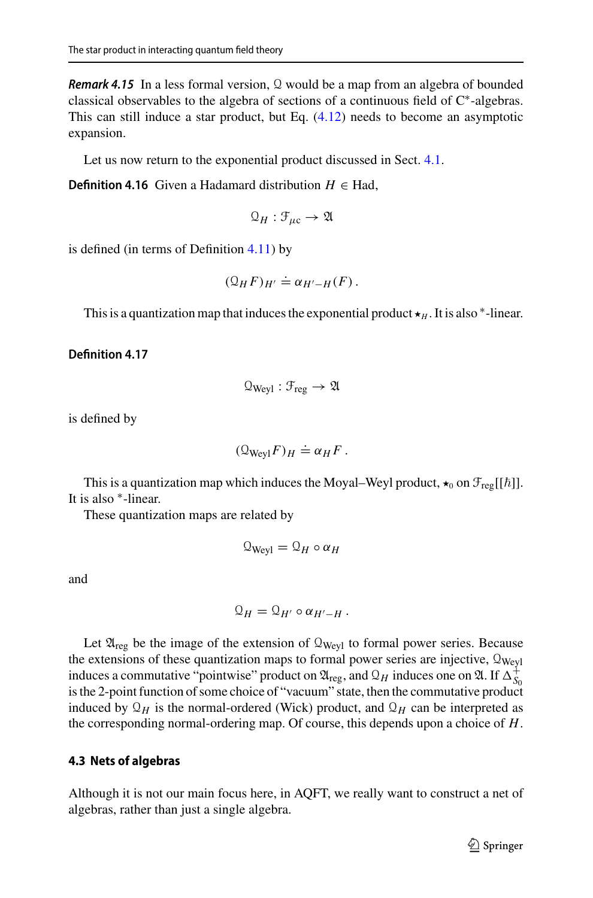**Remark 4.15** In a less formal version, Q would be a map from an algebra of bounded classical observables to the algebra of sections of a continuous field of C<sup>∗</sup> -algebras. This can still induce a star product, but Eq. [\(4.12\)](#page-18-0) needs to become an asymptotic expansion.

Let us now return to the exponential product discussed in Sect. [4.1.](#page-13-1)

**Definition 4.16** Given a Hadamard distribution  $H \in Had$ ,

$$
\mathfrak{Q}_H:\mathcal{F}_{\mu\mathrm{c}}\rightarrow\mathfrak{A}
$$

is defined (in terms of Definition [4.11\)](#page-17-1) by

$$
(\mathcal{Q}_H F)_{H'} \doteq \alpha_{H'-H}(F).
$$

This is a quantization map that induces the exponential product  $\star$ <sub>*H*</sub>. It is also  $*$ -linear.

#### **Definition 4.17**

$$
\mathfrak{Q}_{Weyl}:\mathfrak{F}_{reg}\rightarrow \mathfrak{A}
$$

is defined by

$$
(\mathcal{Q}_{\text{Weyl}}F)_H \doteq \alpha_H F.
$$

This is a quantization map which induces the Moyal–Weyl product,  $\star_0$  on  $\mathcal{F}_{reg}[[\hbar]]$ . It is also <sup>∗</sup> -linear.

These quantization maps are related by

$$
\mathcal{Q}_{\text{Weyl}} = \mathcal{Q}_H \circ \alpha_H
$$

and

$$
\mathfrak{Q}_H=\mathfrak{Q}_{H'}\circ \alpha_{H'-H}\,.
$$

Let  $\mathfrak{A}_{reg}$  be the image of the extension of  $\mathfrak{Q}_{Weyl}$  to formal power series. Because the extensions of these quantization maps to formal power series are injective,  $\mathcal{Q}_{Weyl}$ induces a commutative "pointwise" product on  $\mathfrak{A}_{\text{reg}}$ , and  $\mathfrak{Q}_H$  induces one on  $\mathfrak{A}$ . If  $\Delta_{S_0}^+$ is the 2-point function of some choice of "vacuum" state, then the commutative product induced by  $\mathcal{Q}_H$  is the normal-ordered (Wick) product, and  $\mathcal{Q}_H$  can be interpreted as the corresponding normal-ordering map. Of course, this depends upon a choice of *H*.

### <span id="page-19-0"></span>**4.3 Nets of algebras**

Although it is not our main focus here, in AQFT, we really want to construct a net of algebras, rather than just a single algebra.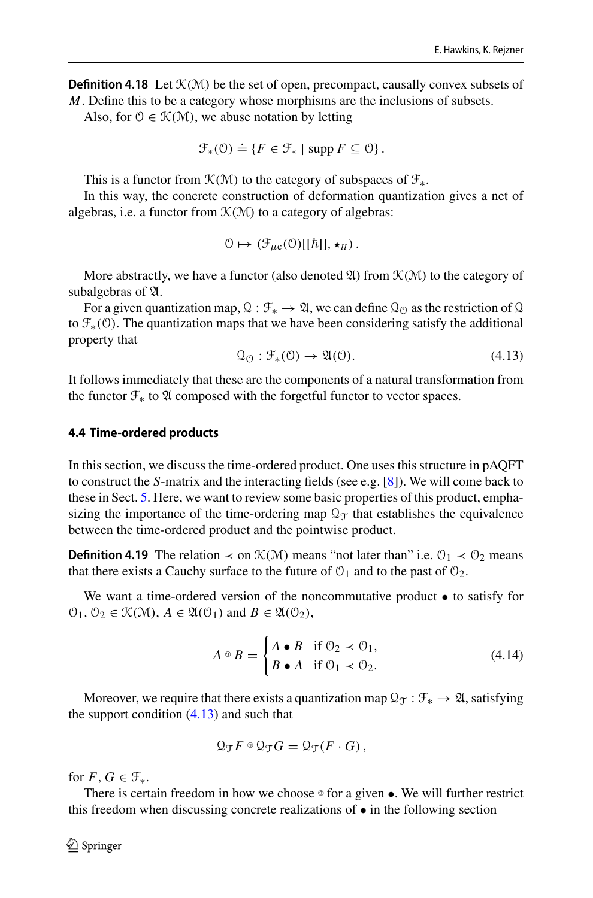**Definition 4.18** Let  $\mathcal{K}(\mathcal{M})$  be the set of open, precompact, causally convex subsets of *M*. Define this to be a category whose morphisms are the inclusions of subsets.

Also, for  $0 \in \mathcal{K}(\mathcal{M})$ , we abuse notation by letting

$$
\mathcal{F}_{*}(\mathcal{O}) \doteq \{ F \in \mathcal{F}_{*} \mid \operatorname{supp} F \subseteq \mathcal{O} \}.
$$

This is a functor from  $\mathcal{K}(\mathcal{M})$  to the category of subspaces of  $\mathcal{F}_*$ .

In this way, the concrete construction of deformation quantization gives a net of algebras, i.e. a functor from  $K(M)$  to a category of algebras:

$$
0 \mapsto (\mathcal{F}_{\mu c}(0)[[\hbar]], \star_H).
$$

More abstractly, we have a functor (also denoted  $\mathfrak{A}$ ) from  $\mathcal{K}(\mathcal{M})$  to the category of subalgebras of  $\mathfrak A$ .

For a given quantization map,  $\mathcal{Q}: \mathcal{F}_* \to \mathcal{A}$ , we can define  $\mathcal{Q}_0$  as the restriction of  $\mathcal{Q}$ to  $\mathcal{F}_*(0)$ . The quantization maps that we have been considering satisfy the additional property that

<span id="page-20-1"></span>
$$
\mathcal{Q}_{\mathcal{O}}: \mathcal{F}_{*}(\mathcal{O}) \to \mathfrak{A}(\mathcal{O}). \tag{4.13}
$$

It follows immediately that these are the components of a natural transformation from the functor  $\mathcal{F}_*$  to  $\mathfrak A$  composed with the forgetful functor to vector spaces.

#### <span id="page-20-0"></span>**4.4 Time-ordered products**

In this section, we discuss the time-ordered product. One uses this structure in pAQFT to construct the *S*-matrix and the interacting fields (see e.g. [\[8](#page-55-1)]). We will come back to these in Sect. [5.](#page-26-0) Here, we want to review some basic properties of this product, emphasizing the importance of the time-ordering map  $\mathbb{Q}_T$  that establishes the equivalence between the time-ordered product and the pointwise product.

**Definition 4.19** The relation  $\prec$  on  $\mathcal{K}(\mathcal{M})$  means "not later than" i.e.  $\mathcal{O}_1 \prec \mathcal{O}_2$  means that there exists a Cauchy surface to the future of  $\mathcal{O}_1$  and to the past of  $\mathcal{O}_2$ .

We want a time-ordered version of the noncommutative product  $\bullet$  to satisfy for  $\mathcal{O}_1, \mathcal{O}_2 \in \mathcal{K}(\mathcal{M}), A \in \mathfrak{A}(\mathcal{O}_1)$  and  $B \in \mathfrak{A}(\mathcal{O}_2)$ ,

<span id="page-20-2"></span>
$$
A \circ B = \begin{cases} A \bullet B & \text{if } \mathcal{O}_2 \prec \mathcal{O}_1, \\ B \bullet A & \text{if } \mathcal{O}_1 \prec \mathcal{O}_2. \end{cases}
$$
(4.14)

Moreover, we require that there exists a quantization map  $\mathcal{Q}_T : \mathcal{F}_* \to \mathcal{Q}$ , satisfying the support condition  $(4.13)$  and such that

$$
\mathcal{Q}_{\mathcal{T}} F \circ \mathcal{Q}_{\mathcal{T}} G = \mathcal{Q}_{\mathcal{T}} (F \cdot G) \,,
$$

for  $F, G \in \mathcal{F}_*$ .

There is certain freedom in how we choose  $\circ$  for a given •. We will further restrict this freedom when discussing concrete realizations of • in the following section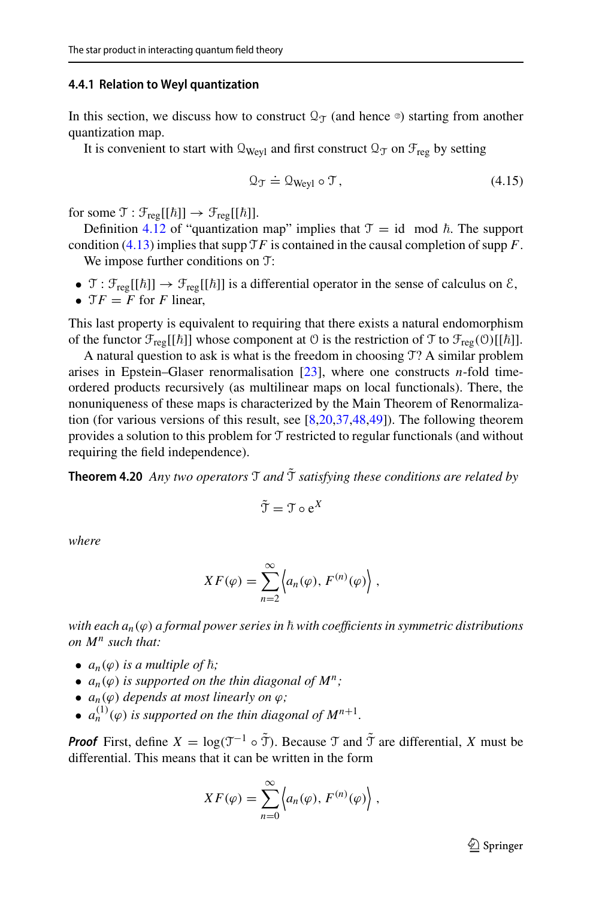## <span id="page-21-0"></span>**4.4.1 Relation to Weyl quantization**

In this section, we discuss how to construct  $\mathcal{Q}_{\mathcal{T}}$  (and hence  $\mathcal{Q}_{\mathcal{T}}$ ) starting from another quantization map.

It is convenient to start with  $\mathcal{Q}_{Wev1}$  and first construct  $\mathcal{Q}_{\mathcal{T}}$  on  $\mathcal{F}_{reg}$  by setting

<span id="page-21-2"></span>
$$
\mathcal{Q}_{\mathcal{T}} \doteq \mathcal{Q}_{\text{Weyl}} \circ \mathcal{T},\tag{4.15}
$$

for some  $\mathfrak{T} : \mathfrak{F}_{reg}[[\hbar]] \to \mathfrak{F}_{reg}[[\hbar]]$ .

Definition [4.12](#page-18-2) of "quantization map" implies that  $\mathcal{T} = id \mod \hbar$ . The support condition [\(4.13\)](#page-20-1) implies that supp  $TF$  is contained in the causal completion of supp  $F$ . We impose further conditions on T:

- $\mathcal{T}: \mathcal{F}_{reg}[[\hbar]] \to \mathcal{F}_{reg}[[\hbar]]$  is a differential operator in the sense of calculus on  $\mathcal{E},$
- $\mathfrak{T}F = F$  for *F* linear,

This last property is equivalent to requiring that there exists a natural endomorphism of the functor  $\mathcal{F}_{reg}[[\hbar]]$  whose component at  $\theta$  is the restriction of  $\mathcal{T}$  to  $\mathcal{F}_{reg}(\theta)[[\hbar]]$ .

A natural question to ask is what is the freedom in choosing T? A similar problem arises in Epstein–Glaser renormalisation [\[23](#page-56-13)], where one constructs *n*-fold timeordered products recursively (as multilinear maps on local functionals). There, the nonuniqueness of these maps is characterized by the Main Theorem of Renormalization (for various versions of this result, see  $[8,20,37,48,49]$  $[8,20,37,48,49]$  $[8,20,37,48,49]$  $[8,20,37,48,49]$  $[8,20,37,48,49]$ ). The following theorem provides a solution to this problem for T restricted to regular functionals (and without requiring the field independence).

**Theorem 4.20** *Any two operators*  $\mathcal{T}$  *and*  $\tilde{\mathcal{T}}$  *satisfying these conditions are related by* 

<span id="page-21-1"></span>
$$
\tilde{\mathcal{T}} = \mathcal{T} \circ e^X
$$

*where*

$$
XF(\varphi) = \sum_{n=2}^{\infty} \left\langle a_n(\varphi), F^{(n)}(\varphi) \right\rangle,
$$

with each a<sub>n</sub>(φ) a formal power series in ħ with coefficients in symmetric distributions *on M<sup>n</sup> such that:*

- $a_n(\varphi)$  *is a multiple of*  $\hbar$ ;
- $a_n(\varphi)$  *is supported on the thin diagonal of*  $M^n$ ;
- $a_n(\varphi)$  *depends at most linearly on*  $\varphi$ *;*
- $a_n^{(1)}(\varphi)$  *is supported on the thin diagonal of*  $M^{n+1}$ *.*

**Proof** First, define  $X = \log(T^{-1} \circ \tilde{T})$ . Because  $T$  and  $\tilde{T}$  are differential,  $X$  must be differential. This means that it can be written in the form

$$
XF(\varphi) = \sum_{n=0}^{\infty} \left\langle a_n(\varphi), F^{(n)}(\varphi) \right\rangle,
$$

 $\mathcal{D}$  Springer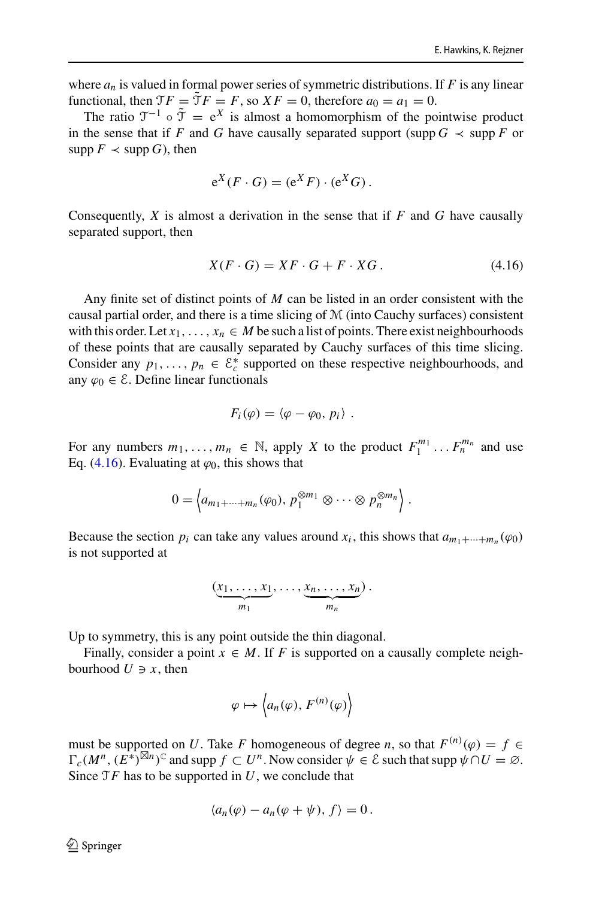where  $a_n$  is valued in formal power series of symmetric distributions. If  $F$  is any linear functional, then  $\mathfrak{T}F = \tilde{\mathfrak{T}}F = F$ , so  $XF = 0$ , therefore  $a_0 = a_1 = 0$ .

The ratio  $\mathcal{T}^{-1} \circ \tilde{\mathcal{T}} = e^X$  is almost a homomorphism of the pointwise product in the sense that if *F* and *G* have causally separated support (supp  $G \prec$  supp *F* or supp  $F \prec$  supp *G*), then

$$
e^X(F \cdot G) = (e^X F) \cdot (e^X G).
$$

Consequently, *X* is almost a derivation in the sense that if *F* and *G* have causally separated support, then

<span id="page-22-0"></span>
$$
X(F \cdot G) = XF \cdot G + F \cdot XG. \tag{4.16}
$$

Any finite set of distinct points of *M* can be listed in an order consistent with the causal partial order, and there is a time slicing of M (into Cauchy surfaces) consistent with this order. Let  $x_1, \ldots, x_n \in M$  be such a list of points. There exist neighbourhoods of these points that are causally separated by Cauchy surfaces of this time slicing. Consider any  $p_1, \ldots, p_n \in \mathcal{E}_c^*$  supported on these respective neighbourhoods, and any  $\varphi_0 \in \mathcal{E}$ . Define linear functionals

$$
F_i(\varphi)=\langle\varphi-\varphi_0,p_i\rangle.
$$

For any numbers  $m_1, \ldots, m_n \in \mathbb{N}$ , apply *X* to the product  $F_1^{m_1} \ldots F_n^{m_n}$  and use Eq. [\(4.16\)](#page-22-0). Evaluating at  $\varphi_0$ , this shows that

$$
0 = \left\langle a_{m_1 + \dots + m_n}(\varphi_0), \, p_1^{\otimes m_1} \otimes \dots \otimes p_n^{\otimes m_n} \right\rangle.
$$

Because the section  $p_i$  can take any values around  $x_i$ , this shows that  $a_{m_1+\dots+m_n}(\varphi_0)$ is not supported at

$$
\underbrace{(x_1,\ldots,x_1}_{m_1},\ldots,\underbrace{x_n,\ldots,x_n}_{m_n}).
$$

Up to symmetry, this is any point outside the thin diagonal.

Finally, consider a point  $x \in M$ . If *F* is supported on a causally complete neighbourhood  $U \ni x$ , then

$$
\varphi \mapsto \left\langle a_n(\varphi), F^{(n)}(\varphi) \right\rangle
$$

must be supported on *U*. Take *F* homogeneous of degree *n*, so that  $F^{(n)}(\varphi) = f \in$  $\Gamma_c(M^n, (E^*)^{\boxtimes n})^{\mathbb{C}}$  and supp  $f \subset U^n$ . Now consider  $\psi \in \mathcal{E}$  such that supp  $\psi \cap U = \varnothing$ . Since T*F* has to be supported in *U*, we conclude that

$$
\langle a_n(\varphi) - a_n(\varphi + \psi), f \rangle = 0.
$$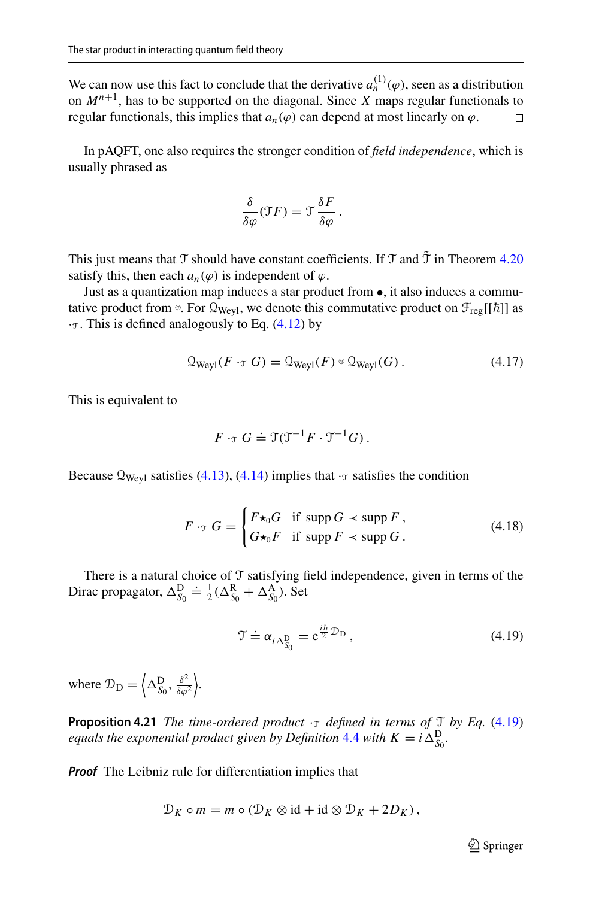We can now use this fact to conclude that the derivative  $a_n^{(1)}(\varphi)$ , seen as a distribution on *Mn*+<sup>1</sup> , has to be supported on the diagonal. Since *X* maps regular functionals to regular functionals, this implies that  $a_n(\varphi)$  can depend at most linearly on  $\varphi$ .  $\Box$ 

In pAQFT, one also requires the stronger condition of *field independence*, which is usually phrased as

$$
\frac{\delta}{\delta \varphi}(\Im F) = \Im \frac{\delta F}{\delta \varphi} \, .
$$

This just means that T should have constant coefficients. If T and  $\tilde{T}$  in Theorem [4.20](#page-21-1) satisfy this, then each  $a_n(\varphi)$  is independent of  $\varphi$ .

Just as a quantization map induces a star product from •, it also induces a commutative product from  $\circ$ . For  $\mathcal{Q}_{Weyl}$ , we denote this commutative product on  $\mathcal{F}_{reg}[[\hbar]]$  as  $\cdot$ <sub>T</sub>. This is defined analogously to Eq. [\(4.12\)](#page-18-0) by

$$
\mathcal{Q}_{\text{Weyl}}(F \cdot_{\mathcal{T}} G) = \mathcal{Q}_{\text{Weyl}}(F) \circ \mathcal{Q}_{\text{Weyl}}(G) \,. \tag{4.17}
$$

This is equivalent to

$$
F \cdot \tau G \doteq \mathfrak{T}(\mathfrak{T}^{-1}F \cdot \mathfrak{T}^{-1}G).
$$

Because  $\mathcal{Q}_{Weyl}$  satisfies [\(4.13\)](#page-20-1), [\(4.14\)](#page-20-2) implies that  $\cdot_{\mathcal{T}}$  satisfies the condition

<span id="page-23-1"></span>
$$
F \cdot_{\mathcal{T}} G = \begin{cases} F \star_0 G & \text{if } \operatorname{supp} G \prec \operatorname{supp} F, \\ G \star_0 F & \text{if } \operatorname{supp} F \prec \operatorname{supp} G. \end{cases}
$$
(4.18)

There is a natural choice of  $\mathcal T$  satisfying field independence, given in terms of the Dirac propagator,  $\Delta_{S_0}^D \doteq \frac{1}{2}(\Delta_{S_0}^R + \Delta_{S_0}^A)$ . Set

<span id="page-23-0"></span>
$$
\mathcal{T} \doteq \alpha_{i \Delta_{S_0}^{\mathcal{D}}} = e^{\frac{i\hbar}{2} \mathcal{D}_{\mathcal{D}}},\tag{4.19}
$$

where  $\mathcal{D}_{\mathbf{D}} = \left\langle \Delta_{S_0}^{\mathbf{D}}, \frac{\delta^2}{\delta \varphi} \right\rangle$  $\delta\varphi^2$ .

**Proposition 4.21** *The time-ordered product*  $\cdot$ <sup>T</sup> *defined in terms of*  $\tau$  *by Eq.* [\(4.19\)](#page-23-0) *equals the exponential product given by Definition* [4.4](#page-14-3) *with*  $K = i \Delta_{S_0}^D$ .

**Proof** The Leibniz rule for differentiation implies that

$$
\mathcal{D}_K \circ m = m \circ (\mathcal{D}_K \otimes \mathrm{id} + \mathrm{id} \otimes \mathcal{D}_K + 2D_K),
$$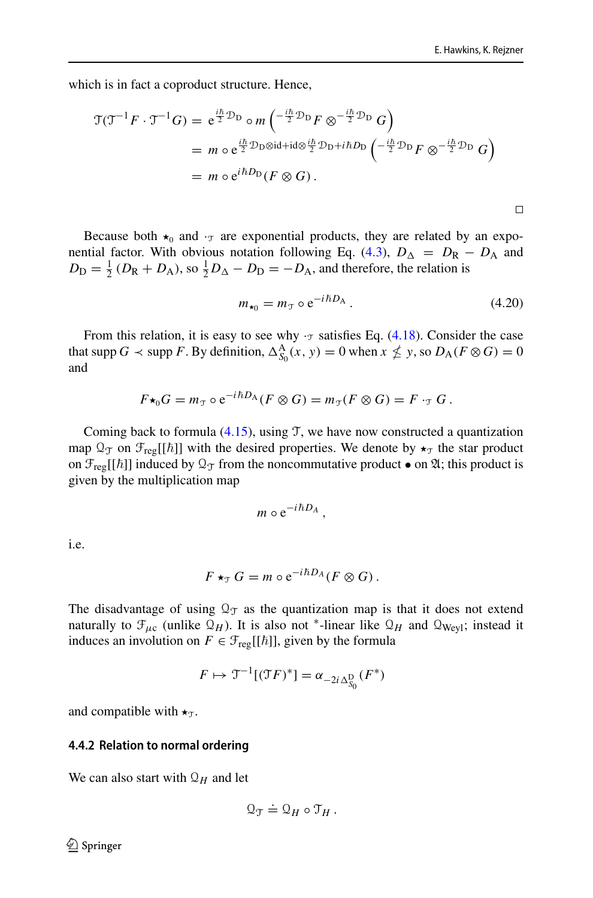$\Box$ 

which is in fact a coproduct structure. Hence,

$$
\mathfrak{T}(\mathfrak{T}^{-1}F \cdot \mathfrak{T}^{-1}G) = e^{\frac{i\hbar}{2}\mathcal{D}_{\text{D}}} \circ m\left(\frac{-i\hbar}{2}\mathcal{D}_{\text{D}}F \otimes \frac{-i\hbar}{2}\mathcal{D}_{\text{D}}G\right)
$$
  
=  $m \circ e^{\frac{i\hbar}{2}\mathcal{D}_{\text{D}}\otimes\mathrm{id} + \mathrm{id}\otimes\frac{i\hbar}{2}\mathcal{D}_{\text{D}} + i\hbar D_{\text{D}}} \left(\frac{-i\hbar}{2}\mathcal{D}_{\text{D}}F \otimes \frac{-i\hbar}{2}\mathcal{D}_{\text{D}}G\right)$   
=  $m \circ e^{i\hbar D_{\text{D}}}(F \otimes G).$ 

Because both  $\star_0$  and  $\cdot$  are exponential products, they are related by an expo-nential factor. With obvious notation following Eq. [\(4.3\)](#page-14-2),  $D_{\Delta} = D_{\rm R} - D_{\rm A}$  and  $D_{\rm D} = \frac{1}{2} (D_{\rm R} + D_{\rm A})$ , so  $\frac{1}{2} D_{\Delta} - D_{\rm D} = -D_{\rm A}$ , and therefore, the relation is

$$
m_{\star_0} = m_{\tau} \circ e^{-i\hbar D_A} \,. \tag{4.20}
$$

From this relation, it is easy to see why  $\cdot$ <sub>T</sub> satisfies Eq. [\(4.18\)](#page-23-1). Consider the case that supp *G*  $\prec$  supp *F*. By definition,  $\Delta_{S_0}^{\mathbf{A}}(x, y) = 0$  when  $x \nleq y$ , so  $D_{\mathbf{A}}(F \otimes G) = 0$ and

$$
F\star_0 G = m_{\mathfrak{T}} \circ e^{-i\hbar D_A} (F \otimes G) = m_{\mathfrak{T}} (F \otimes G) = F \cdot_{\mathfrak{T}} G.
$$

Coming back to formula  $(4.15)$ , using T, we have now constructed a quantization map  $\mathfrak{Q}_{\mathcal{T}}$  on  $\mathfrak{F}_{reg}[[\hbar]]$  with the desired properties. We denote by  $\star_{\mathcal{T}}$  the star product on  $\mathcal{F}_{reg}[[\hbar]]$  induced by  $\mathcal{Q}_{\mathcal{T}}$  from the noncommutative product  $\bullet$  on  $\mathfrak{A}$ ; this product is given by the multiplication map

$$
m \circ e^{-i\hbar D_A},
$$

i.e.

$$
F\star_{\mathcal{T}} G = m \circ e^{-i\hbar D_A}(F \otimes G).
$$

The disadvantage of using  $\mathcal{Q}_{\mathcal{T}}$  as the quantization map is that it does not extend naturally to  $\mathcal{F}_{\mu c}$  (unlike  $\mathcal{Q}_H$ ). It is also not <sup>\*</sup>-linear like  $\mathcal{Q}_H$  and  $\mathcal{Q}_{Weyl}$ ; instead it induces an involution on  $F \in \mathcal{F}_{reg}[[\hbar]]$ , given by the formula

$$
F \mapsto \mathfrak{T}^{-1}[(\mathfrak{T}F)^*] = \alpha_{-2i\Delta_{S_0}^{\mathcal{D}}}(F^*)
$$

and compatible with  $\star_{\mathcal{T}}$ .

#### <span id="page-24-0"></span>**4.4.2 Relation to normal ordering**

We can also start with  $\mathcal{Q}_H$  and let

$$
\mathfrak{Q}_{\mathfrak{T}} \doteq \mathfrak{Q}_H \circ \mathfrak{T}_H.
$$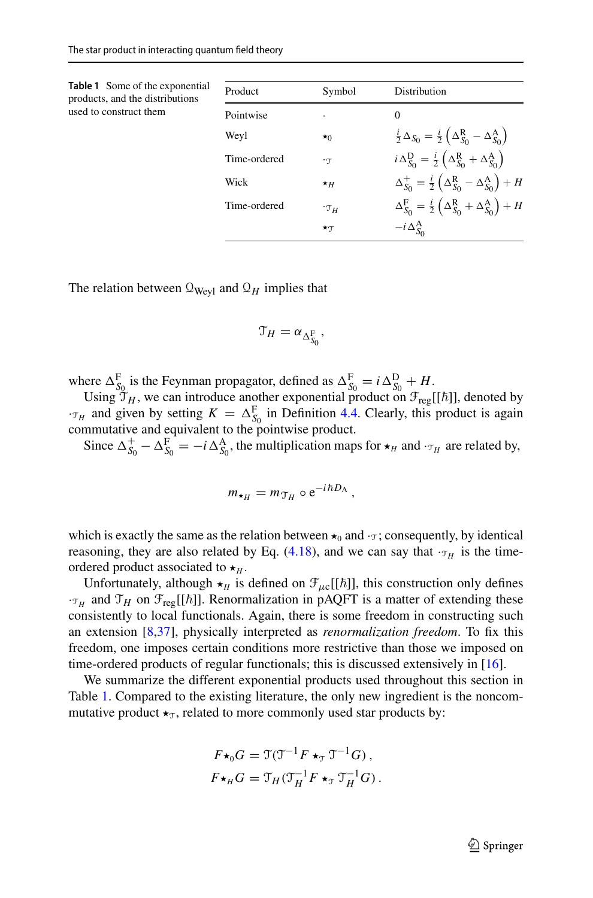<span id="page-25-0"></span>

| <b>Table 1</b> Some of the exponential<br>products, and the distributions | Product      | Symbol         | Distribution                                                                                        |
|---------------------------------------------------------------------------|--------------|----------------|-----------------------------------------------------------------------------------------------------|
| used to construct them                                                    | Pointwise    |                | $\Omega$                                                                                            |
|                                                                           | Weyl         | $\star$ 0      | $\frac{i}{2}\Delta_{S_0} = \frac{i}{2}\left(\Delta_{S_0}^{\rm R} - \Delta_{S_0}^{\rm A}\right)$     |
|                                                                           | Time-ordered | $\cdot \tau$   | $i\Delta_{S_0}^D = \frac{i}{2}\left(\Delta_{S_0}^R + \Delta_{S_0}^A\right)$                         |
|                                                                           | Wick         | $\star$ H      | $\Delta_{S_0}^+ = \frac{i}{2} \left( \Delta_{S_0}^{\rm R} - \Delta_{S_0}^{\rm A} \right) + H$       |
|                                                                           | Time-ordered | $\cdot \tau$ H | $\Delta_{S_0}^{\rm F} = \frac{i}{2} \left( \Delta_{S_0}^{\rm R} + \Delta_{S_0}^{\rm A} \right) + H$ |
|                                                                           |              | $\star$ T      | $-i\Delta_{S_0}^{\rm A}$                                                                            |

The relation between  $\mathcal{Q}_{Wevl}$  and  $\mathcal{Q}_H$  implies that

$$
\mathfrak{T}_H = \alpha_{\Delta_{S_0}^F},
$$

where  $\Delta_{S_0}^{\text{F}}$  is the Feynman propagator, defined as  $\Delta_{S_0}^{\text{F}} = i \Delta_{S_0}^{\text{D}} + H$ .

Using  $\mathfrak{I}_H$ , we can introduce another exponential product on  $\mathfrak{F}_{reg}[[\hbar]]$ , denoted by  $\tau_H$  and given by setting  $K = \Delta_{S_0}^F$  in Definition [4.4.](#page-14-3) Clearly, this product is again commutative and equivalent to the pointwise product.

Since  $\Delta_{S_0}^+ - \Delta_{S_0}^F = -i \Delta_{S_0}^A$ , the multiplication maps for  $\star_H$  and  $\cdot_{\tau_H}$  are related by,

$$
m_{\star_H} = m_{\mathcal{T}_H} \circ e^{-i\hbar D_A},
$$

which is exactly the same as the relation between  $\star_0$  and  $\cdot_\mathcal{T}$ ; consequently, by identical reasoning, they are also related by Eq.  $(4.18)$ , and we can say that  $\cdot_{\tau_H}$  is the timeordered product associated to  $\star$ <sub>*H*</sub>.

Unfortunately, although  $\star$ <sub>*H*</sub> is defined on  $\mathcal{F}_{\mu c}[[\hbar]]$ , this construction only defines  $\cdot \tau_H$  and  $\tau_H$  on  $\mathcal{F}_{reg}[[\hbar]]$ . Renormalization in pAQFT is a matter of extending these consistently to local functionals. Again, there is some freedom in constructing such an extension [\[8](#page-55-1)[,37](#page-56-22)], physically interpreted as *renormalization freedom*. To fix this freedom, one imposes certain conditions more restrictive than those we imposed on time-ordered products of regular functionals; this is discussed extensively in [\[16\]](#page-56-6).

We summarize the different exponential products used throughout this section in Table [1.](#page-25-0) Compared to the existing literature, the only new ingredient is the noncommutative product  $\star_{\mathcal{T}}$ , related to more commonly used star products by:

$$
F\star_0 G = \mathfrak{T}(\mathfrak{T}^{-1}F \star_{\mathfrak{T}} \mathfrak{T}^{-1}G),
$$
  

$$
F\star_H G = \mathfrak{T}_H(\mathfrak{T}_H^{-1}F \star_{\mathfrak{T}} \mathfrak{T}_H^{-1}G).
$$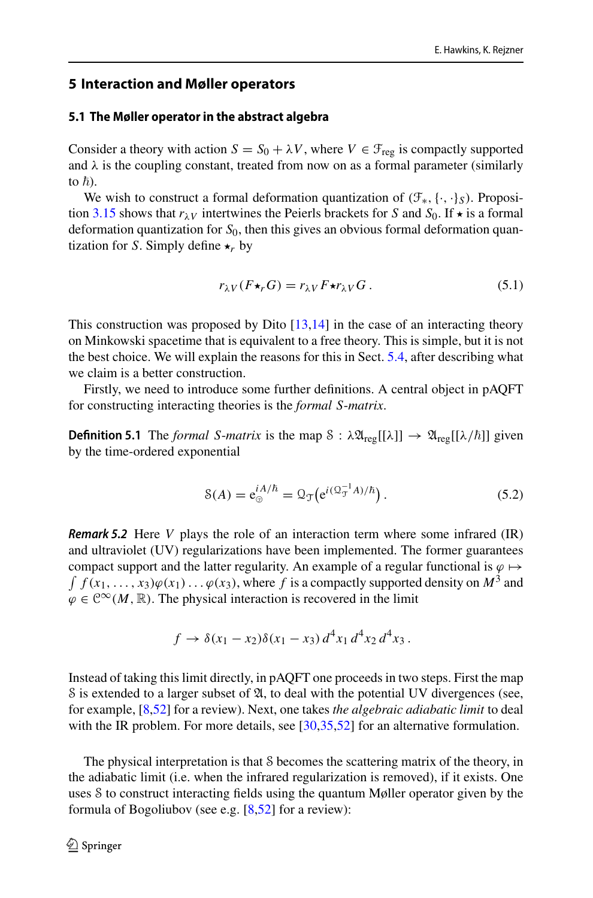## <span id="page-26-0"></span>**5 Interaction and Møller operators**

#### <span id="page-26-1"></span>**5.1 The Møller operator in the abstract algebra**

Consider a theory with action  $S = S_0 + \lambda V$ , where  $V \in \mathcal{F}_{\text{reg}}$  is compactly supported and  $\lambda$  is the coupling constant, treated from now on as a formal parameter (similarly to  $\hbar$ ).

We wish to construct a formal deformation quantization of (F∗,{·, ·}*S*). Proposi-tion [3.15](#page-12-2) shows that  $r_{\lambda}v$  intertwines the Peierls brackets for *S* and *S*<sub>0</sub>. If  $\star$  is a formal deformation quantization for *S*0, then this gives an obvious formal deformation quantization for *S*. Simply define  $\star_r$  by

<span id="page-26-2"></span>
$$
r_{\lambda V}(F\star_r G) = r_{\lambda V}F\star r_{\lambda V}G. \tag{5.1}
$$

This construction was proposed by Dito  $[13,14]$  $[13,14]$  in the case of an interacting theory on Minkowski spacetime that is equivalent to a free theory. This is simple, but it is not the best choice. We will explain the reasons for this in Sect. [5.4,](#page-32-0) after describing what we claim is a better construction.

Firstly, we need to introduce some further definitions. A central object in pAQFT for constructing interacting theories is the *formal S*-*matrix*.

**Definition 5.1** The *formal S-matrix* is the map  $\delta : \lambda \mathfrak{A}_{reg}[[\lambda]] \rightarrow \mathfrak{A}_{reg}[[\lambda/\hbar]]$  given by the time-ordered exponential

$$
\mathcal{S}(A) = \mathbf{e}_{\odot}^{iA/\hbar} = \mathcal{Q}_{\mathcal{T}} \big( \mathbf{e}^{i(\mathcal{Q}_{\mathcal{T}}^{-1}A)/\hbar} \big). \tag{5.2}
$$

**Remark 5.2** Here *V* plays the role of an interaction term where some infrared (IR) and ultraviolet (UV) regularizations have been implemented. The former guarantees  $\int f(x_1,\ldots,x_3)\varphi(x_1)\ldots\varphi(x_3)$ , where  $f$  is a compactly supported density on  $M^3$  and compact support and the latter regularity. An example of a regular functional is  $\varphi \mapsto$  $\varphi \in \mathcal{C}^{\infty}(M,\mathbb{R})$ . The physical interaction is recovered in the limit

$$
f \to \delta(x_1 - x_2)\delta(x_1 - x_3) d^4x_1 d^4x_2 d^4x_3.
$$

Instead of taking this limit directly, in pAQFT one proceeds in two steps. First the map S is extended to a larger subset of  $\mathfrak{A}$ , to deal with the potential UV divergences (see, for example, [\[8](#page-55-1)[,52](#page-57-3)] for a review). Next, one takes *the algebraic adiabatic limit* to deal with the IR problem. For more details, see [\[30](#page-56-23)[,35](#page-56-24)[,52\]](#page-57-3) for an alternative formulation.

The physical interpretation is that S becomes the scattering matrix of the theory, in the adiabatic limit (i.e. when the infrared regularization is removed), if it exists. One uses S to construct interacting fields using the quantum Møller operator given by the formula of Bogoliubov (see e.g.  $[8,52]$  $[8,52]$  $[8,52]$  for a review):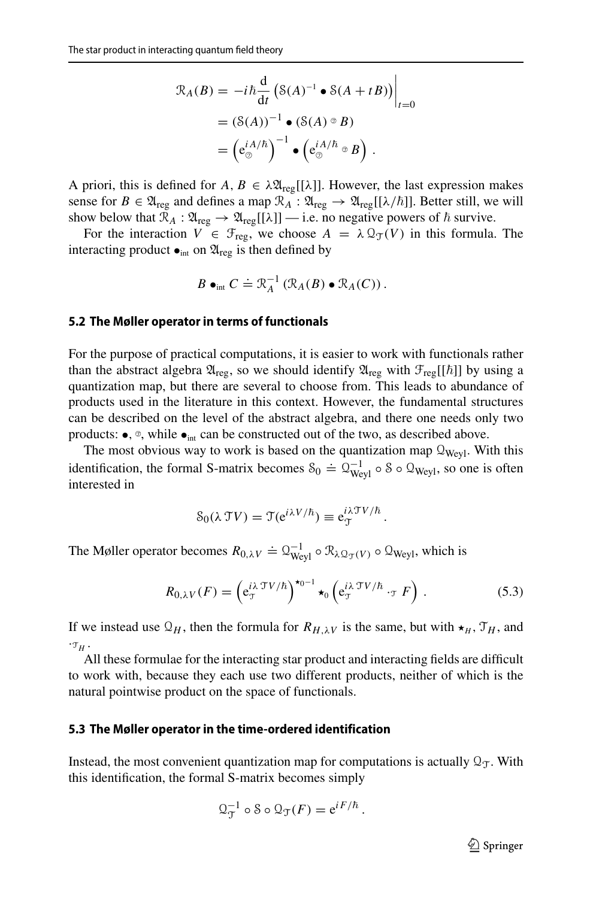$$
\mathcal{R}_A(B) = -i\hbar \frac{d}{dt} \left( \mathcal{S}(A)^{-1} \bullet \mathcal{S}(A + tB) \right) \Big|_{t=0}
$$
  
=  $(\mathcal{S}(A))^{-1} \bullet (\mathcal{S}(A) \circ B)$   
=  $\left( e_{\odot}^{iA/\hbar} \right)^{-1} \bullet \left( e_{\odot}^{iA/\hbar} \circ B \right).$ 

A priori, this is defined for  $A, B \in \lambda \mathfrak{A}_{reg}[[\lambda]]$ . However, the last expression makes sense for  $B \in \mathfrak{A}_{reg}$  and defines a map  $\mathcal{R}_A : \mathfrak{A}_{reg} \to \mathfrak{A}_{reg}[[\lambda/\hbar]]$ . Better still, we will show below that  $\mathcal{R}_A : \mathfrak{A}_{reg} \to \mathfrak{A}_{reg}[[\lambda]] \longrightarrow$  i.e. no negative powers of  $\hbar$  survive.

For the interaction  $V \in \mathcal{F}_{reg}$ , we choose  $A = \lambda \mathcal{Q}_{\mathcal{T}}(V)$  in this formula. The interacting product  $\bullet$ <sub>int</sub> on  $\mathfrak{A}_{\text{reg}}$  is then defined by

$$
B\bullet_{\text{int}} C \doteq \mathcal{R}_A^{-1} \left( \mathcal{R}_A(B) \bullet \mathcal{R}_A(C) \right).
$$

#### <span id="page-27-0"></span>**5.2 The Møller operator in terms of functionals**

For the purpose of practical computations, it is easier to work with functionals rather than the abstract algebra  $\mathfrak{A}_{reg}$ , so we should identify  $\mathfrak{A}_{reg}$  with  $\mathfrak{F}_{reg}[[\hbar]]$  by using a quantization map, but there are several to choose from. This leads to abundance of products used in the literature in this context. However, the fundamental structures can be described on the level of the abstract algebra, and there one needs only two products:  $\bullet$ ,  $\circ$ , while  $\bullet$ <sub>int</sub> can be constructed out of the two, as described above.

The most obvious way to work is based on the quantization map  $\mathcal{Q}_{Weyl}$ . With this identification, the formal S-matrix becomes  $S_0 = \Omega_{Weyl}^{-1} \circ S \circ \Omega_{Weyl}$ , so one is often interested in

$$
\mathcal{S}_0(\lambda \mathcal{T}V) = \mathcal{T}(e^{i\lambda V/\hbar}) \equiv e_{\mathcal{T}}^{i\lambda \mathcal{T}V/\hbar}.
$$

The Møller operator becomes  $R_{0,\lambda V} \doteq Q_{Weyl}^{-1} \circ \mathcal{R}_{\lambda Q_{\mathcal{T}}(V)} \circ Q_{Weyl}$ , which is

$$
R_{0,\lambda V}(F) = \left(e_{\mathcal{T}}^{i\lambda \mathcal{T}V/\hbar}\right)^{\star_{0-1}} \star_{0} \left(e_{\mathcal{T}}^{i\lambda \mathcal{T}V/\hbar} \cdot_{\mathcal{T}} F\right).
$$
 (5.3)

If we instead use  $\mathcal{Q}_H$ , then the formula for  $R_{H,\lambda}$  is the same, but with  $\star_H$ ,  $\mathcal{T}_H$ , and  $\cdot \tau$ <sub>*H*</sub>.

All these formulae for the interacting star product and interacting fields are difficult to work with, because they each use two different products, neither of which is the natural pointwise product on the space of functionals.

#### <span id="page-27-1"></span>**5.3 The Møller operator in the time-ordered identification**

Instead, the most convenient quantization map for computations is actually  $\mathcal{Q}_T$ . With this identification, the formal S-matrix becomes simply

$$
\mathfrak{Q}_{\mathfrak{I}}^{-1} \circ \mathfrak{S} \circ \mathfrak{Q}_{\mathfrak{I}}(F) = e^{i F / \hbar}.
$$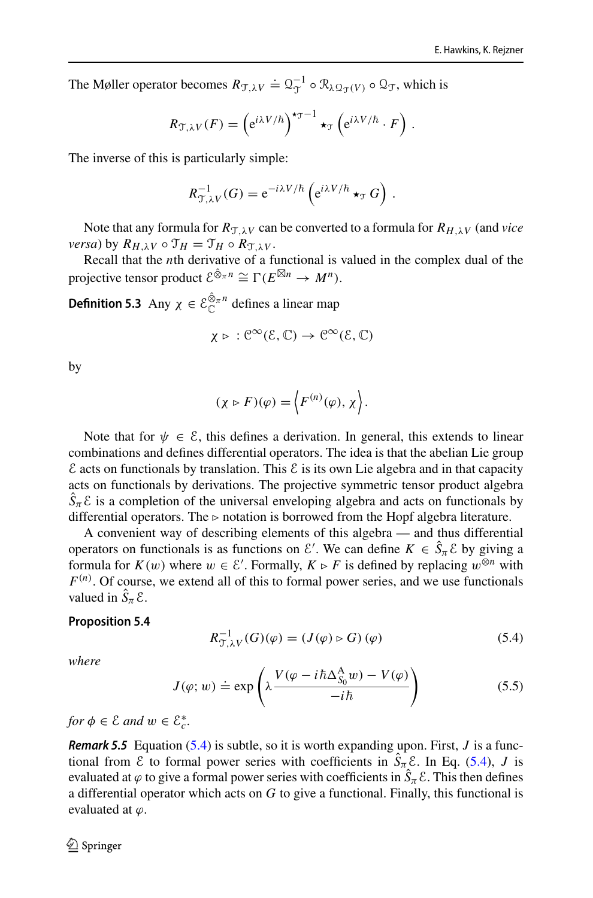The Møller operator becomes  $R_{\mathcal{T},\lambda V} \doteq Q_{\mathcal{T}}^{-1} \circ \mathcal{R}_{\lambda \mathcal{Q}_{\mathcal{T}}(V)} \circ \mathcal{Q}_{\mathcal{T}}$ , which is

$$
R_{\mathcal{T},\lambda V}(F) = \left(e^{i\lambda V/\hbar}\right)^{\star_{\mathcal{T}}-1} \star_{\mathcal{T}} \left(e^{i\lambda V/\hbar} \cdot F\right).
$$

The inverse of this is particularly simple:

$$
R_{\mathcal{T},\lambda V}^{-1}(G) = e^{-i\lambda V/\hbar} \left( e^{i\lambda V/\hbar} \star_{\mathcal{T}} G \right).
$$

Note that any formula for  $R_{\mathcal{T}\lambda V}$  can be converted to a formula for  $R_{H\lambda V}$  (and *vice versa*) by  $R_{H,\lambda V} \circ \mathcal{T}_H = \mathcal{T}_H \circ R_{\mathcal{T},\lambda V}$ .

Recall that the *n*th derivative of a functional is valued in the complex dual of the projective tensor product  $\mathcal{E}^{\hat{\otimes}_{\pi}n} \cong \Gamma(E^{\boxtimes n} \to M^n)$ .

**Definition 5.3** Any  $\chi \in \mathcal{E}_{\mathbb{C}}^{\hat{\otimes}_{\pi}n}$  defines a linear map

$$
\chi \triangleright \, : \mathcal{C}^\infty(\mathcal{E},\mathbb{C}) \to \mathcal{C}^\infty(\mathcal{E},\mathbb{C})
$$

by

$$
(\chi \triangleright F)(\varphi) = \langle F^{(n)}(\varphi), \chi \rangle.
$$

Note that for  $\psi \in \mathcal{E}$ , this defines a derivation. In general, this extends to linear combinations and defines differential operators. The idea is that the abelian Lie group  $\epsilon$  acts on functionals by translation. This  $\epsilon$  is its own Lie algebra and in that capacity acts on functionals by derivations. The projective symmetric tensor product algebra  $\hat{S}_{\pi}$  *E* is a completion of the universal enveloping algebra and acts on functionals by differential operators. The  $\triangleright$  notation is borrowed from the Hopf algebra literature.

A convenient way of describing elements of this algebra — and thus differential operators on functionals is as functions on  $\mathcal{E}'$ . We can define  $K \in \hat{S}_\pi \mathcal{E}$  by giving a formula for  $K(w)$  where  $w \in \mathcal{E}'$ . Formally,  $K \triangleright F$  is defined by replacing  $w^{\otimes n}$  with *F* (*n*) . Of course, we extend all of this to formal power series, and we use functionals valued in  $\hat{S}_{\pi} \mathcal{E}$ .

#### <span id="page-28-1"></span>**Proposition 5.4**

<span id="page-28-0"></span>
$$
R_{\mathcal{T},\lambda V}^{-1}(G)(\varphi) = (J(\varphi) \triangleright G)(\varphi)
$$
\n
$$
(5.4)
$$

*where*

<span id="page-28-2"></span>
$$
J(\varphi; w) \doteq \exp\left(\lambda \frac{V(\varphi - i\hbar \Delta_{S_0}^{\mathcal{A}} w) - V(\varphi)}{-i\hbar}\right) \tag{5.5}
$$

 $for \phi \in \mathcal{E} \text{ and } w \in \mathcal{E}_{c}^{*}.$ 

**Remark 5.5** Equation [\(5.4\)](#page-28-0) is subtle, so it is worth expanding upon. First, *J* is a functional from  $\mathcal{E}$  to formal power series with coefficients in  $\hat{S}_\pi \mathcal{E}$ . In Eq. [\(5.4\)](#page-28-0), *J* is evaluated at  $\varphi$  to give a formal power series with coefficients in  $\hat{S}_\pi\mathcal{E}.$  This then defines a differential operator which acts on *G* to give a functional. Finally, this functional is evaluated at  $\varphi$ .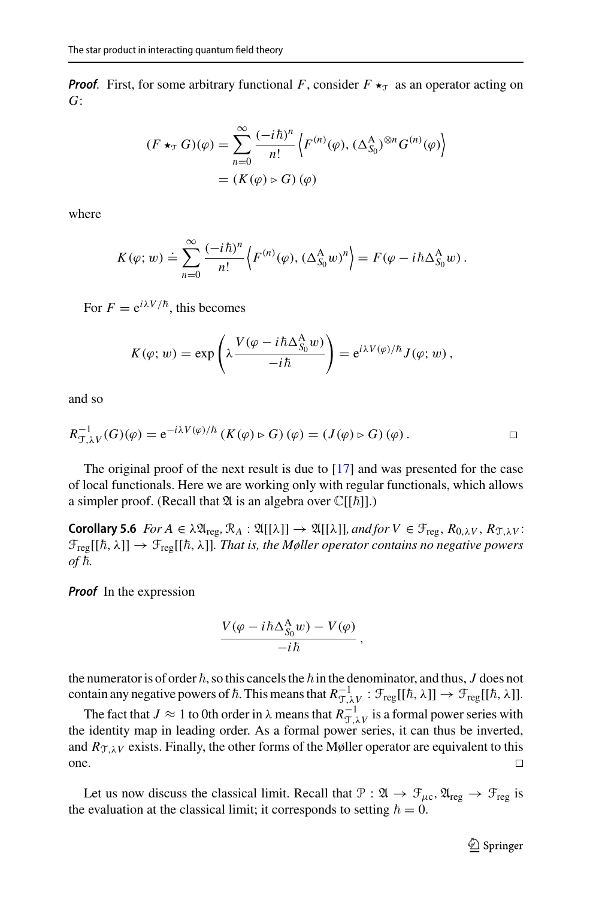**Proof.** First, for some arbitrary functional *F*, consider  $F \star_T$  as an operator acting on *G*:

$$
(F \star_{\mathcal{T}} G)(\varphi) = \sum_{n=0}^{\infty} \frac{(-i\hbar)^n}{n!} \left\langle F^{(n)}(\varphi), (\Delta_{S_0}^{\mathcal{A}})^{\otimes n} G^{(n)}(\varphi) \right\rangle
$$
  
=  $(K(\varphi) \triangleright G)(\varphi)$ 

where

$$
K(\varphi; w) \doteq \sum_{n=0}^{\infty} \frac{(-i\hbar)^n}{n!} \left\langle F^{(n)}(\varphi), (\Delta_{S_0}^{\mathcal{A}} w)^n \right\rangle = F(\varphi - i\hbar \Delta_{S_0}^{\mathcal{A}} w).
$$

For  $F = e^{i\lambda V/\hbar}$ , this becomes

$$
K(\varphi; w) = \exp\left(\lambda \frac{V(\varphi - i\hbar \Delta_{S_0}^A w)}{-i\hbar}\right) = e^{i\lambda V(\varphi)/\hbar} J(\varphi; w),
$$

and so

$$
R_{\mathcal{T},\lambda V}^{-1}(G)(\varphi) = e^{-i\lambda V(\varphi)/\hbar} \left( K(\varphi) \triangleright G \right)(\varphi) = \left( J(\varphi) \triangleright G \right)(\varphi).
$$

The original proof of the next result is due to [\[17](#page-56-2)] and was presented for the case of local functionals. Here we are working only with regular functionals, which allows a simpler proof. (Recall that  $\mathfrak A$  is an algebra over  $\mathbb C[[\hbar]]$ .)

**Corollary 5.6** *For A*  $\in \lambda \mathfrak{A}_{reg}, \mathcal{R}_A : \mathfrak{A}[[\lambda]] \rightarrow \mathfrak{A}[[\lambda]],$  *and for*  $V \in \mathcal{F}_{reg}, R_{0,\lambda V}, R_{\mathcal{T},\lambda V}$ :  $\mathfrak{F}_{\text{reg}}[[\hbar,\lambda]]\to \mathfrak{F}_{\text{reg}}[[\hbar,\lambda]].$  That is, the Møller operator contains no negative powers *of*  $\hbar$ .

**Proof** In the expression

<span id="page-29-0"></span>
$$
\frac{V(\varphi - i\hbar \Delta_{S_0}^{\mathcal{A}} w) - V(\varphi)}{-i\hbar} ,
$$

the numerator is of order  $\hbar,$  so this cancels the  $\hbar$  in the denominator, and thus,  $J$  does not contain any negative powers of  $\hbar$ . This means that  $R_{\mathcal{T},\lambda V}^{-1}$ :  $\mathcal{F}_{reg}[[\hbar,\lambda]] \to \mathcal{F}_{reg}[[\hbar,\lambda]].$ 

The fact that  $J \approx 1$  to 0th order in  $\lambda$  means that  $R_{\mathcal{T},\lambda V}^{-1}$  is a formal power series with the identity map in leading order. As a formal power series, it can thus be inverted, and  $R_{\mathcal{T},\lambda V}$  exists. Finally, the other forms of the Møller operator are equivalent to this one.  $\Box$ 

Let us now discuss the classical limit. Recall that  $\mathcal{P} : \mathfrak{A} \to \mathfrak{F}_{\mu c}, \mathfrak{A}_{reg} \to \mathfrak{F}_{reg}$  is the evaluation at the classical limit; it corresponds to setting  $\hbar = 0$ .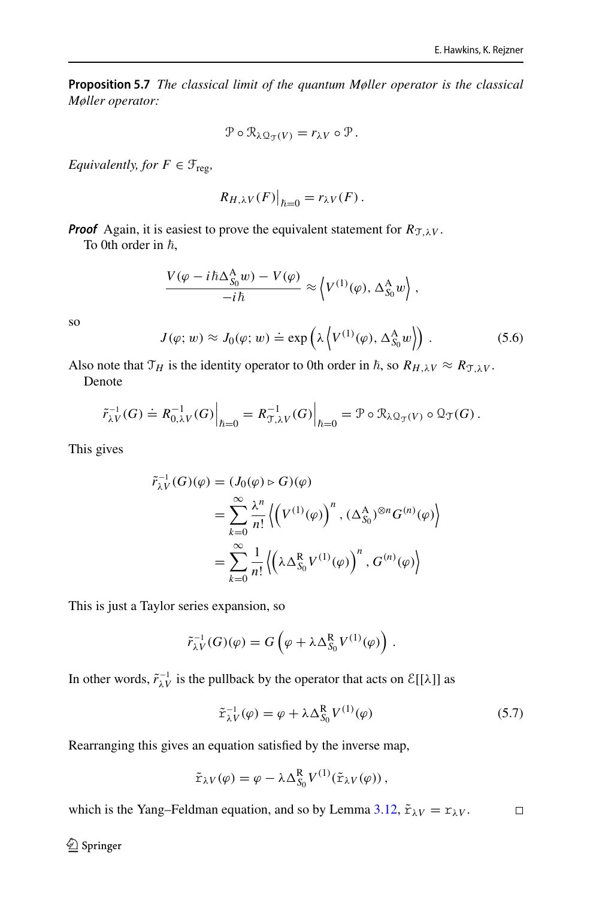**Proposition 5.7** *The classical limit of the quantum Møller operator is the classical Møller operator:*

$$
\mathcal{P}\circ\mathcal{R}_{\lambda\mathcal{Q}_{\mathcal{T}}(V)}=r_{\lambda V}\circ\mathcal{P}.
$$

*Equivalently, for*  $F \in \mathcal{F}_{reg}$ *,* 

$$
R_{H,\lambda V}(F)|_{\hbar=0} = r_{\lambda V}(F).
$$

**Proof** Again, it is easiest to prove the equivalent statement for  $R_{\text{TLV}}$ .

To 0th order in  $\hbar$ ,

$$
\frac{V(\varphi - i\hbar \Delta_{S_0}^{\mathcal{A}} w) - V(\varphi)}{-i\hbar} \approx \left\langle V^{(1)}(\varphi), \Delta_{S_0}^{\mathcal{A}} w \right\rangle,
$$

so

<span id="page-30-0"></span>
$$
J(\varphi; w) \approx J_0(\varphi; w) \doteq \exp\left(\lambda \left\langle V^{(1)}(\varphi), \Delta_{S_0}^{\mathcal{A}} w \right\rangle\right). \tag{5.6}
$$

Also note that  $\mathcal{T}_H$  is the identity operator to 0th order in  $\hbar$ , so  $R_{H,\lambda V} \approx R_{\mathcal{T},\lambda V}$ . Denote

$$
\tilde{r}_{\lambda V}^{-1}(G) \doteq R_{0,\lambda V}^{-1}(G)\Big|_{\hbar=0} = R_{\mathcal{T},\lambda V}^{-1}(G)\Big|_{\hbar=0} = \mathcal{P} \circ \mathcal{R}_{\lambda \mathcal{Q}_{\mathcal{T}}(V)} \circ \mathcal{Q}_{\mathcal{T}}(G).
$$

This gives

$$
\tilde{r}_{\lambda V}^{-1}(G)(\varphi) = (J_0(\varphi) \triangleright G)(\varphi)
$$
\n
$$
= \sum_{k=0}^{\infty} \frac{\lambda^n}{n!} \left\langle \left(V^{(1)}(\varphi)\right)^n, (\Delta_{S_0}^{\mathcal{A}})^{\otimes n} G^{(n)}(\varphi) \right\rangle
$$
\n
$$
= \sum_{k=0}^{\infty} \frac{1}{n!} \left\langle \left(\lambda \Delta_{S_0}^{\mathcal{R}} V^{(1)}(\varphi)\right)^n, G^{(n)}(\varphi) \right\rangle
$$

This is just a Taylor series expansion, so

$$
\tilde{r}_{\lambda V}^{-1}(G)(\varphi) = G\left(\varphi + \lambda \Delta_{S_0}^{\mathsf{R}} V^{(1)}(\varphi)\right).
$$

In other words,  $\tilde{r}_{\lambda V}^{-1}$  is the pullback by the operator that acts on  $\mathcal{E}[[\lambda]]$  as

$$
\tilde{\mathbf{r}}_{\lambda V}^{-1}(\varphi) = \varphi + \lambda \Delta_{S_0}^{\mathbf{R}} V^{(1)}(\varphi)
$$
\n(5.7)

Rearranging this gives an equation satisfied by the inverse map,

$$
\tilde{\mathbf{r}}_{\lambda V}(\varphi) = \varphi - \lambda \Delta_{S_0}^{\mathbf{R}} V^{(1)}(\tilde{\mathbf{r}}_{\lambda V}(\varphi)),
$$

which is the Yang–Feldman equation, and so by Lemma [3.12,](#page-10-5)  $\tilde{r}_{\lambda V} = r_{\lambda V}$ .  $\Box$ 

 $\bigcircled{2}$  Springer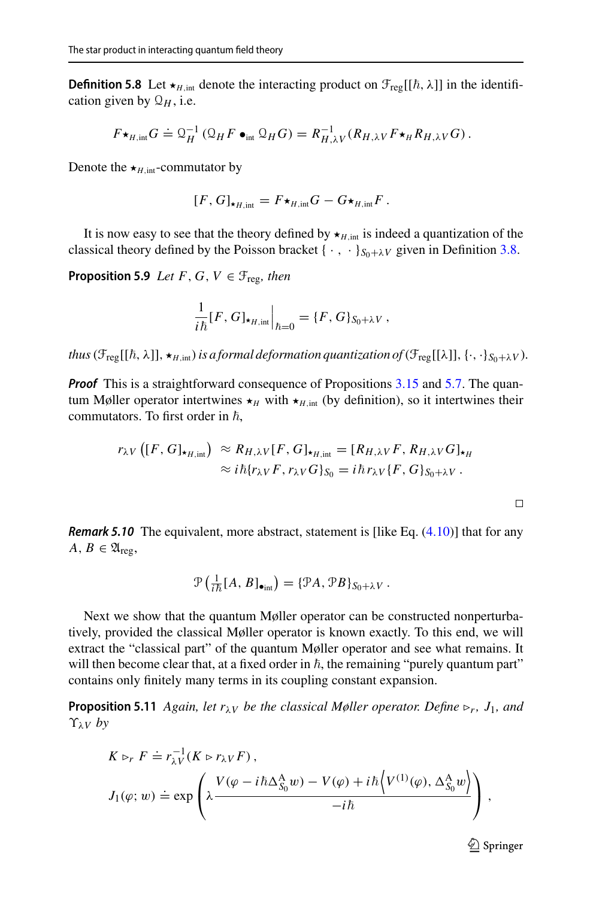**Definition 5.8** Let  $\star_{H,\text{int}}$  denote the interacting product on  $\mathcal{F}_{reg}[[\hbar,\lambda]]$  in the identification given by  $\mathcal{Q}_H$ , i.e.

$$
F\star_{H,\text{int}} G \doteq \mathcal{Q}_H^{-1} \left( \mathcal{Q}_H F \bullet_{\text{int}} \mathcal{Q}_H G \right) = R_{H,\lambda V}^{-1} (R_{H,\lambda V} F \star_H R_{H,\lambda V} G).
$$

Denote the  $\star$ <sub>*H*, int</sub>-commutator by

$$
[F, G]_{\star_{H, \text{int}}} = F \star_{H, \text{int}} G - G \star_{H, \text{int}} F.
$$

It is now easy to see that the theory defined by  $\star$ <sub>*H*,int</sub> is indeed a quantization of the classical theory defined by the Poisson bracket { $\cdot$ ,  $\cdot$  }  $S_{0+\lambda}V$  given in Definition [3.8.](#page-9-0)

**Proposition 5.9** *Let*  $F$ ,  $G$ ,  $V \in \mathcal{F}_{reg}$ *, then* 

$$
\frac{1}{i\hbar}[F,G]_{\star_{H,\text{int}}} \Big|_{\hbar=0} = \{F,G\}_{S_0+\lambda V},
$$

*thus*  $(\mathcal{F}_{reg}[[\hbar,\lambda]], \star_{H,\text{int}})$  *is a formal deformation quantization of*  $(\mathcal{F}_{reg}[[\lambda]], \{\cdot, \cdot\}_{S_0+\lambda V})$ *.* 

**Proof** This is a straightforward consequence of Propositions [3.15](#page-12-2) and [5.7.](#page-29-0) The quantum Møller operator intertwines  $\star$ <sub>*H*</sub> with  $\star$ <sub>*H*,int</sub> (by definition), so it intertwines their commutators. To first order in  $\hbar$ ,

$$
r_{\lambda V}([F, G]_{\star_{H, \text{int}}}) \approx R_{H, \lambda V}[F, G]_{\star_{H, \text{int}}} = [R_{H, \lambda V}F, R_{H, \lambda V}G]_{\star_H}
$$
  
 
$$
\approx i\hbar \{r_{\lambda V}F, r_{\lambda V}G\}_{S_0} = i\hbar r_{\lambda V}\{F, G\}_{S_0 + \lambda V}.
$$

**Remark 5.10** The equivalent, more abstract, statement is [like Eq. [\(4.10\)](#page-18-1)] that for any  $A, B \in \mathfrak{A}_{\text{reg}},$ 

$$
\mathcal{P}\left(\frac{1}{i\hbar}[A,B]_{\bullet_{int}}\right) = \{\mathcal{P}A,\mathcal{P}B\}_{S_0+\lambda V}.
$$

Next we show that the quantum Møller operator can be constructed nonperturbatively, provided the classical Møller operator is known exactly. To this end, we will extract the "classical part" of the quantum Møller operator and see what remains. It will then become clear that, at a fixed order in  $\hbar,$  the remaining "purely quantum part" contains only finitely many terms in its coupling constant expansion.

**Proposition 5.11** *Again, let r*λ*<sup>V</sup> be the classical Møller operator. Define* ⊲*<sup>r</sup> , J*1*, and* ϒλ*<sup>V</sup> by*

$$
K \rhd_r F \doteq r_{\lambda V}^{-1}(K \rhd r_{\lambda V} F),
$$
  
\n
$$
J_1(\varphi; w) \doteq \exp \left( \lambda \frac{V(\varphi - i\hbar \Delta_{S_0}^A w) - V(\varphi) + i\hbar \left\langle V^{(1)}(\varphi), \Delta_{S_0}^A w \right\rangle}{-i\hbar} \right),
$$

<span id="page-31-0"></span> $\Box$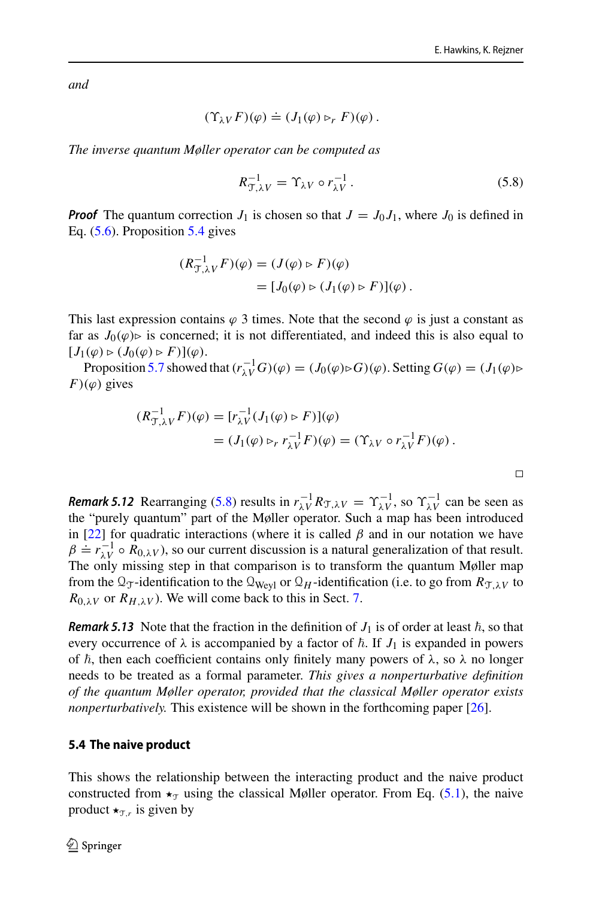$\Box$ 

*and*

$$
(\Upsilon_{\lambda V} F)(\varphi) \doteq (J_1(\varphi) \rhd_r F)(\varphi).
$$

*The inverse quantum Møller operator can be computed as*

<span id="page-32-1"></span>
$$
R_{\mathcal{T},\lambda V}^{-1} = \Upsilon_{\lambda V} \circ r_{\lambda V}^{-1}.
$$
 (5.8)

**Proof** The quantum correction  $J_1$  is chosen so that  $J = J_0 J_1$ , where  $J_0$  is defined in Eq. [\(5.6\)](#page-30-0). Proposition [5.4](#page-28-1) gives

$$
\begin{aligned} (R_{\mathcal{T},\lambda V}^{-1}F)(\varphi) &= (J(\varphi) \triangleright F)(\varphi) \\ &= [J_0(\varphi) \triangleright (J_1(\varphi) \triangleright F)](\varphi) \,. \end{aligned}
$$

This last expression contains  $\varphi$  3 times. Note that the second  $\varphi$  is just a constant as far as  $J_0(\varphi)$  is concerned; it is not differentiated, and indeed this is also equal to  $[J_1(\varphi) \triangleright (J_0(\varphi) \triangleright F)](\varphi).$ 

Proposition [5.7](#page-29-0) showed that  $(r_{\lambda V}^{-1}G)(\varphi) = (J_0(\varphi) \triangleright G)(\varphi)$ . Setting  $G(\varphi) = (J_1(\varphi) \triangleright$  $F$ )( $\varphi$ ) gives

$$
(R_{\mathcal{T},\lambda V}^{-1} F)(\varphi) = [r_{\lambda V}^{-1} (J_1(\varphi) \triangleright F)](\varphi)
$$
  
= 
$$
(J_1(\varphi) \triangleright_r r_{\lambda V}^{-1} F)(\varphi) = (\Upsilon_{\lambda V} \circ r_{\lambda V}^{-1} F)(\varphi).
$$

<span id="page-32-2"></span>**Remark 5.12** Rearranging [\(5.8\)](#page-32-1) results in  $r_{\lambda V}^{-1}R_{\mathcal{T},\lambda V} = \Upsilon_{\lambda V}^{-1}$ , so  $\Upsilon_{\lambda V}^{-1}$  can be seen as the "purely quantum" part of the Møller operator. Such a map has been introduced in [\[22](#page-56-25)] for quadratic interactions (where it is called  $\beta$  and in our notation we have  $\beta = r_{\lambda V}^{-1} \circ R_{0,\lambda V}$ , so our current discussion is a natural generalization of that result. The only missing step in that comparison is to transform the quantum Møller map from the  $\mathcal{Q}_\mathcal{T}$ -identification to the  $\mathcal{Q}_{Wev}$  or  $\mathcal{Q}_H$ -identification (i.e. to go from  $R_{\mathcal{T},\lambda V}$  to  $R_{0,\lambda V}$  or  $R_{H,\lambda V}$ ). We will come back to this in Sect. [7.](#page-52-0)

**Remark 5.13** Note that the fraction in the definition of  $J_1$  is of order at least  $\hbar$ , so that every occurrence of  $\lambda$  is accompanied by a factor of  $\hbar$ . If  $J_1$  is expanded in powers of  $\hbar$ , then each coefficient contains only finitely many powers of  $\lambda$ , so  $\lambda$  no longer needs to be treated as a formal parameter. *This gives a nonperturbative definition of the quantum Møller operator, provided that the classical Møller operator exists nonperturbatively.* This existence will be shown in the forthcoming paper [\[26\]](#page-56-16).

### <span id="page-32-0"></span>**5.4 The naive product**

This shows the relationship between the interacting product and the naive product constructed from  $\star_{\tau}$  using the classical Møller operator. From Eq. [\(5.1\)](#page-26-2), the naive product  $\star_{\tau,r}$  is given by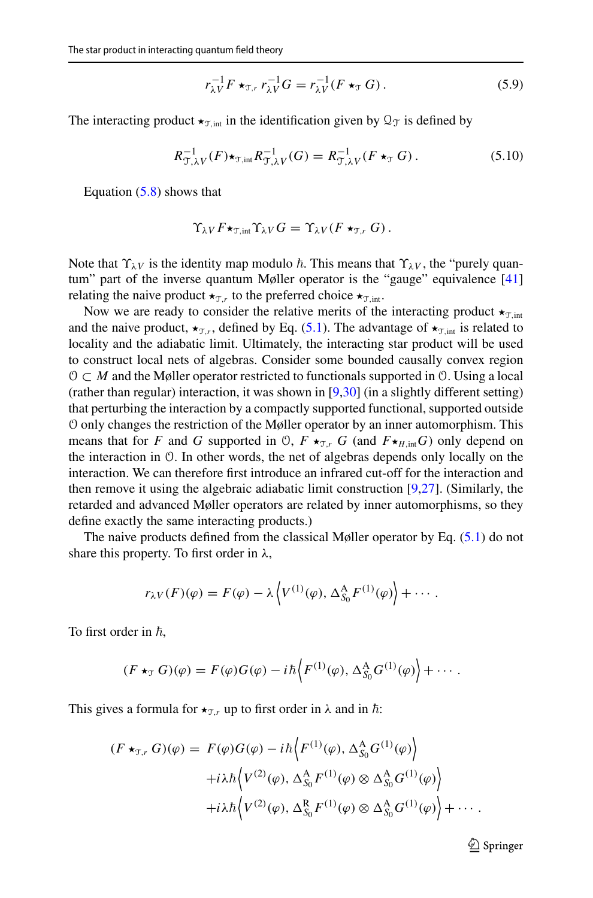$$
r_{\lambda V}^{-1} F \star_{\tau, r} r_{\lambda V}^{-1} G = r_{\lambda V}^{-1} (F \star_{\tau} G). \tag{5.9}
$$

The interacting product  $\star_{\text{T int}}$  in the identification given by  $\mathcal{Q}_{\text{T}}$  is defined by

<span id="page-33-0"></span>
$$
R_{\mathcal{T},\lambda V}^{-1}(F) \star_{\mathcal{T},\text{int}} R_{\mathcal{T},\lambda V}^{-1}(G) = R_{\mathcal{T},\lambda V}^{-1}(F \star_{\mathcal{T}} G). \tag{5.10}
$$

Equation  $(5.8)$  shows that

$$
\Upsilon_{\lambda V} F \star_{\mathfrak{T},\mathrm{int}} \Upsilon_{\lambda V} G = \Upsilon_{\lambda V} (F \star_{\mathfrak{T},r} G).
$$

Note that  $\Upsilon_{\lambda V}$  is the identity map modulo  $\hbar$ . This means that  $\Upsilon_{\lambda V}$ , the "purely quan-tum" part of the inverse quantum Møller operator is the "gauge" equivalence [\[41\]](#page-57-4) relating the naive product  $\star_{\mathcal{T},r}$  to the preferred choice  $\star_{\mathcal{T},\text{int}}$ .

Now we are ready to consider the relative merits of the interacting product  $\star_{\text{T,int}}$ and the naive product,  $\star_{\mathcal{T},r}$ , defined by Eq. [\(5.1\)](#page-26-2). The advantage of  $\star_{\mathcal{T},\text{int}}$  is related to locality and the adiabatic limit. Ultimately, the interacting star product will be used to construct local nets of algebras. Consider some bounded causally convex region O ⊂ *M* and the Møller operator restricted to functionals supported in O. Using a local (rather than regular) interaction, it was shown in [\[9](#page-55-9)[,30](#page-56-23)] (in a slightly different setting) that perturbing the interaction by a compactly supported functional, supported outside O only changes the restriction of the Møller operator by an inner automorphism. This means that for *F* and *G* supported in 0,  $F \star_{\mathcal{T},r} G$  (and  $F \star_{H,\text{int}} G$ ) only depend on the interaction in O. In other words, the net of algebras depends only locally on the interaction. We can therefore first introduce an infrared cut-off for the interaction and then remove it using the algebraic adiabatic limit construction [\[9](#page-55-9)[,27](#page-56-26)]. (Similarly, the retarded and advanced Møller operators are related by inner automorphisms, so they define exactly the same interacting products.)

The naive products defined from the classical Møller operator by Eq.  $(5.1)$  do not share this property. To first order in  $\lambda$ ,

$$
r_{\lambda V}(F)(\varphi) = F(\varphi) - \lambda \left\langle V^{(1)}(\varphi), \Delta_{S_0}^{\mathcal{A}} F^{(1)}(\varphi) \right\rangle + \cdots.
$$

To first order in  $\hbar$ ,

$$
(F \star_{\mathcal{T}} G)(\varphi) = F(\varphi)G(\varphi) - i\hbar \Big\langle F^{(1)}(\varphi), \Delta_{S_0}^{\mathcal{A}} G^{(1)}(\varphi) \Big\rangle + \cdots.
$$

This gives a formula for  $\star_{\mathcal{T},r}$  up to first order in  $\lambda$  and in  $\hbar$ :

$$
(F \star_{\mathcal{T},r} G)(\varphi) = F(\varphi)G(\varphi) - i\hbar \left\langle F^{(1)}(\varphi), \Delta_{S_0}^A G^{(1)}(\varphi) \right\rangle
$$

$$
+ i\lambda \hbar \left\langle V^{(2)}(\varphi), \Delta_{S_0}^A F^{(1)}(\varphi) \otimes \Delta_{S_0}^A G^{(1)}(\varphi) \right\rangle
$$

$$
+ i\lambda \hbar \left\langle V^{(2)}(\varphi), \Delta_{S_0}^R F^{(1)}(\varphi) \otimes \Delta_{S_0}^A G^{(1)}(\varphi) \right\rangle + \cdots.
$$

 $\mathcal{D}$  Springer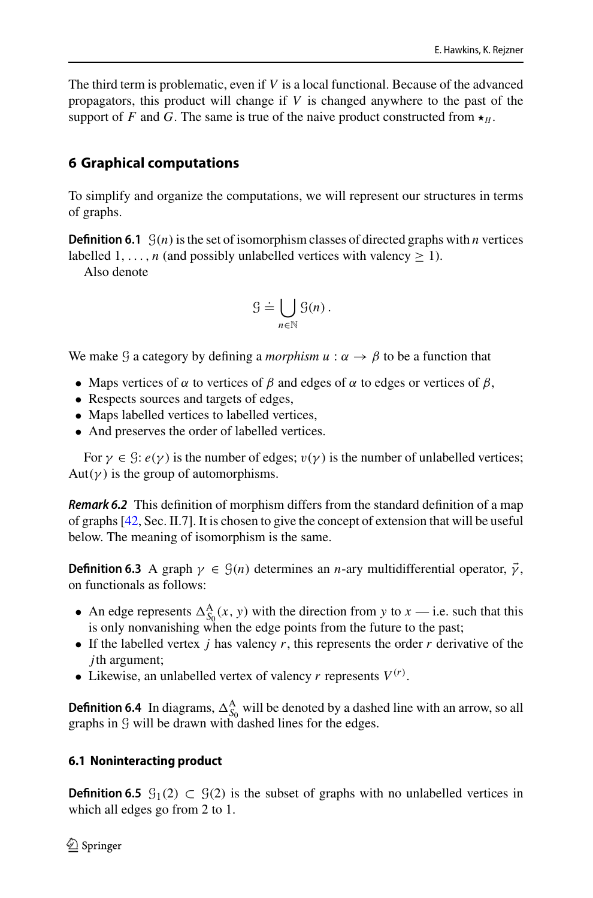The third term is problematic, even if *V* is a local functional. Because of the advanced propagators, this product will change if *V* is changed anywhere to the past of the support of *F* and *G*. The same is true of the naive product constructed from  $\star$ <sub>*H*</sub>.

# <span id="page-34-0"></span>**6 Graphical computations**

To simplify and organize the computations, we will represent our structures in terms of graphs.

**Definition 6.1**  $G(n)$  is the set of isomorphism classes of directed graphs with *n* vertices labelled  $1, \ldots, n$  (and possibly unlabelled vertices with valency  $> 1$ ).

Also denote

$$
\mathcal{G} \doteq \bigcup_{n \in \mathbb{N}} \mathcal{G}(n) \, .
$$

We make G a category by defining a *morphism*  $u : \alpha \rightarrow \beta$  to be a function that

- Maps vertices of  $\alpha$  to vertices of  $\beta$  and edges of  $\alpha$  to edges or vertices of  $\beta$ ,
- Respects sources and targets of edges,
- Maps labelled vertices to labelled vertices,
- And preserves the order of labelled vertices.

For  $\gamma \in \mathcal{G}$ :  $e(\gamma)$  is the number of edges;  $v(\gamma)$  is the number of unlabelled vertices; Aut( $\gamma$ ) is the group of automorphisms.

**Remark 6.2** This definition of morphism differs from the standard definition of a map of graphs [\[42,](#page-57-14) Sec. II.7]. It is chosen to give the concept of extension that will be useful below. The meaning of isomorphism is the same.

**Definition 6.3** A graph  $\gamma \in \mathcal{G}(n)$  determines an *n*-ary multidifferential operator,  $\vec{\gamma}$ , on functionals as follows:

- An edge represents  $\Delta_{S_0}^{\mathbf{A}}(x, y)$  with the direction from *y* to *x* i.e. such that this is only nonvanishing when the edge points from the future to the past;
- If the labelled vertex *j* has valency *r*, this represents the order *r* derivative of the *j*th argument;
- Likewise, an unlabelled vertex of valency  $r$  represents  $V^{(r)}$ .

**Definition 6.4** In diagrams,  $\Delta_{S_0}^{\mathbf{A}}$  will be denoted by a dashed line with an arrow, so all graphs in G will be drawn with dashed lines for the edges.

## <span id="page-34-1"></span>**6.1 Noninteracting product**

**Definition 6.5**  $\mathcal{G}_1(2) \subset \mathcal{G}(2)$  is the subset of graphs with no unlabelled vertices in which all edges go from 2 to 1.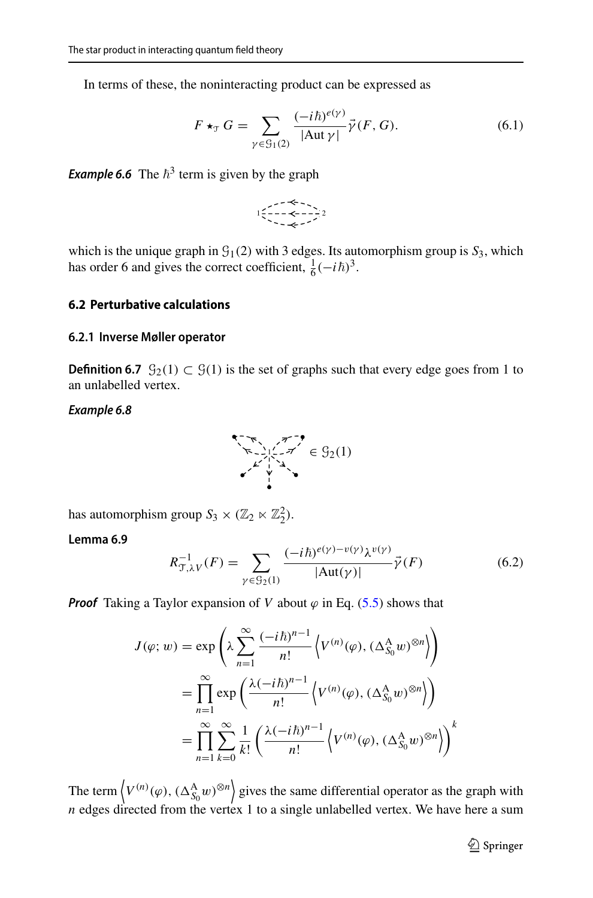In terms of these, the noninteracting product can be expressed as

<span id="page-35-2"></span>
$$
F \star_{\mathcal{T}} G = \sum_{\gamma \in \mathcal{G}_1(2)} \frac{(-i\hbar)^{e(\gamma)}}{|\text{Aut }\gamma|} \vec{\gamma}(F, G). \tag{6.1}
$$

**Example 6.6** The  $\hbar^3$  term is given by the graph

$$
\begin{array}{c}\n1 & \xrightarrow{\sim} \leftarrow \\
1 & \xrightarrow{\sim} \leftarrow \\
1 & \xrightarrow{\sim} \leftarrow \\
1 & \xrightarrow{\sim} \leftarrow \\
1 & \xrightarrow{\sim} \\
1 & \xrightarrow{\sim} \\
1 & \xrightarrow{\sim} \\
1 & \xrightarrow{\sim} \\
1 & \xrightarrow{\sim} \\
1 & \xrightarrow{\sim} \\
1 & \xrightarrow{\sim} \\
1 & \xrightarrow{\sim} \\
1 & \xrightarrow{\sim} \\
1 & \xrightarrow{\sim} \\
1 & \xrightarrow{\sim} \\
1 & \xrightarrow{\sim} \\
1 & \xrightarrow{\sim} \\
1 & \xrightarrow{\sim} \\
1 & \xrightarrow{\sim} \\
1 & \xrightarrow{\sim} \\
1 & \xrightarrow{\sim} \\
1 & \xrightarrow{\sim} \\
1 & \xrightarrow{\sim} \\
1 & \xrightarrow{\sim} \\
1 & \xrightarrow{\sim} \\
1 & \xrightarrow{\sim} \\
1 & \xrightarrow{\sim} \\
1 & \xrightarrow{\sim} \\
1 & \xrightarrow{\sim} \\
1 & \xrightarrow{\sim} \\
1 & \xrightarrow{\sim} \\
1 & \xrightarrow{\sim} \\
1 & \xrightarrow{\sim} \\
1 & \xrightarrow{\sim} \\
1 & \xrightarrow{\sim} \\
1 & \xrightarrow{\sim} \\
1 & \xrightarrow{\sim} \\
1 & \xrightarrow{\sim} \\
1 & \xrightarrow{\sim} \\
1 & \xrightarrow{\sim} \\
1 & \xrightarrow{\sim} \\
1 & \xrightarrow{\sim} \\
1 & \xrightarrow{\sim} \\
1 & \xrightarrow{\sim} \\
1 & \xrightarrow{\sim} \\
1 & \xrightarrow{\sim} \\
1 & \xrightarrow{\sim} \\
1 & \xrightarrow{\sim} \\
1 & \xrightarrow{\sim} \\
1 & \xrightarrow{\sim} \\
1 & \xrightarrow{\sim} \\
1 & \xrightarrow{\sim} \\
1 & \xrightarrow{\sim} \\
1 & \xrightarrow{\sim} \\
1 & \xrightarrow{\sim} \\
1 & \xrightarrow{\sim} \\
1 & \xrightarrow{\sim} \\
1 & \xrightarrow{\sim} \\
1 & \xrightarrow{\sim} \\
1 & \xrightarrow{\sim} \\
1 & \xrightarrow{\sim} \\
1 & \xrightarrow{\sim} \\
1 & \xrightarrow{\sim} \\
1 & \xrightarrow{\sim} \\
1 & \xrightarrow{\sim} \\
1 & \xrightarrow{\sim} \\
1 & \xrightarrow{\sim} \\
1 &
$$

which is the unique graph in  $\mathcal{G}_1(2)$  with 3 edges. Its automorphism group is  $\mathcal{S}_3$ , which has order 6 and gives the correct coefficient,  $\frac{1}{6}(-i\hbar)^3$ .

#### <span id="page-35-0"></span>**6.2 Perturbative calculations**

#### <span id="page-35-1"></span>**6.2.1 Inverse Møller operator**

**Definition 6.7**  $\mathcal{G}_2(1)$  ⊂  $\mathcal{G}(1)$  is the set of graphs such that every edge goes from 1 to an unlabelled vertex.

#### **Example 6.8**



has automorphism group  $S_3 \times (\mathbb{Z}_2 \ltimes \mathbb{Z}_2^2)$ .

### **Lemma 6.9**

<span id="page-35-3"></span>
$$
R_{\mathcal{T},\lambda V}^{-1}(F) = \sum_{\gamma \in \mathcal{G}_2(1)} \frac{(-i\hbar)^{e(\gamma) - v(\gamma)} \lambda^{v(\gamma)}}{|\text{Aut}(\gamma)|} \vec{\gamma}(F) \tag{6.2}
$$

**Proof** Taking a Taylor expansion of *V* about  $\varphi$  in Eq. [\(5.5\)](#page-28-2) shows that

$$
J(\varphi; w) = \exp\left(\lambda \sum_{n=1}^{\infty} \frac{(-i\hbar)^{n-1}}{n!} \left\langle V^{(n)}(\varphi), (\Delta_{S_0}^{\mathcal{A}} w)^{\otimes n} \right\rangle\right)
$$
  

$$
= \prod_{n=1}^{\infty} \exp\left(\frac{\lambda (-i\hbar)^{n-1}}{n!} \left\langle V^{(n)}(\varphi), (\Delta_{S_0}^{\mathcal{A}} w)^{\otimes n} \right\rangle\right)
$$
  

$$
= \prod_{n=1}^{\infty} \sum_{k=0}^{\infty} \frac{1}{k!} \left(\frac{\lambda (-i\hbar)^{n-1}}{n!} \left\langle V^{(n)}(\varphi), (\Delta_{S_0}^{\mathcal{A}} w)^{\otimes n} \right\rangle\right)^{k}
$$

The term  $\left\langle V^{(n)}(\varphi), (\Delta_{S_0}^{\mathcal{A}} w)^{\otimes n} \right\rangle$  gives the same differential operator as the graph with  $n$  edges directed from the vertex 1 to a single unlabelled vertex. We have here a sum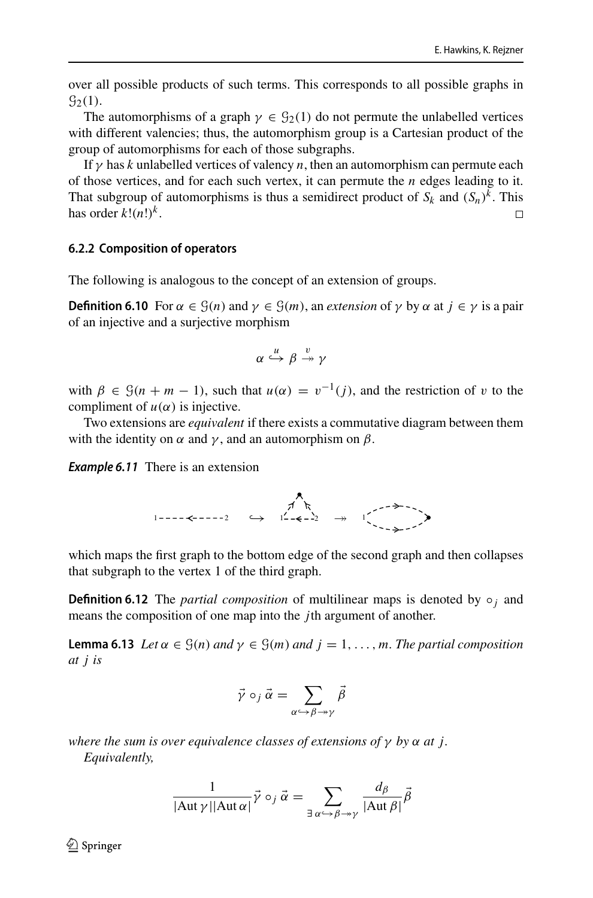over all possible products of such terms. This corresponds to all possible graphs in  $\mathcal{G}_2(1)$ .

The automorphisms of a graph  $\gamma \in \mathcal{G}_2(1)$  do not permute the unlabelled vertices with different valencies; thus, the automorphism group is a Cartesian product of the group of automorphisms for each of those subgraphs.

If  $\gamma$  has *k* unlabelled vertices of valency *n*, then an automorphism can permute each of those vertices, and for each such vertex, it can permute the *n* edges leading to it. That subgroup of automorphisms is thus a semidirect product of  $S_k$  and  $(S_n)^k$ . This has order  $k!(n!)^k$ .  $\Box$ 

#### <span id="page-36-0"></span>**6.2.2 Composition of operators**

The following is analogous to the concept of an extension of groups.

**Definition 6.10** For  $\alpha \in \mathcal{G}(n)$  and  $\gamma \in \mathcal{G}(m)$ , an *extension* of  $\gamma$  by  $\alpha$  at  $j \in \gamma$  is a pair of an injective and a surjective morphism

$$
\alpha \stackrel{u}{\hookrightarrow} \beta \stackrel{v}{\twoheadrightarrow} \gamma
$$

with  $\beta \in \mathcal{G}(n + m - 1)$ , such that  $u(\alpha) = v^{-1}(j)$ , and the restriction of v to the compliment of  $u(\alpha)$  is injective.

Two extensions are *equivalent* if there exists a commutative diagram between them with the identity on  $\alpha$  and  $\gamma$ , and an automorphism on  $\beta$ .

**Example 6.11** There is an extension

<sup>1</sup> <sup>2</sup> ֒→ <sup>1</sup> <sup>2</sup> ։ <sup>1</sup>

which maps the first graph to the bottom edge of the second graph and then collapses that subgraph to the vertex 1 of the third graph.

**Definition 6.12** The *partial composition* of multilinear maps is denoted by  $\circ$ <sub>*j*</sub> and means the composition of one map into the *j*th argument of another.

<span id="page-36-1"></span>**Lemma 6.13** *Let*  $\alpha \in \mathcal{G}(n)$  *and*  $\gamma \in \mathcal{G}(m)$  *and*  $j = 1, \ldots, m$ *. The partial composition at j is*

$$
\vec{\gamma} \circ_j \vec{\alpha} = \sum_{\alpha \hookrightarrow \beta \twoheadrightarrow \gamma} \vec{\beta}
$$

*where the sum is over equivalence classes of extensions of* γ *by* α *at j. Equivalently,*

$$
\frac{1}{|\text{Aut }\gamma||\text{Aut }\alpha|} \vec{\gamma} \circ_j \vec{\alpha} = \sum_{\exists \alpha \hookrightarrow \beta \to \gamma} \frac{d_{\beta}}{|\text{Aut }\beta|} \vec{\beta}
$$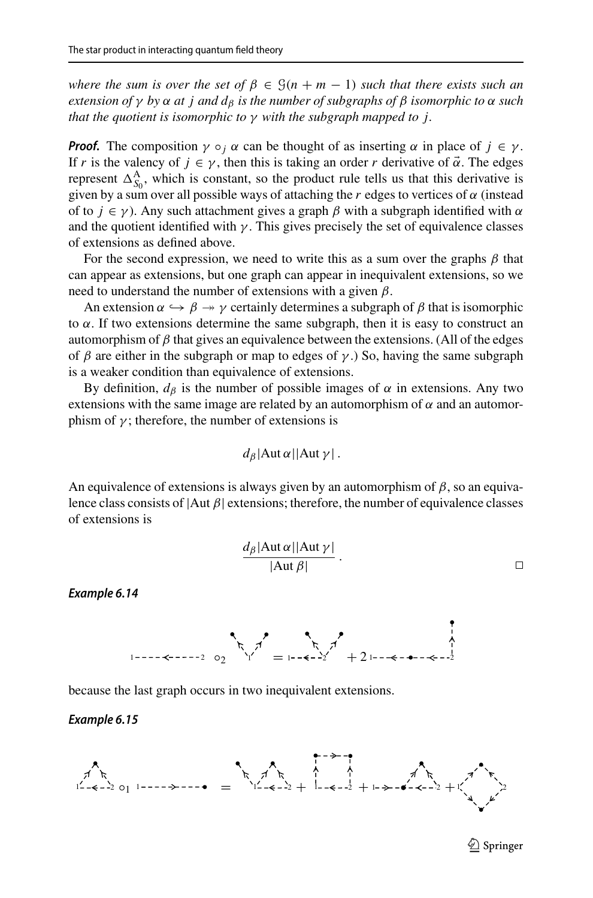*where the sum is over the set of*  $\beta \in \mathcal{G}(n + m - 1)$  *such that there exists such an extension of*  $\gamma$  *by*  $\alpha$  *at j and*  $d_{\beta}$  *is the number of subgraphs of*  $\beta$  *isomorphic to*  $\alpha$  *such that the quotient is isomorphic to* γ *with the subgraph mapped to j.*

**Proof.** The composition  $\gamma \circ_i \alpha$  can be thought of as inserting  $\alpha$  in place of  $j \in \gamma$ . If *r* is the valency of  $j \in \gamma$ , then this is taking an order *r* derivative of  $\vec{\alpha}$ . The edges represent  $\Delta_{S_0}^{\mathbf{A}}$ , which is constant, so the product rule tells us that this derivative is given by a sum over all possible ways of attaching the  $r$  edges to vertices of  $\alpha$  (instead of to  $j \in \gamma$ ). Any such attachment gives a graph  $\beta$  with a subgraph identified with  $\alpha$ and the quotient identified with  $\gamma$ . This gives precisely the set of equivalence classes of extensions as defined above.

For the second expression, we need to write this as a sum over the graphs  $\beta$  that can appear as extensions, but one graph can appear in inequivalent extensions, so we need to understand the number of extensions with a given  $\beta$ .

An extension  $\alpha \hookrightarrow \beta \twoheadrightarrow \gamma$  certainly determines a subgraph of  $\beta$  that is isomorphic to  $\alpha$ . If two extensions determine the same subgraph, then it is easy to construct an automorphism of  $\beta$  that gives an equivalence between the extensions. (All of the edges of  $\beta$  are either in the subgraph or map to edges of  $\gamma$ .) So, having the same subgraph is a weaker condition than equivalence of extensions.

By definition,  $d_{\beta}$  is the number of possible images of  $\alpha$  in extensions. Any two extensions with the same image are related by an automorphism of  $\alpha$  and an automorphism of  $\gamma$ ; therefore, the number of extensions is

$$
d_{\beta}|\text{Aut }\alpha||\text{Aut }\gamma|
$$
.

An equivalence of extensions is always given by an automorphism of  $\beta$ , so an equivalence class consists of  $|Aut \beta|$  extensions; therefore, the number of equivalence classes of extensions is

$$
\frac{d_{\beta}|\text{Aut }\alpha||\text{Aut }\gamma|}{|\text{Aut }\beta|}.
$$



because the last graph occurs in two inequivalent extensions.

#### **Example 6.15**

**Example 6.14**

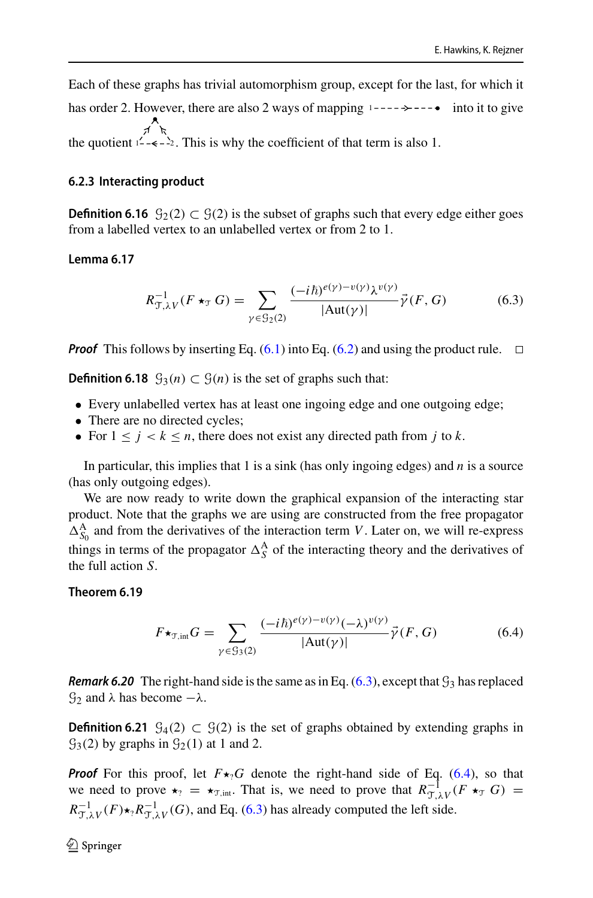Each of these graphs has trivial automorphism group, except for the last, for which it has order 2. However, there are also 2 ways of mapping  $1 - - - \rightarrow - - \bullet$  into it to give the quotient  $1^2 - \epsilon - 2$ . This is why the coefficient of that term is also 1.

### <span id="page-38-0"></span>**6.2.3 Interacting product**

**Definition 6.16**  $\mathcal{G}_2(2)$  ⊂  $\mathcal{G}(2)$  is the subset of graphs such that every edge either goes from a labelled vertex to an unlabelled vertex or from 2 to 1.

#### <span id="page-38-3"></span>**Lemma 6.17**

<span id="page-38-1"></span>
$$
R_{\mathcal{T},\lambda V}^{-1}(F \star_{\mathcal{T}} G) = \sum_{\gamma \in \mathcal{G}_2(2)} \frac{(-i\hbar)^{e(\gamma) - v(\gamma)} \lambda^{v(\gamma)}}{|\text{Aut}(\gamma)|} \vec{\gamma}(F,G) \tag{6.3}
$$

**Proof** This follows by inserting Eq.  $(6.1)$  into Eq.  $(6.2)$  and using the product rule.  $\Box$ 

**Definition 6.18**  $\mathcal{G}_3(n)$  ⊂  $\mathcal{G}(n)$  is the set of graphs such that:

- Every unlabelled vertex has at least one ingoing edge and one outgoing edge;
- There are no directed cycles;
- For  $1 \leq i \leq k \leq n$ , there does not exist any directed path from *j* to *k*.

In particular, this implies that 1 is a sink (has only ingoing edges) and *n* is a source (has only outgoing edges).

We are now ready to write down the graphical expansion of the interacting star product. Note that the graphs we are using are constructed from the free propagator  $\Delta_{S_0}^{\text{A}}$  and from the derivatives of the interaction term *V*. Later on, we will re-express things in terms of the propagator  $\Delta_S^A$  of the interacting theory and the derivatives of the full action *S*.

#### **Theorem 6.19**

<span id="page-38-4"></span><span id="page-38-2"></span>
$$
F\star_{\mathcal{T},\text{int}} G = \sum_{\gamma \in \mathcal{G}_3(2)} \frac{(-i\hbar)^{e(\gamma)-v(\gamma)}(-\lambda)^{v(\gamma)}}{|\text{Aut}(\gamma)|} \vec{\gamma}(F,G) \tag{6.4}
$$

**Remark 6.20** The right-hand side is the same as in Eq.  $(6.3)$ , except that  $\mathcal{G}_3$  has replaced  $\mathcal{G}_2$  and  $\lambda$  has become  $-\lambda$ .

**Definition 6.21**  $\mathcal{G}_4(2) \subset \mathcal{G}(2)$  is the set of graphs obtained by extending graphs in  $\mathcal{G}_3(2)$  by graphs in  $\mathcal{G}_2(1)$  at 1 and 2.

**Proof** For this proof, let  $F\star_2 G$  denote the right-hand side of Eq. [\(6.4\)](#page-38-2), so that we need to prove  $\star_? = \star_{T,\text{int}}$ . That is, we need to prove that  $R_{T,\lambda}^{-1}$  (*F*  $\star_{T}$  *G*) =  $R_{\mathcal{T},\lambda V}^{-1}(F) \star_? R_{\mathcal{T},\lambda V}^{-1}(G)$ , and Eq. [\(6.3\)](#page-38-1) has already computed the left side.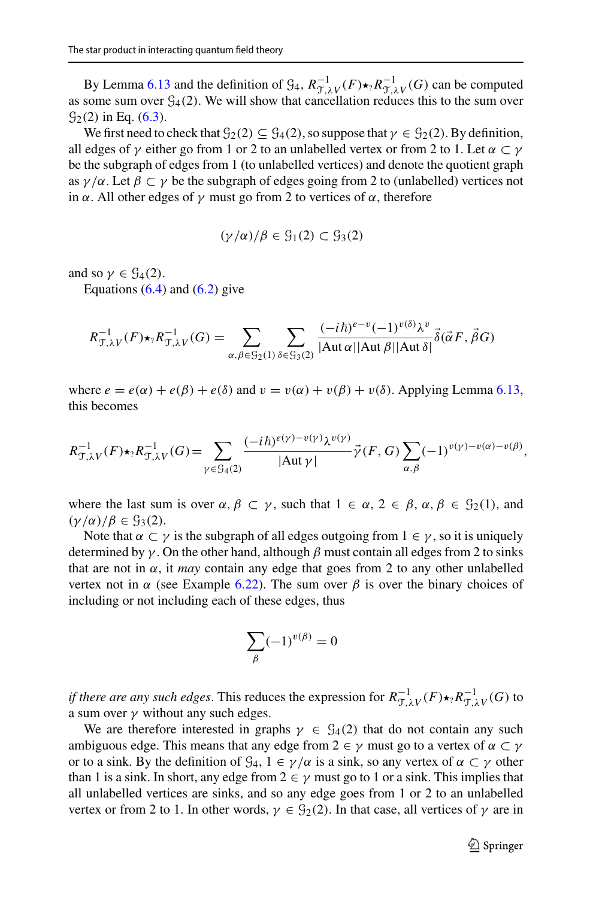By Lemma [6.13](#page-36-1) and the definition of  $\mathcal{G}_4$ ,  $R_{\mathcal{T},\lambda V}^{-1}(F) \star_{?} R_{\mathcal{T},\lambda V}^{-1}(G)$  can be computed as some sum over  $G_4(2)$ . We will show that cancellation reduces this to the sum over  $\mathcal{G}_2(2)$  in Eq. [\(6.3\)](#page-38-1).

We first need to check that  $\mathcal{G}_2(2) \subseteq \mathcal{G}_4(2)$ , so suppose that  $\gamma \in \mathcal{G}_2(2)$ . By definition, all edges of  $\gamma$  either go from 1 or 2 to an unlabelled vertex or from 2 to 1. Let  $\alpha \subset \gamma$ be the subgraph of edges from 1 (to unlabelled vertices) and denote the quotient graph as  $\gamma/\alpha$ . Let  $\beta \subset \gamma$  be the subgraph of edges going from 2 to (unlabelled) vertices not in  $\alpha$ . All other edges of  $\gamma$  must go from 2 to vertices of  $\alpha$ , therefore

$$
(\gamma/\alpha)/\beta\in \mathcal{G}_1(2)\subset \mathcal{G}_3(2)
$$

and so  $\gamma \in \mathcal{G}_4(2)$ .

Equations  $(6.4)$  and  $(6.2)$  give

$$
R_{\mathcal{T},\lambda V}^{-1}(F) \star_? R_{\mathcal{T},\lambda V}^{-1}(G) = \sum_{\alpha,\beta \in \mathcal{G}_2(1)} \sum_{\delta \in \mathcal{G}_3(2)} \frac{(-i\hbar)^{e-v}(-1)^{v(\delta)}\lambda^v}{|\text{Aut }\alpha||\text{Aut }\beta||\text{Aut }\delta|} \vec{\delta}(\vec{\alpha}F,\vec{\beta}G)
$$

where  $e = e(\alpha) + e(\beta) + e(\delta)$  and  $v = v(\alpha) + v(\beta) + v(\delta)$ . Applying Lemma [6.13,](#page-36-1) this becomes

$$
R_{\mathcal{T},\lambda V}^{-1}(F) \star_? R_{\mathcal{T},\lambda V}^{-1}(G) = \sum_{\gamma \in \mathcal{G}_4(2)} \frac{(-i\hbar)^{e(\gamma)-v(\gamma)} \lambda^{v(\gamma)}}{|\text{Aut }\gamma|} \vec{\gamma}(F,G) \sum_{\alpha,\beta} (-1)^{v(\gamma)-v(\alpha)-v(\beta)},
$$

where the last sum is over  $\alpha, \beta \subset \gamma$ , such that  $1 \in \alpha$ ,  $2 \in \beta$ ,  $\alpha, \beta \in \mathcal{G}_2(1)$ , and  $(\gamma/\alpha)/\beta \in \mathcal{G}_3(2)$ .

Note that  $\alpha \subset \gamma$  is the subgraph of all edges outgoing from  $1 \in \gamma$ , so it is uniquely determined by  $\gamma$ . On the other hand, although  $\beta$  must contain all edges from 2 to sinks that are not in  $\alpha$ , it *may* contain any edge that goes from 2 to any other unlabelled vertex not in  $\alpha$  (see Example [6.22\)](#page-40-1). The sum over  $\beta$  is over the binary choices of including or not including each of these edges, thus

$$
\sum_{\beta} (-1)^{v(\beta)} = 0
$$

*if there are any such edges.* This reduces the expression for  $R_{\mathcal{T},\lambda V}^{-1}(F) \star_? R_{\mathcal{T},\lambda V}^{-1}(G)$  to a sum over  $\gamma$  without any such edges.

We are therefore interested in graphs  $\gamma \in \mathcal{G}_4(2)$  that do not contain any such ambiguous edge. This means that any edge from  $2 \in \gamma$  must go to a vertex of  $\alpha \subset \gamma$ or to a sink. By the definition of  $\mathcal{G}_4$ ,  $1 \in \gamma/\alpha$  is a sink, so any vertex of  $\alpha \subset \gamma$  other than 1 is a sink. In short, any edge from  $2 \in \gamma$  must go to 1 or a sink. This implies that all unlabelled vertices are sinks, and so any edge goes from 1 or 2 to an unlabelled vertex or from 2 to 1. In other words,  $\gamma \in \mathcal{G}_2(2)$ . In that case, all vertices of  $\gamma$  are in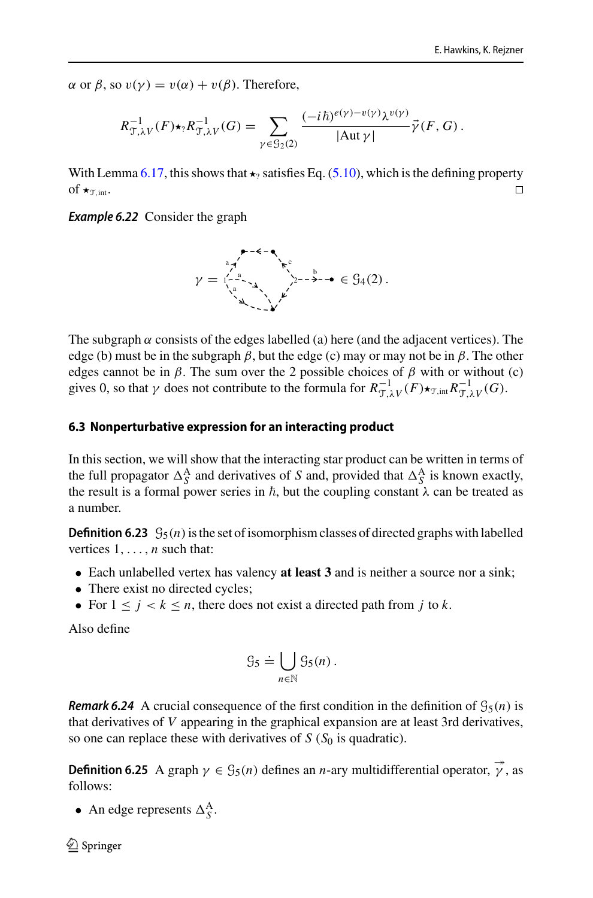$\alpha$  or  $\beta$ , so  $v(\gamma) = v(\alpha) + v(\beta)$ . Therefore,

$$
R_{\mathcal{T},\lambda V}^{-1}(F) \star_? R_{\mathcal{T},\lambda V}^{-1}(G) = \sum_{\gamma \in \mathcal{G}_2(2)} \frac{(-i\hbar)^{e(\gamma)-v(\gamma)} \lambda^{v(\gamma)}}{|\mathrm{Aut}\,\gamma|} \vec{\gamma}(F,G).
$$

With Lemma [6.17,](#page-38-3) this shows that  $\star_2$  satisfies Eq. [\(5.10\)](#page-33-0), which is the defining property of  $\star_{\text{Tr}\text{int}}$ .  $\Box$ 

<span id="page-40-1"></span>**Example 6.22** Consider the graph



The subgraph  $\alpha$  consists of the edges labelled (a) here (and the adjacent vertices). The edge (b) must be in the subgraph  $\beta$ , but the edge (c) may or may not be in  $\beta$ . The other edges cannot be in  $\beta$ . The sum over the 2 possible choices of  $\beta$  with or without (c) gives 0, so that  $\gamma$  does not contribute to the formula for  $R_{\mathcal{T},\lambda V}^{-1}(F) \star_{\mathcal{T},\text{int}} R_{\mathcal{T},\lambda V}^{-1}(G)$ .

### <span id="page-40-0"></span>**6.3 Nonperturbative expression for an interacting product**

In this section, we will show that the interacting star product can be written in terms of the full propagator  $\Delta_S^A$  and derivatives of *S* and, provided that  $\Delta_S^A$  is known exactly, the result is a formal power series in  $\hbar$ , but the coupling constant  $\lambda$  can be treated as a number.

**Definition 6.23**  $\mathcal{G}_5(n)$  is the set of isomorphism classes of directed graphs with labelled vertices 1,..., *n* such that:

- Each unlabelled vertex has valency **at least 3** and is neither a source nor a sink;
- There exist no directed cycles;
- For  $1 \leq j \leq k \leq n$ , there does not exist a directed path from *j* to *k*.

Also define

$$
\mathcal{G}_5 \doteq \bigcup_{n \in \mathbb{N}} \mathcal{G}_5(n) \, .
$$

**Remark 6.24** A crucial consequence of the first condition in the definition of  $\mathcal{G}_5(n)$  is that derivatives of *V* appearing in the graphical expansion are at least 3rd derivatives, so one can replace these with derivatives of  $S(S<sub>0</sub>)$  is quadratic).

**Definition 6.25** A graph  $\gamma \in \mathcal{G}_5(n)$  defines an *n*-ary multidifferential operator,  $\vec{\gamma}$ , as follows:

• An edge represents  $\Delta_S^A$ .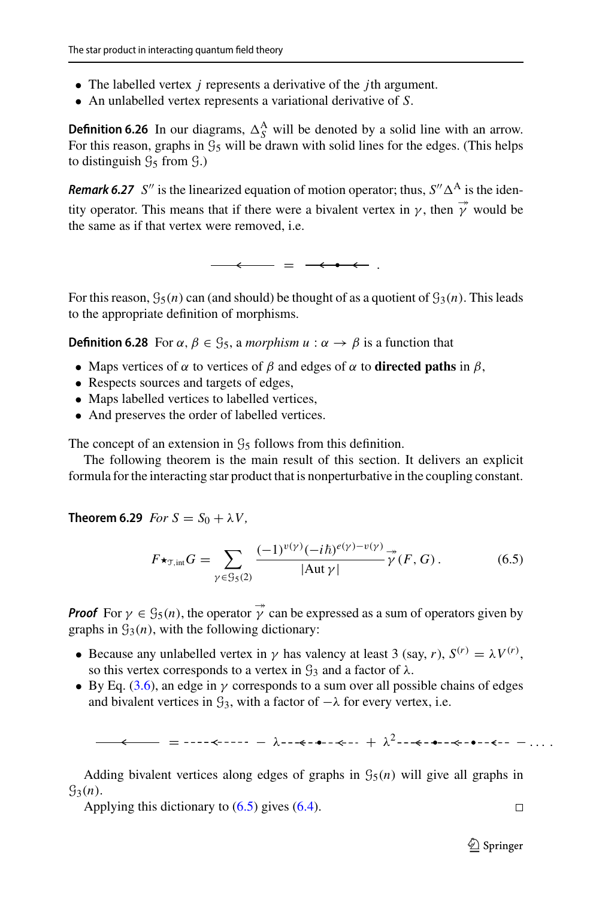- The labelled vertex *j* represents a derivative of the *j*th argument.
- An unlabelled vertex represents a variational derivative of *S*.

**Definition 6.26** In our diagrams,  $\Delta_S^A$  will be denoted by a solid line with an arrow. For this reason, graphs in  $\mathcal{G}_5$  will be drawn with solid lines for the edges. (This helps to distinguish  $\mathcal{G}_5$  from  $\mathcal{G}_1$ .

**Remark 6.27** *S*<sup>*''*</sup> is the linearized equation of motion operator; thus,  $S'' \Delta^A$  is the identity operator. This means that if there were a bivalent vertex in  $\gamma$ , then  $\vec{\gamma}$  would be the same as if that vertex were removed, i.e.

 $-$ 

For this reason,  $\mathcal{G}_5(n)$  can (and should) be thought of as a quotient of  $\mathcal{G}_3(n)$ . This leads to the appropriate definition of morphisms.

**Definition 6.28** For  $\alpha$ ,  $\beta \in \mathcal{G}_5$ , a *morphism*  $u : \alpha \to \beta$  is a function that

- Maps vertices of  $\alpha$  to vertices of  $\beta$  and edges of  $\alpha$  to **directed paths** in  $\beta$ ,
- Respects sources and targets of edges,
- Maps labelled vertices to labelled vertices,
- And preserves the order of labelled vertices.

The concept of an extension in  $\mathcal{G}_5$  follows from this definition.

<span id="page-41-0"></span>The following theorem is the main result of this section. It delivers an explicit formula for the interacting star product that is nonperturbative in the coupling constant.

**Theorem 6.29** *For*  $S = S_0 + \lambda V$ ,

<span id="page-41-1"></span>
$$
F\star_{\mathcal{T},\text{int}} G = \sum_{\gamma \in \mathcal{G}_5(2)} \frac{(-1)^{\nu(\gamma)} (-i\hbar)^{e(\gamma)-\nu(\gamma)}}{|\text{Aut }\gamma|} \stackrel{\twoheadrightarrow}{\gamma} (F,G). \tag{6.5}
$$

**Proof** For  $\gamma \in \mathcal{G}_5(n)$ , the operator  $\vec{\gamma}$  can be expressed as a sum of operators given by graphs in  $\mathcal{G}_3(n)$ , with the following dictionary:

- Because any unlabelled vertex in  $\gamma$  has valency at least 3 (say, *r*),  $S^{(r)} = \lambda V^{(r)}$ , so this vertex corresponds to a vertex in  $\mathcal{G}_3$  and a factor of  $\lambda$ .
- By Eq. [\(3.6\)](#page-10-1), an edge in  $\gamma$  corresponds to a sum over all possible chains of edges and bivalent vertices in  $\mathcal{G}_3$ , with a factor of  $-\lambda$  for every vertex, i.e.

= − λ + λ <sup>2</sup> − ... .

Adding bivalent vertices along edges of graphs in  $\mathcal{G}_5(n)$  will give all graphs in  $\mathcal{G}_3(n)$ .

Applying this dictionary to  $(6.5)$  gives  $(6.4)$ .

 $\Box$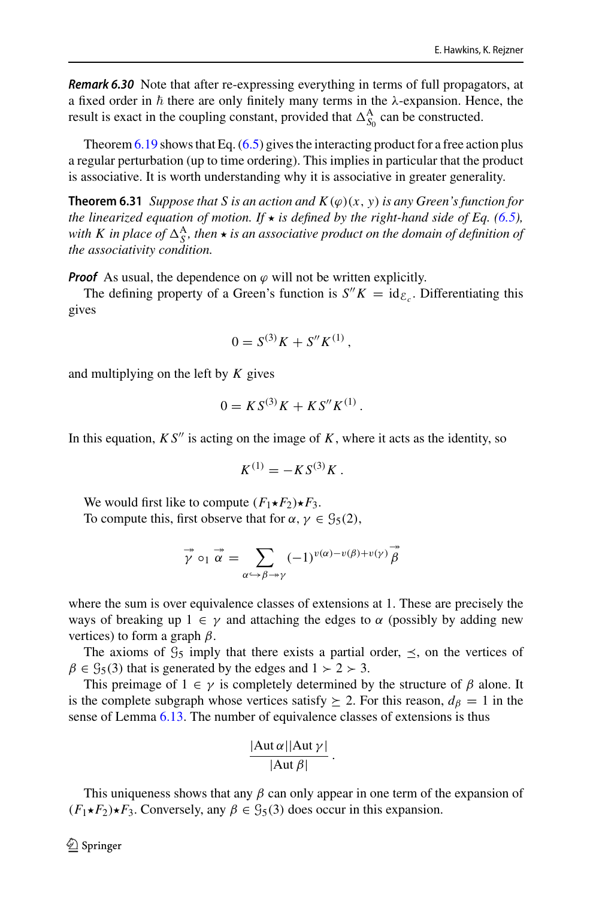**Remark 6.30** Note that after re-expressing everything in terms of full propagators, at a fixed order in  $\hbar$  there are only finitely many terms in the  $\lambda$ -expansion. Hence, the result is exact in the coupling constant, provided that  $\Delta_{S_0}^{\mathcal{A}}$  can be constructed.

Theorem  $6.19$  shows that Eq.  $(6.5)$  gives the interacting product for a free action plus a regular perturbation (up to time ordering). This implies in particular that the product is associative. It is worth understanding why it is associative in greater generality.

**Theorem 6.31** *Suppose that S is an action and*  $K(\varphi)(x, y)$  *is any Green's function for the linearized equation of motion. If*  $\star$  *is defined by the right-hand side of Eq. [\(6.5\)](#page-41-1),* with K in place of  $\Delta_S^A$ , then  $\star$  is an associative product on the domain of definition of *the associativity condition.*

**Proof** As usual, the dependence on  $\varphi$  will not be written explicitly.

The defining property of a Green's function is  $S''K = id_{\mathcal{E}_c}$ . Differentiating this gives

<span id="page-42-0"></span>
$$
0 = S^{(3)}K + S''K^{(1)},
$$

and multiplying on the left by *K* gives

$$
0 = KS^{(3)}K + KS''K^{(1)}.
$$

In this equation,  $KS''$  is acting on the image of  $K$ , where it acts as the identity, so

$$
K^{(1)} = -KS^{(3)}K.
$$

We would first like to compute  $(F_1 \star F_2) \star F_3$ . To compute this, first observe that for  $\alpha$ ,  $\gamma \in \mathcal{G}_5(2)$ ,

$$
\overrightarrow{\gamma} \circ_1 \overrightarrow{\alpha} = \sum_{\alpha \hookrightarrow \beta \to \gamma} (-1)^{v(\alpha) - v(\beta) + v(\gamma)} \overrightarrow{\beta}
$$

where the sum is over equivalence classes of extensions at 1. These are precisely the ways of breaking up  $1 \in \gamma$  and attaching the edges to  $\alpha$  (possibly by adding new vertices) to form a graph  $\beta$ .

The axioms of  $\mathcal{G}_5$  imply that there exists a partial order,  $\leq$ , on the vertices of  $\beta \in \mathcal{G}_5(3)$  that is generated by the edges and  $1 \succ 2 \succ 3$ .

This preimage of  $1 \in \gamma$  is completely determined by the structure of  $\beta$  alone. It is the complete subgraph whose vertices satisfy  $\geq 2$ . For this reason,  $d_{\beta} = 1$  in the sense of Lemma [6.13.](#page-36-1) The number of equivalence classes of extensions is thus

$$
\frac{|\mathrm{Aut}\,\alpha||\mathrm{Aut}\,\gamma|}{|\mathrm{Aut}\,\beta|}.
$$

This uniqueness shows that any  $\beta$  can only appear in one term of the expansion of  $(F_1 \star F_2) \star F_3$ . Conversely, any  $\beta \in \mathcal{G}_5(3)$  does occur in this expansion.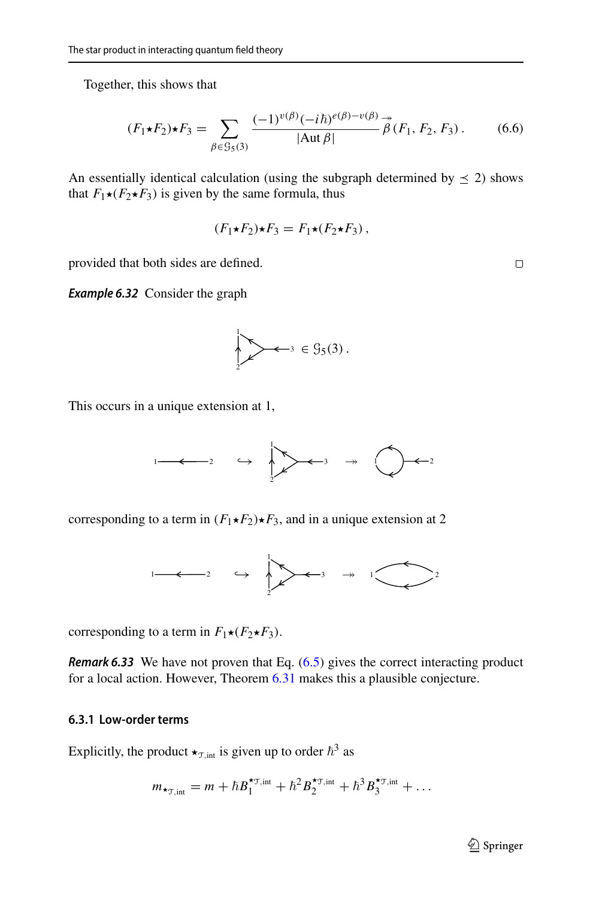Together, this shows that

$$
(F_1 \star F_2) \star F_3 = \sum_{\beta \in \mathcal{G}_5(3)} \frac{(-1)^{v(\beta)} (-i\hbar)^{e(\beta)} - v(\beta)}{|\text{Aut }\beta|} \overset{\to}{\beta} (F_1, F_2, F_3). \tag{6.6}
$$

An essentially identical calculation (using the subgraph determined by  $\leq$  2) shows that  $F_1\star (F_2\star F_3)$  is given by the same formula, thus

$$
(F_1\star F_2)\star F_3 = F_1\star (F_2\star F_3),
$$

provided that both sides are defined.

**Example 6.32** Consider the graph

$$
\bigg\downarrow
$$
  $\left\downarrow$   $\left\downarrow$   $\left\downarrow$   $\left\downarrow$   $\left\downarrow$   $\left\downarrow$   $\left\downarrow$   $\left\downarrow$   $\left\downarrow$   $\left\downarrow$   $\left\downarrow$   $\left\downarrow$   $\left\downarrow$   $\left\downarrow$   $\left\downarrow$   $\left\downarrow$   $\left\downarrow$   $\left\downarrow$   $\left\downarrow$   $\left\downarrow$   $\left\downarrow$   $\left\downarrow$   $\left\downarrow$   $\left\downarrow$   $\left\downarrow$   $\left\downarrow$   $\left\downarrow$   $\left\downarrow$   $\left\downarrow$   $\left\downarrow$   $\left\downarrow$   $\left\downarrow$   $\left\downarrow$   $\left\downarrow$   $\left\downarrow$   $\left\downarrow$   $\left\downarrow$   $\left\downarrow$   $\left\downarrow$   $\left\downarrow$   $\left\downarrow$   $\left\downarrow$   $\left\downarrow$   $\left\downarrow$   $\left\downarrow$   $\left\downarrow$   $\left\downarrow$   $\left\downarrow$   $\left\downarrow$   $\left\downarrow$   $\left\downarrow$   $\left\downarrow$   $\left\downarrow$   $\left\downarrow$   $\left\downarrow$   $\left\downarrow$   $\left\downarrow$   $\left\downarrow$   $\left\downarrow$   $\left\downarrow$   $\left\downarrow$   $\left\downarrow$   $\left\downarrow$   $\left\downarrow$   $\left\downarrow$   $\left\downarrow$   $\left\downarrow$   $\left\downarrow$   $\left\downarrow$   $\left\downarrow$   $\left\downarrow$   $\left\downarrow$   $\left\downarrow$   $\left\downarrow$   $\left\downarrow$  <

This occurs in a unique extension at 1,



corresponding to a term in  $(F_1 \star F_2) \star F_3$ , and in a unique extension at 2



corresponding to a term in  $F_1 \star (F_2 \star F_3)$ .

**Remark 6.33** We have not proven that Eq. [\(6.5\)](#page-41-1) gives the correct interacting product for a local action. However, Theorem [6.31](#page-42-0) makes this a plausible conjecture.

### <span id="page-43-0"></span>**6.3.1 Low-order terms**

Explicitly, the product  $\star_{\text{T,int}}$  is given up to order  $\hbar^3$  as

$$
m_{\star_{\mathcal{T},\text{int}}} = m + \hbar B_1^{\star_{\mathcal{T},\text{int}}} + \hbar^2 B_2^{\star_{\mathcal{T},\text{int}}} + \hbar^3 B_3^{\star_{\mathcal{T},\text{int}}} + \ldots
$$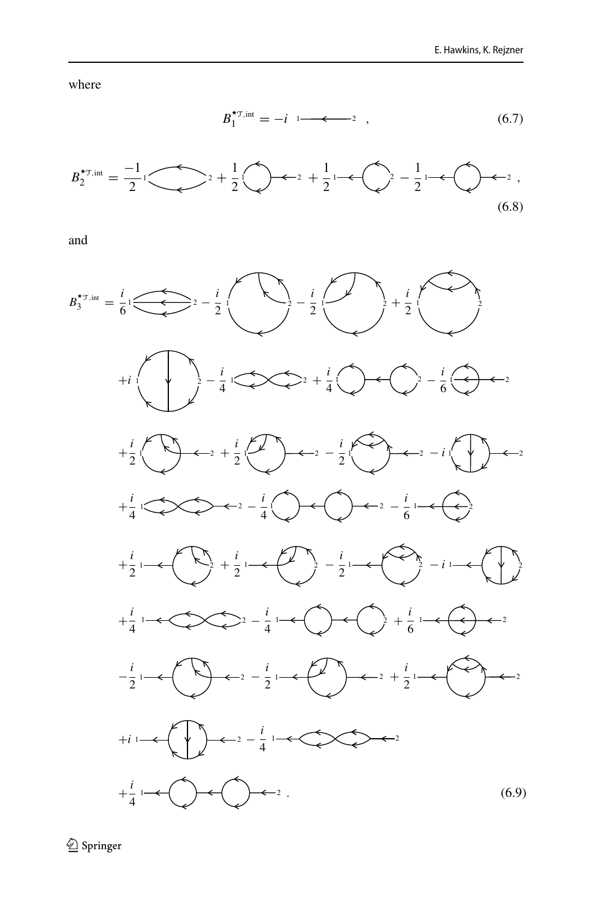where

$$
B_1^{\star_{\mathcal{T},\text{int}}} = -i \quad 1 \quad \text{---} \quad . \tag{6.7}
$$



and



<sup>2</sup> Springer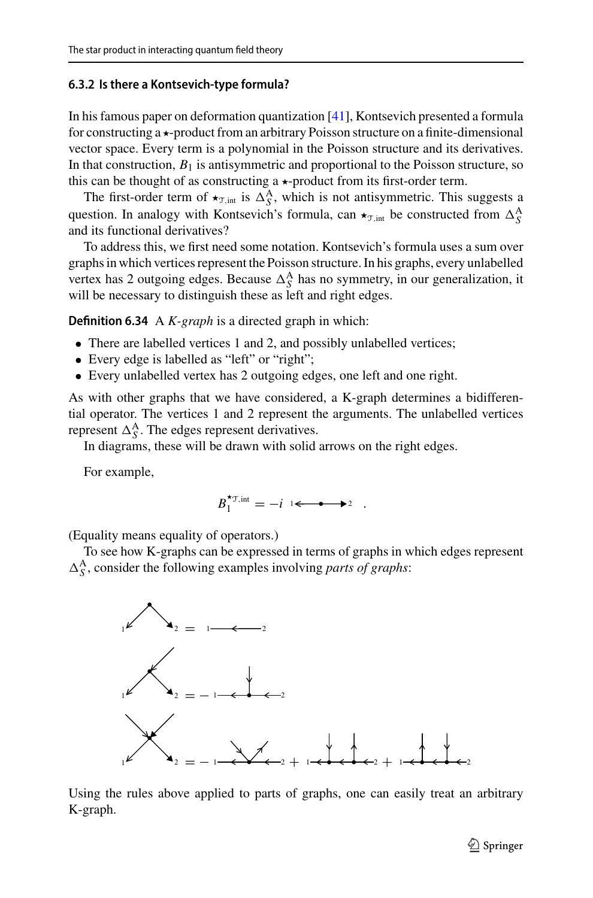#### <span id="page-45-0"></span>**6.3.2 Is there a Kontsevich-type formula?**

In his famous paper on deformation quantization [\[41](#page-57-4)], Kontsevich presented a formula for constructing  $a \star$ -product from an arbitrary Poisson structure on a finite-dimensional vector space. Every term is a polynomial in the Poisson structure and its derivatives. In that construction,  $B_1$  is antisymmetric and proportional to the Poisson structure, so this can be thought of as constructing a  $\star$ -product from its first-order term.

The first-order term of  $\star_{\text{T,int}}$  is  $\Delta_S^A$ , which is not antisymmetric. This suggests a question. In analogy with Kontsevich's formula, can  $\star_{\text{S},\text{int}}$  be constructed from  $\Delta_S^{\text{A}}$ and its functional derivatives?

To address this, we first need some notation. Kontsevich's formula uses a sum over graphs in which vertices represent the Poisson structure. In his graphs, every unlabelled vertex has 2 outgoing edges. Because  $\Delta_S^A$  has no symmetry, in our generalization, it will be necessary to distinguish these as left and right edges.

**Definition 6.34** A *K-graph* is a directed graph in which:

- There are labelled vertices 1 and 2, and possibly unlabelled vertices;
- Every edge is labelled as "left" or "right";
- Every unlabelled vertex has 2 outgoing edges, one left and one right.

As with other graphs that we have considered, a K-graph determines a bidifferential operator. The vertices 1 and 2 represent the arguments. The unlabelled vertices represent  $\Delta_S^A$ . The edges represent derivatives.

In diagrams, these will be drawn with solid arrows on the right edges.

For example,

$$
B_1^{\star_{\mathcal{T},\text{int}}} = -i \quad \longleftarrow \bullet \quad \rightarrow \quad .
$$

(Equality means equality of operators.)

To see how K-graphs can be expressed in terms of graphs in which edges represent  $\Delta_S^A$ , consider the following examples involving *parts of graphs*:



Using the rules above applied to parts of graphs, one can easily treat an arbitrary K-graph.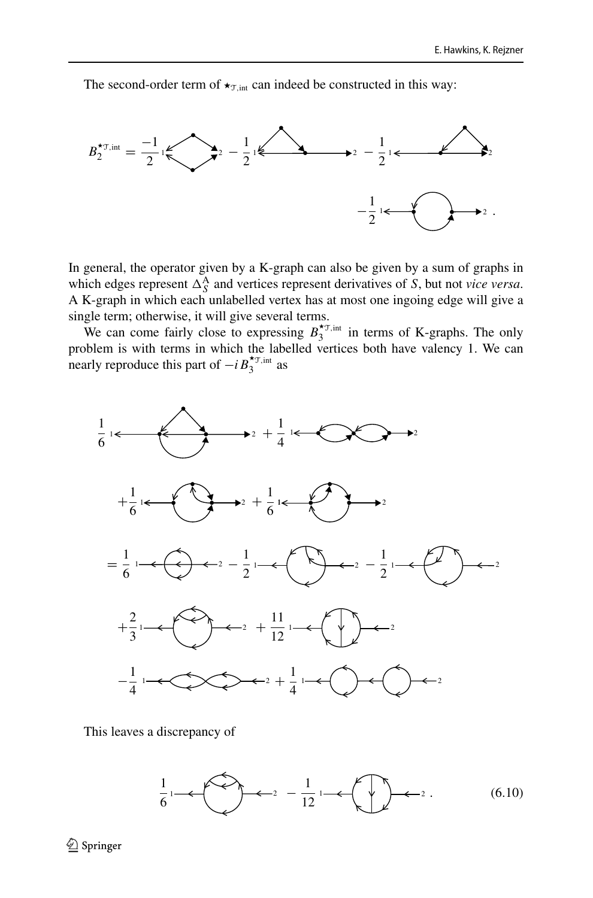The second-order term of  $\star_{\text{T},\text{int}}$  can indeed be constructed in this way:



In general, the operator given by a K-graph can also be given by a sum of graphs in which edges represent  $\Delta_S^A$  and vertices represent derivatives of *S*, but not *vice versa*. A K-graph in which each unlabelled vertex has at most one ingoing edge will give a single term; otherwise, it will give several terms.

We can come fairly close to expressing  $B_3^{\star_{\text{T,int}}}$  $i<sub>3</sub>$ <sup>o</sup>,  $\overline{m}$  in terms of K-graphs. The only problem is with terms in which the labelled vertices both have valency 1. We can nearly reproduce this part of  $-i B_3^{\star_{\text{T,int}}}$  as



This leaves a discrepancy of

<span id="page-46-0"></span>
$$
\frac{1}{6} \leftarrow \leftarrow 2 - \frac{1}{12} \leftarrow \leftarrow 2. \tag{6.10}
$$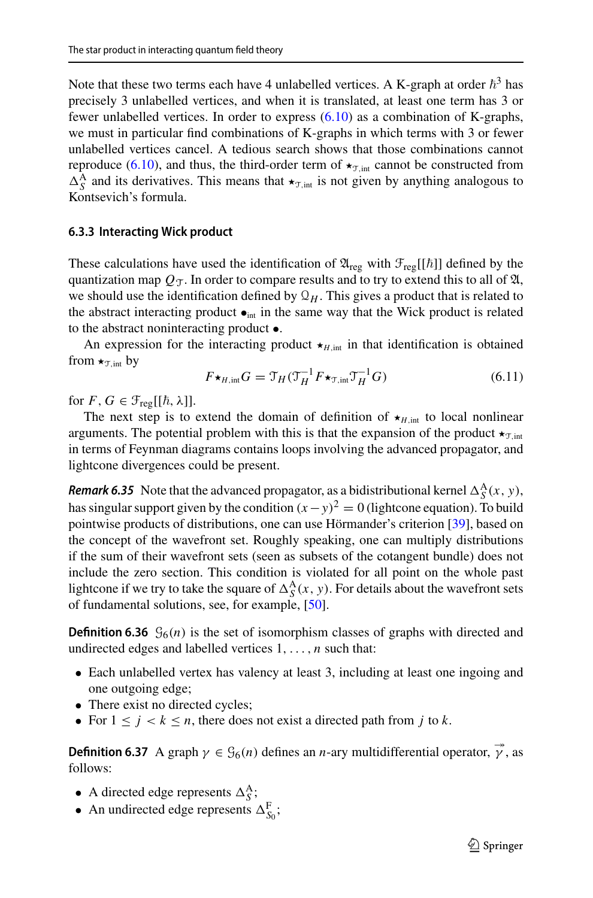Note that these two terms each have 4 unlabelled vertices. A K-graph at order  $\hbar^3$  has precisely 3 unlabelled vertices, and when it is translated, at least one term has 3 or fewer unlabelled vertices. In order to express [\(6.10\)](#page-46-0) as a combination of K-graphs, we must in particular find combinations of K-graphs in which terms with 3 or fewer unlabelled vertices cancel. A tedious search shows that those combinations cannot reproduce [\(6.10\)](#page-46-0), and thus, the third-order term of  $\star_{\text{T,int}}$  cannot be constructed from  $\Delta_S^A$  and its derivatives. This means that  $\star_{\text{S},\text{int}}$  is not given by anything analogous to Kontsevich's formula.

#### <span id="page-47-0"></span>**6.3.3 Interacting Wick product**

These calculations have used the identification of  $\mathfrak{A}_{reg}$  with  $\mathfrak{F}_{reg}[[\hbar]]$  defined by the quantization map  $Q_T$ . In order to compare results and to try to extend this to all of  $\mathfrak{A}$ , we should use the identification defined by  $\mathcal{Q}_H$ . This gives a product that is related to the abstract interacting product  $\bullet_{int}$  in the same way that the Wick product is related to the abstract noninteracting product •.

An expression for the interacting product  $\star$ <sub>*H*,int</sub> in that identification is obtained from  $\star_{\text{T},\text{int}}$  by

$$
F\star_{H,\text{int}} G = \mathfrak{T}_H(\mathfrak{T}_H^{-1} F \star_{\mathfrak{T},\text{int}} \mathfrak{T}_H^{-1} G) \tag{6.11}
$$

for  $F, G \in \mathcal{F}_{reg}[[\hbar, \lambda]].$ 

The next step is to extend the domain of definition of  $\star$ <sub>*H*,int</sub> to local nonlinear arguments. The potential problem with this is that the expansion of the product  $\star_{\text{T,int}}$ in terms of Feynman diagrams contains loops involving the advanced propagator, and lightcone divergences could be present.

**Remark 6.35** Note that the advanced propagator, as a bidistributional kernel  $\Delta_S^{\mathbf{A}}(x, y)$ , has singular support given by the condition  $(x - y)^2 = 0$  (lightcone equation). To build pointwise products of distributions, one can use Hörmander's criterion [\[39](#page-56-27)], based on the concept of the wavefront set. Roughly speaking, one can multiply distributions if the sum of their wavefront sets (seen as subsets of the cotangent bundle) does not include the zero section. This condition is violated for all point on the whole past lightcone if we try to take the square of  $\Delta_S^{\mathcal{A}}(x, y)$ . For details about the wavefront sets of fundamental solutions, see, for example, [\[50](#page-57-11)].

**Definition 6.36**  $\mathcal{G}_6(n)$  is the set of isomorphism classes of graphs with directed and undirected edges and labelled vertices 1,..., *n* such that:

- Each unlabelled vertex has valency at least 3, including at least one ingoing and one outgoing edge;
- There exist no directed cycles;
- For  $1 \leq j < k \leq n$ , there does not exist a directed path from *j* to *k*.

**Definition 6.37** A graph  $\gamma \in \mathcal{G}_6(n)$  defines an *n*-ary multidifferential operator,  $\vec{\gamma}$ , as follows:

- A directed edge represents  $\Delta_S^A$ ;
- An undirected edge represents  $\Delta_{S_0}^{\mathbf{F}}$ ;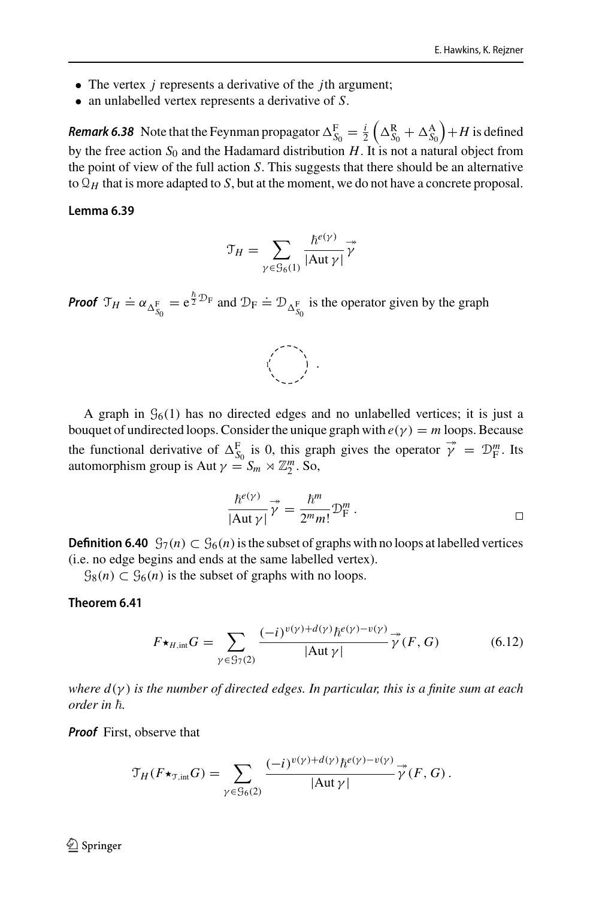- The vertex *j* represents a derivative of the *j*th argument;
- an unlabelled vertex represents a derivative of *S*.

**Remark 6.38** Note that the Feynman propagator  $\Delta_{S_0}^{\text{F}} = \frac{i}{2}$  $\left(\Delta_{S_{0}}^{\text{R}}+\Delta_{S_{0}}^{\text{A}}\right)$  $+H$  is defined by the free action  $S_0$  and the Hadamard distribution  $H$ . It is not a natural object from the point of view of the full action *S*. This suggests that there should be an alternative to  $\mathcal{Q}_H$  that is more adapted to *S*, but at the moment, we do not have a concrete proposal.

#### **Lemma 6.39**

$$
\mathfrak{T}_H = \sum_{\gamma \in \mathfrak{G}_6(1)} \frac{\hbar^{e(\gamma)}}{|\mathrm{Aut}\,\gamma|} \overrightarrow{\gamma}
$$

**Proof**  $\mathcal{T}_H \doteq \alpha_{\Delta_{S_0}^F} = e^{\frac{\hbar}{2}\mathcal{D}_F}$  and  $\mathcal{D}_F \doteq \mathcal{D}_{\Delta_{S_0}^F}$  is the operator given by the graph



A graph in  $\mathcal{G}_6(1)$  has no directed edges and no unlabelled vertices; it is just a bouquet of undirected loops. Consider the unique graph with  $e(\gamma) = m$  loops. Because the functional derivative of  $\Delta_{S_0}^{\mathbf{F}}$  is 0, this graph gives the operator  $\vec{\gamma} = \mathcal{D}_{\mathbf{F}}^m$ . Its automorphism group is Aut  $\gamma = S_m \rtimes \mathbb{Z}_2^m$ . So,

$$
\frac{\hbar^{e(\gamma)}}{|\text{Aut }\gamma|} \vec{\gamma} = \frac{\hbar^m}{2^m m!} \mathcal{D}_{\text{F}}^m .
$$

**Definition 6.40**  $\mathcal{G}_7(n)$  ⊂  $\mathcal{G}_6(n)$  is the subset of graphs with no loops at labelled vertices (i.e. no edge begins and ends at the same labelled vertex).

 $\mathcal{G}_8(n) \subset \mathcal{G}_6(n)$  is the subset of graphs with no loops.

#### <span id="page-48-0"></span>**Theorem 6.41**

$$
F\star_{H,\text{int}} G = \sum_{\gamma \in \mathcal{G}_7(2)} \frac{(-i)^{\nu(\gamma) + d(\gamma)} \hbar^{e(\gamma) - \nu(\gamma)}}{|\text{Aut }\gamma|} \overrightarrow{\gamma}(F, G) \tag{6.12}
$$

*where d*(γ ) *is the number of directed edges. In particular, this is a finite sum at each order in ħ.* 

**Proof** First, observe that

$$
\mathcal{T}_H(F\star_{\mathcal{T},\text{int}}G)=\sum_{\gamma\in\mathcal{G}_6(2)}\frac{(-i)^{v(\gamma)+d(\gamma)}\hbar^{e(\gamma)-v(\gamma)}}{|\text{Aut }\gamma|}\stackrel{\twoheadrightarrow}{\gamma}(F,G).
$$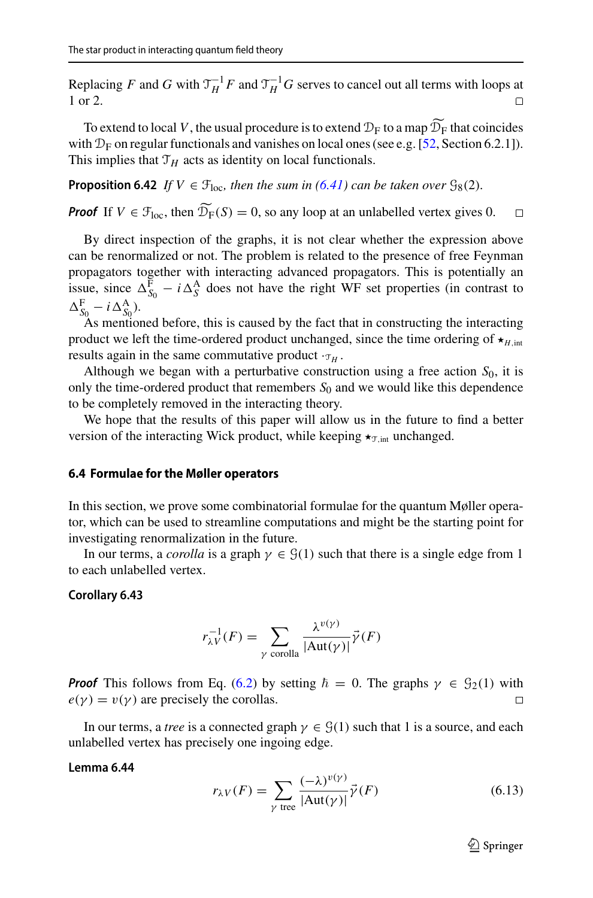Replacing *F* and *G* with  $\mathcal{T}_H^{-1}F$  and  $\mathcal{T}_H^{-1}G$  serves to cancel out all terms with loops at 1 or 2.

To extend to local *V*, the usual procedure is to extend  $\mathcal{D}_F$  to a map  $\widetilde{\mathcal{D}_F}$  that coincides with  $\mathcal{D}_F$  on regular functionals and vanishes on local ones (see e.g. [\[52](#page-57-3), Section 6.2.1]). This implies that  $\mathcal{T}_H$  acts as identity on local functionals.

**Proposition 6.42** *If*  $V \in \mathcal{F}_{loc}$ *, then the sum in* [\(6.41\)](#page-48-0) *can be taken over*  $\mathcal{G}_{8}(2)$ *.* 

**Proof** If  $V \in \mathcal{F}_{\text{loc}}$ , then  $\widetilde{\mathcal{D}_F}(S) = 0$ , so any loop at an unlabelled vertex gives 0.  $\Box$ 

By direct inspection of the graphs, it is not clear whether the expression above can be renormalized or not. The problem is related to the presence of free Feynman propagators together with interacting advanced propagators. This is potentially an issue, since  $\Delta_{S_0}^{\text{F}} - i \Delta_S^{\text{A}}$  does not have the right WF set properties (in contrast to  $\Delta_{S_0}^{\rm F} - i \Delta_{S_0}^{\rm A}$ ).

As mentioned before, this is caused by the fact that in constructing the interacting product we left the time-ordered product unchanged, since the time ordering of  $\star$ <sub>*H*,int</sub> results again in the same commutative product  $\cdot_{\tau_H}$ .

Although we began with a perturbative construction using a free action  $S_0$ , it is only the time-ordered product that remembers  $S_0$  and we would like this dependence to be completely removed in the interacting theory.

We hope that the results of this paper will allow us in the future to find a better version of the interacting Wick product, while keeping  $\star_{\text{T,int}}$  unchanged.

#### <span id="page-49-0"></span>**6.4 Formulae for the Møller operators**

In this section, we prove some combinatorial formulae for the quantum Møller operator, which can be used to streamline computations and might be the starting point for investigating renormalization in the future.

In our terms, a *corolla* is a graph  $\gamma \in \mathcal{G}(1)$  such that there is a single edge from 1 to each unlabelled vertex.

#### **Corollary 6.43**

$$
r_{\lambda V}^{-1}(F) = \sum_{\gamma \text{ corolla}} \frac{\lambda^{v(\gamma)}}{|\text{Aut}(\gamma)|} \vec{\gamma}(F)
$$

**Proof** This follows from Eq. [\(6.2\)](#page-35-3) by setting  $\hbar = 0$ . The graphs  $\gamma \in \mathcal{G}_2(1)$  with  $e(\gamma) = v(\gamma)$  are precisely the corollas.  $\Box$ 

In our terms, a *tree* is a connected graph  $\gamma \in \mathcal{G}(1)$  such that 1 is a source, and each unlabelled vertex has precisely one ingoing edge.

#### **Lemma 6.44**

<span id="page-49-1"></span>
$$
r_{\lambda V}(F) = \sum_{\gamma \text{ tree}} \frac{(-\lambda)^{v(\gamma)}}{|\text{Aut}(\gamma)|} \vec{\gamma}(F) \tag{6.13}
$$

 $\mathcal{D}$  Springer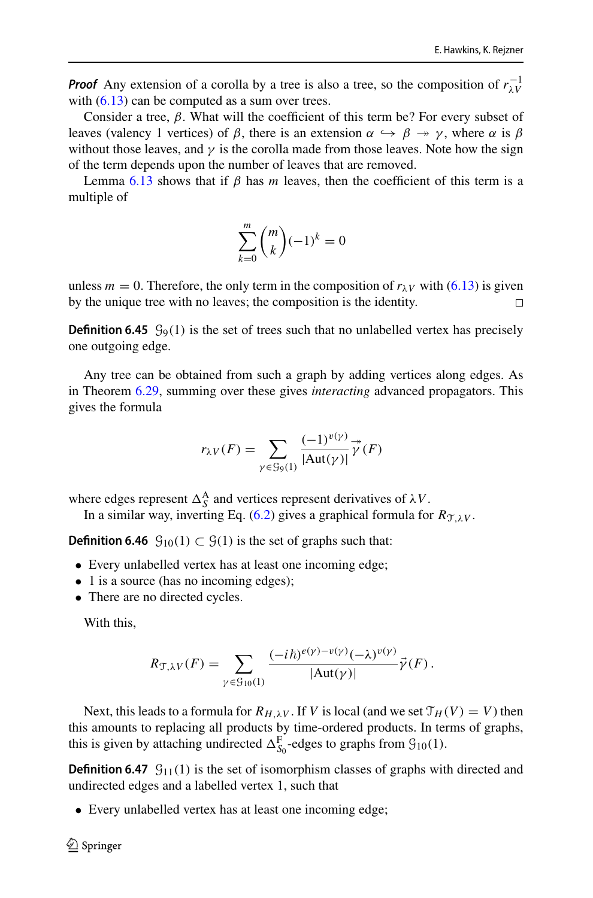**Proof** Any extension of a corolla by a tree is also a tree, so the composition of  $r_{\lambda}^{-1}$ with  $(6.13)$  can be computed as a sum over trees.

Consider a tree,  $\beta$ . What will the coefficient of this term be? For every subset of leaves (valency 1 vertices) of  $\beta$ , there is an extension  $\alpha \hookrightarrow \beta \rightarrow \gamma$ , where  $\alpha$  is  $\beta$ without those leaves, and  $\gamma$  is the corolla made from those leaves. Note how the sign of the term depends upon the number of leaves that are removed.

Lemma [6.13](#page-36-1) shows that if  $\beta$  has *m* leaves, then the coefficient of this term is a multiple of

$$
\sum_{k=0}^{m} \binom{m}{k} (-1)^k = 0
$$

unless  $m = 0$ . Therefore, the only term in the composition of  $r_{\lambda}$ <sub>V</sub> with [\(6.13\)](#page-49-1) is given by the unique tree with no leaves; the composition is the identity.  $\Box$ 

**Definition 6.45**  $\mathcal{G}_{9}(1)$  is the set of trees such that no unlabelled vertex has precisely one outgoing edge.

Any tree can be obtained from such a graph by adding vertices along edges. As in Theorem [6.29,](#page-41-0) summing over these gives *interacting* advanced propagators. This gives the formula

$$
r_{\lambda V}(F) = \sum_{\gamma \in \mathcal{G}_9(1)} \frac{(-1)^{\nu(\gamma)}}{|\text{Aut}(\gamma)|} \overset{\twoheadrightarrow}{\gamma}(F)
$$

where edges represent  $\Delta_S^A$  and vertices represent derivatives of  $\lambda V$ .

In a similar way, inverting Eq. [\(6.2\)](#page-35-3) gives a graphical formula for  $R_{\text{TLV}}$ .

**Definition 6.46**  $\mathcal{G}_{10}(1) \subset \mathcal{G}(1)$  is the set of graphs such that:

- Every unlabelled vertex has at least one incoming edge;
- 1 is a source (has no incoming edges);
- There are no directed cycles.

With this,

$$
R_{\mathcal{T},\lambda V}(F) = \sum_{\gamma \in \mathcal{G}_{10}(1)} \frac{(-i\hbar)^{e(\gamma)-v(\gamma)}(-\lambda)^{v(\gamma)}}{|\text{Aut}(\gamma)|} \vec{\gamma}(F).
$$

Next, this leads to a formula for  $R_{H,\lambda V}$ . If *V* is local (and we set  $\mathcal{T}_H(V) = V$ ) then this amounts to replacing all products by time-ordered products. In terms of graphs, this is given by attaching undirected  $\Delta_{S_0}^{\text{F}}$ -edges to graphs from  $\mathcal{G}_{10}(1)$ .

**Definition 6.47**  $\mathcal{G}_{11}(1)$  is the set of isomorphism classes of graphs with directed and undirected edges and a labelled vertex 1, such that

• Every unlabelled vertex has at least one incoming edge;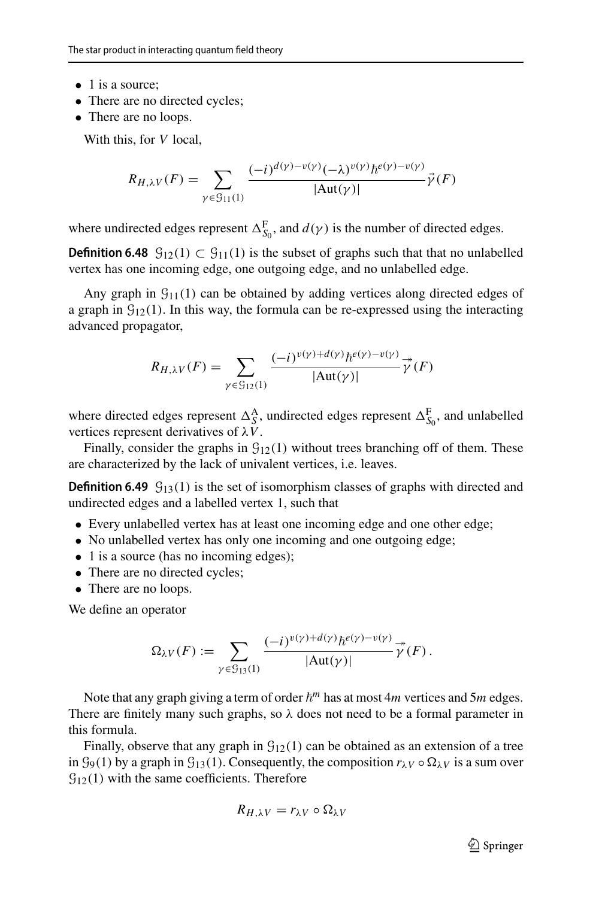- 1 is a source:
- There are no directed cycles;
- There are no loops.

With this, for *V* local,

$$
R_{H,\lambda V}(F) = \sum_{\gamma \in \mathcal{G}_{11}(1)} \frac{(-i)^{d(\gamma) - v(\gamma)} (-\lambda)^{v(\gamma)} \hbar^{e(\gamma) - v(\gamma)}}{|\text{Aut}(\gamma)|} \vec{\gamma}(F)
$$

where undirected edges represent  $\Delta_{S_0}^{\text{F}}$ , and  $d(\gamma)$  is the number of directed edges.

**Definition 6.48**  $\mathcal{G}_{12}(1)$  ⊂  $\mathcal{G}_{11}(1)$  is the subset of graphs such that that no unlabelled vertex has one incoming edge, one outgoing edge, and no unlabelled edge.

Any graph in  $\mathcal{G}_{11}(1)$  can be obtained by adding vertices along directed edges of a graph in  $\mathcal{G}_{12}(1)$ . In this way, the formula can be re-expressed using the interacting advanced propagator,

$$
R_{H,\lambda V}(F) = \sum_{\gamma \in \mathcal{G}_{12}(1)} \frac{(-i)^{v(\gamma) + d(\gamma)} \hbar^{e(\gamma) - v(\gamma)}}{|\text{Aut}(\gamma)|} \vec{\gamma}(F)
$$

where directed edges represent  $\Delta_S^A$ , undirected edges represent  $\Delta_{S_0}^F$ , and unlabelled vertices represent derivatives of λ*V*.

Finally, consider the graphs in  $\mathcal{G}_{12}(1)$  without trees branching off of them. These are characterized by the lack of univalent vertices, i.e. leaves.

**Definition 6.49**  $G_{13}(1)$  is the set of isomorphism classes of graphs with directed and undirected edges and a labelled vertex 1, such that

- Every unlabelled vertex has at least one incoming edge and one other edge;
- No unlabelled vertex has only one incoming and one outgoing edge;
- 1 is a source (has no incoming edges);
- There are no directed cycles;
- There are no loops.

We define an operator

$$
\Omega_{\lambda V}(F) := \sum_{\gamma \in \mathcal{G}_{13}(1)} \frac{(-i)^{\nu(\gamma)+d(\gamma)} \hbar^{e(\gamma)-\nu(\gamma)}}{|\text{Aut}(\gamma)|} \overrightarrow{\gamma}(F).
$$

Note that any graph giving a term of order  $\hbar^m$  has at most  $4m$  vertices and  $5m$  edges. There are finitely many such graphs, so  $\lambda$  does not need to be a formal parameter in this formula.

Finally, observe that any graph in  $\mathcal{G}_{12}(1)$  can be obtained as an extension of a tree in  $\mathcal{G}_9(1)$  by a graph in  $\mathcal{G}_{13}(1)$ . Consequently, the composition  $r_{\lambda V} \circ \Omega_{\lambda V}$  is a sum over  $\mathcal{G}_{12}(1)$  with the same coefficients. Therefore

$$
R_{H,\lambda V}=r_{\lambda V}\circ\Omega_{\lambda V}
$$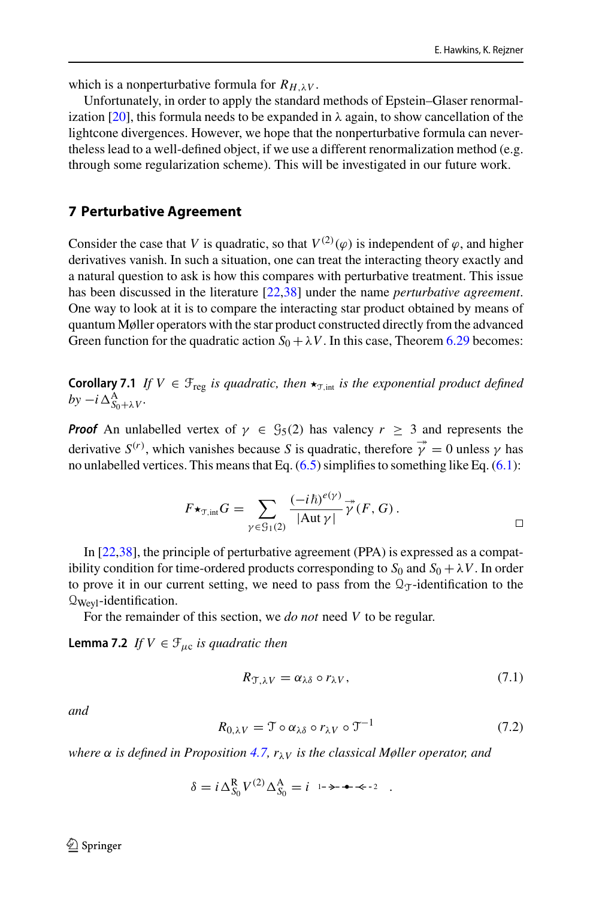which is a nonperturbative formula for  $R_{H\lambda}V$ .

Unfortunately, in order to apply the standard methods of Epstein–Glaser renormal-ization [\[20](#page-56-12)], this formula needs to be expanded in  $\lambda$  again, to show cancellation of the lightcone divergences. However, we hope that the nonperturbative formula can nevertheless lead to a well-defined object, if we use a different renormalization method (e.g. through some regularization scheme). This will be investigated in our future work.

### <span id="page-52-0"></span>**7 Perturbative Agreement**

Consider the case that *V* is quadratic, so that  $V^{(2)}(\varphi)$  is independent of  $\varphi$ , and higher derivatives vanish. In such a situation, one can treat the interacting theory exactly and a natural question to ask is how this compares with perturbative treatment. This issue has been discussed in the literature [\[22](#page-56-25)[,38](#page-56-28)] under the name *perturbative agreement*. One way to look at it is to compare the interacting star product obtained by means of quantum Møller operators with the star product constructed directly from the advanced Green function for the quadratic action  $S_0 + \lambda V$ . In this case, Theorem [6.29](#page-41-0) becomes:

**Corollary 7.1** *If*  $V \in \mathcal{F}_{\text{reg}}$  *is quadratic, then*  $\star_{\mathcal{T},\text{int}}$  *is the exponential product defined*  $by -i\Delta_{S_0+\lambda V}^{\rm A}.$ 

**Proof** An unlabelled vertex of  $\gamma \in \mathcal{G}_5(2)$  has valency  $r \geq 3$  and represents the derivative  $S^{(r)}$ , which vanishes because *S* is quadratic, therefore  $\vec{\gamma} = 0$  unless  $\gamma$  has no unlabelled vertices. This means that Eq.  $(6.5)$  simplifies to something like Eq.  $(6.1)$ :

$$
F\star_{\mathfrak{T},\mathrm{int}}G=\sum_{\gamma\in\mathfrak{S}_1(2)}\frac{(-i\hbar)^{e(\gamma)}}{|\mathrm{Aut}\,\gamma|}\overset{\twoheadrightarrow}{\gamma}(F,G).
$$

In [\[22](#page-56-25)[,38](#page-56-28)], the principle of perturbative agreement (PPA) is expressed as a compatibility condition for time-ordered products corresponding to  $S_0$  and  $S_0 + \lambda V$ . In order to prove it in our current setting, we need to pass from the  $\mathcal{Q}_\mathcal{T}$ -identification to the  $Q_{Wev1}$ -identification.

For the remainder of this section, we *do not* need *V* to be regular.

**Lemma 7.2** *If*  $V \in \mathcal{F}_{\mu c}$  *is quadratic then* 

<span id="page-52-1"></span>
$$
R_{\mathcal{T},\lambda V} = \alpha_{\lambda \delta} \circ r_{\lambda V},\tag{7.1}
$$

*and*

<span id="page-52-2"></span>
$$
R_{0,\lambda V} = \mathcal{T} \circ \alpha_{\lambda \delta} \circ r_{\lambda V} \circ \mathcal{T}^{-1} \tag{7.2}
$$

*where* α *is defined in Proposition [4.7,](#page-15-1) r*λ*<sup>V</sup> is the classical Møller operator, and*

$$
\delta = i \Delta_{S_0}^{\mathbf{R}} V^{(2)} \Delta_{S_0}^{\mathbf{A}} = i \quad \mapsto \bullet \bullet \cdot 2 \quad .
$$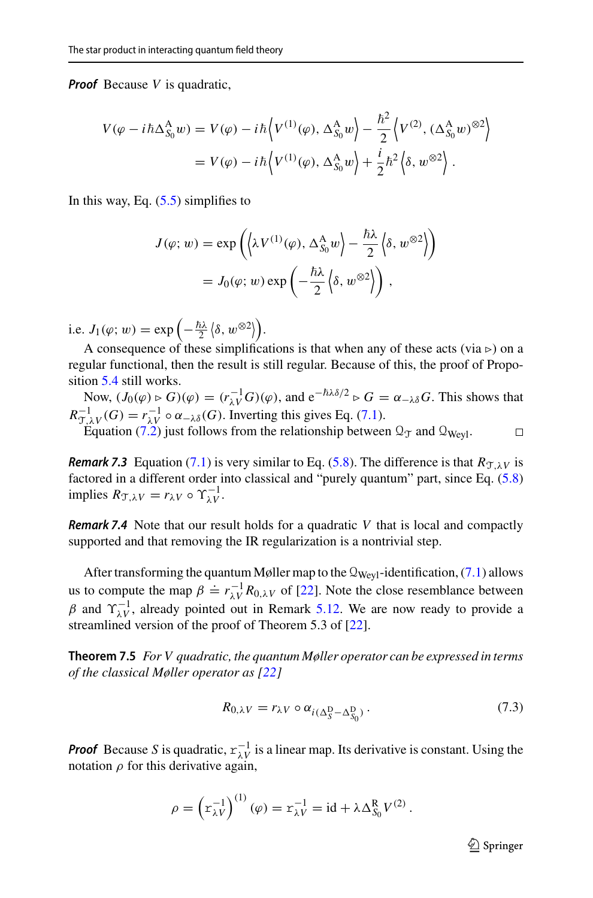**Proof** Because *V* is quadratic,

$$
V(\varphi - i\hbar \Delta_{S_0}^A w) = V(\varphi) - i\hbar \left\langle V^{(1)}(\varphi), \Delta_{S_0}^A w \right\rangle - \frac{\hbar^2}{2} \left\langle V^{(2)}, (\Delta_{S_0}^A w)^{\otimes 2} \right\rangle
$$
  
=  $V(\varphi) - i\hbar \left\langle V^{(1)}(\varphi), \Delta_{S_0}^A w \right\rangle + \frac{i}{2} \hbar^2 \left\langle \delta, w^{\otimes 2} \right\rangle.$ 

In this way, Eq.  $(5.5)$  simplifies to

$$
J(\varphi; w) = \exp\left(\langle \lambda V^{(1)}(\varphi), \Delta_{S_0}^{\mathcal{A}} w \rangle - \frac{\hbar \lambda}{2} \langle \delta, w^{\otimes 2} \rangle \right)
$$
  
=  $J_0(\varphi; w) \exp\left(-\frac{\hbar \lambda}{2} \langle \delta, w^{\otimes 2} \rangle\right),$ 

i.e.  $J_1(\varphi; w) = \exp\left(-\frac{\hbar\lambda}{2} \langle \delta, w^{\otimes 2} \rangle\right)$ .

A consequence of these simplifications is that when any of these acts (via ⊳) on a regular functional, then the result is still regular. Because of this, the proof of Proposition [5.4](#page-28-1) still works.

Now,  $(J_0(\varphi) \triangleright G)(\varphi) = (r_{\lambda V}^{-1}G)(\varphi)$ , and  $e^{-\hbar \lambda \delta/2} \triangleright G = \alpha_{-\lambda \delta} G$ . This shows that  $R_{\mathcal{T},\lambda V}^{-1}(G) = r_{\lambda V}^{-1} \circ \alpha_{-\lambda \delta}(G)$ . Inverting this gives Eq. [\(7.1\)](#page-52-1).

Equation [\(7.2\)](#page-52-2) just follows from the relationship between  $\mathcal{Q}_T$  and  $\mathcal{Q}_{Weyl}$ .  $\Box$ 

**Remark 7.3** Equation [\(7.1\)](#page-52-1) is very similar to Eq. [\(5.8\)](#page-32-1). The difference is that  $R_{T\lambda V}$  is factored in a different order into classical and "purely quantum" part, since Eq. [\(5.8\)](#page-32-1) implies  $R_{\mathcal{T},\lambda V} = r_{\lambda V} \circ \Upsilon_{\lambda V}^{-1}$ .

**Remark 7.4** Note that our result holds for a quadratic *V* that is local and compactly supported and that removing the IR regularization is a nontrivial step.

After transforming the quantum Møller map to the  $\mathbb{Q}_{Weyl}$ -identification, [\(7.1\)](#page-52-1) allows us to compute the map  $\beta = r_{\lambda V}^{-1} R_{0,\lambda V}$  of [\[22\]](#page-56-25). Note the close resemblance between  $β$  and  $γ_{λV}^{-1}$ , already pointed out in Remark [5.12.](#page-32-2) We are now ready to provide a streamlined version of the proof of Theorem 5.3 of [\[22](#page-56-25)].

**Theorem 7.5** *For V quadratic, the quantum Møller operator can be expressed in terms of the classical Møller operator as [\[22](#page-56-25)]*

<span id="page-53-0"></span>
$$
R_{0,\lambda V} = r_{\lambda V} \circ \alpha_{i(\Delta_S^{\mathcal{D}} - \Delta_{S_0}^{\mathcal{D}})}.
$$
\n
$$
(7.3)
$$

**Proof** Because *S* is quadratic,  $r_{\lambda V}^{-1}$  is a linear map. Its derivative is constant. Using the notation  $\rho$  for this derivative again,

$$
\rho = \left( r_{\lambda V}^{-1} \right)^{(1)} (\varphi) = r_{\lambda V}^{-1} = id + \lambda \Delta_{S_0}^{R} V^{(2)}.
$$

 $\mathcal{D}$  Springer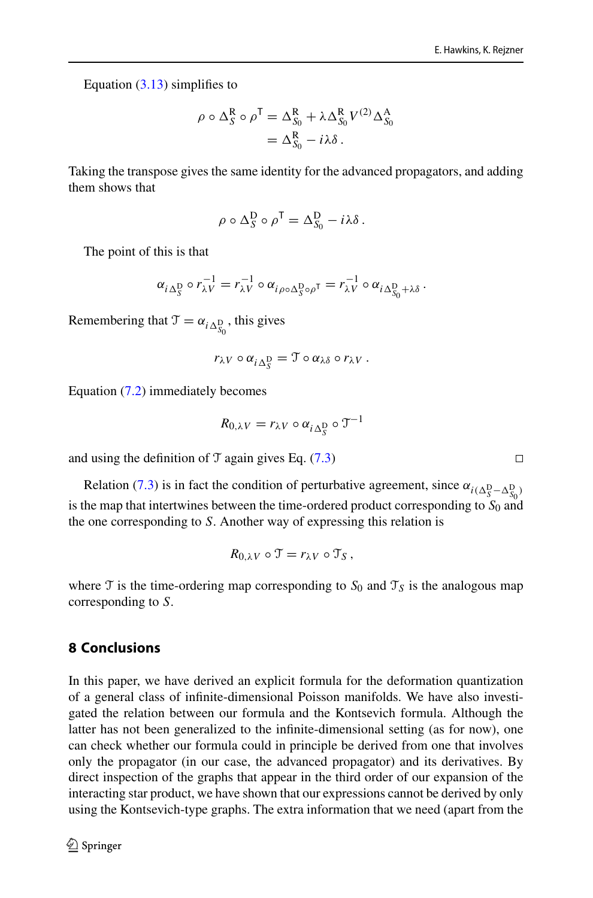Equation [\(3.13\)](#page-12-1) simplifies to

$$
\rho \circ \Delta_S^R \circ \rho^T = \Delta_{S_0}^R + \lambda \Delta_{S_0}^R V^{(2)} \Delta_{S_0}^A
$$
  
=  $\Delta_{S_0}^R - i\lambda \delta$ .

Taking the transpose gives the same identity for the advanced propagators, and adding them shows that

$$
\rho \circ \Delta_S^D \circ \rho^T = \Delta_{S_0}^D - i\lambda \delta.
$$

The point of this is that

$$
\alpha_{i\Delta_S^D} \circ r_{\lambda V}^{-1} = r_{\lambda V}^{-1} \circ \alpha_{i\rho \circ \Delta_S^D \circ \rho^T} = r_{\lambda V}^{-1} \circ \alpha_{i\Delta_{S_0}^D + \lambda \delta}.
$$

Remembering that  $\mathcal{T} = \alpha_{i \Delta_{S_0}^D}$ , this gives

$$
r_{\lambda V} \circ \alpha_{i \Delta_S^{\mathcal{D}}} = \mathcal{T} \circ \alpha_{\lambda \delta} \circ r_{\lambda V} .
$$

Equation [\(7.2\)](#page-52-2) immediately becomes

$$
R_{0,\lambda V} = r_{\lambda V} \circ \alpha_{i \Delta_S^{\mathcal{D}}} \circ \mathcal{T}^{-1}
$$

and using the definition of  $\mathcal T$  again gives Eq. [\(7.3\)](#page-53-0)

Relation [\(7.3\)](#page-53-0) is in fact the condition of perturbative agreement, since  $\alpha_{i(\Delta_{S}^{\text{D}} - \Delta_{S_0}^{\text{D}})}$ is the map that intertwines between the time-ordered product corresponding to  $S_0$  and the one corresponding to *S*. Another way of expressing this relation is

$$
R_{0,\lambda V} \circ \mathcal{T} = r_{\lambda V} \circ \mathcal{T}_S,
$$

where T is the time-ordering map corresponding to  $S_0$  and  $T<sub>S</sub>$  is the analogous map corresponding to *S*.

## <span id="page-54-0"></span>**8 Conclusions**

In this paper, we have derived an explicit formula for the deformation quantization of a general class of infinite-dimensional Poisson manifolds. We have also investigated the relation between our formula and the Kontsevich formula. Although the latter has not been generalized to the infinite-dimensional setting (as for now), one can check whether our formula could in principle be derived from one that involves only the propagator (in our case, the advanced propagator) and its derivatives. By direct inspection of the graphs that appear in the third order of our expansion of the interacting star product, we have shown that our expressions cannot be derived by only using the Kontsevich-type graphs. The extra information that we need (apart from the

 $\Box$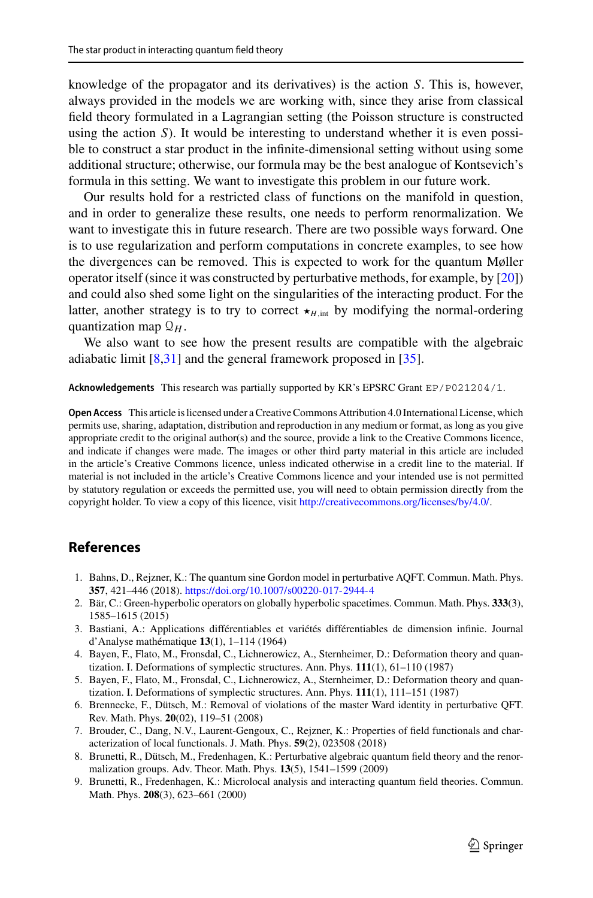knowledge of the propagator and its derivatives) is the action *S*. This is, however, always provided in the models we are working with, since they arise from classical field theory formulated in a Lagrangian setting (the Poisson structure is constructed using the action *S*). It would be interesting to understand whether it is even possible to construct a star product in the infinite-dimensional setting without using some additional structure; otherwise, our formula may be the best analogue of Kontsevich's formula in this setting. We want to investigate this problem in our future work.

Our results hold for a restricted class of functions on the manifold in question, and in order to generalize these results, one needs to perform renormalization. We want to investigate this in future research. There are two possible ways forward. One is to use regularization and perform computations in concrete examples, to see how the divergences can be removed. This is expected to work for the quantum Møller operator itself (since it was constructed by perturbative methods, for example, by [\[20](#page-56-12)]) and could also shed some light on the singularities of the interacting product. For the latter, another strategy is to try to correct  $\star$ <sub>*H*,int</sub> by modifying the normal-ordering quantization map  $\mathcal{Q}_H$ .

We also want to see how the present results are compatible with the algebraic adiabatic limit [\[8](#page-55-1)[,31](#page-56-29)] and the general framework proposed in [\[35\]](#page-56-24).

**Acknowledgements** This research was partially supported by KR's EPSRC Grant EP/P021204/1.

**Open Access** This article is licensed under a Creative Commons Attribution 4.0 International License, which permits use, sharing, adaptation, distribution and reproduction in any medium or format, as long as you give appropriate credit to the original author(s) and the source, provide a link to the Creative Commons licence, and indicate if changes were made. The images or other third party material in this article are included in the article's Creative Commons licence, unless indicated otherwise in a credit line to the material. If material is not included in the article's Creative Commons licence and your intended use is not permitted by statutory regulation or exceeds the permitted use, you will need to obtain permission directly from the copyright holder. To view a copy of this licence, visit [http://creativecommons.org/licenses/by/4.0/.](http://creativecommons.org/licenses/by/4.0/)

### <span id="page-55-0"></span>**References**

- <span id="page-55-4"></span>1. Bahns, D., Rejzner, K.: The quantum sine Gordon model in perturbative AQFT. Commun. Math. Phys. **357**, 421–446 (2018). <https://doi.org/10.1007/s00220-017-2944-4>
- <span id="page-55-8"></span>2. Bär, C.: Green-hyperbolic operators on globally hyperbolic spacetimes. Commun. Math. Phys. **333**(3), 1585–1615 (2015)
- <span id="page-55-6"></span>3. Bastiani, A.: Applications différentiables et variétés différentiables de dimension infinie. Journal d'Analyse mathématique **13**(1), 1–114 (1964)
- <span id="page-55-2"></span>4. Bayen, F., Flato, M., Fronsdal, C., Lichnerowicz, A., Sternheimer, D.: Deformation theory and quantization. I. Deformations of symplectic structures. Ann. Phys. **111**(1), 61–110 (1987)
- <span id="page-55-3"></span>5. Bayen, F., Flato, M., Fronsdal, C., Lichnerowicz, A., Sternheimer, D.: Deformation theory and quantization. I. Deformations of symplectic structures. Ann. Phys. **111**(1), 111–151 (1987)
- <span id="page-55-5"></span>6. Brennecke, F., Dütsch, M.: Removal of violations of the master Ward identity in perturbative QFT. Rev. Math. Phys. **20**(02), 119–51 (2008)
- <span id="page-55-7"></span>7. Brouder, C., Dang, N.V., Laurent-Gengoux, C., Rejzner, K.: Properties of field functionals and characterization of local functionals. J. Math. Phys. **59**(2), 023508 (2018)
- <span id="page-55-1"></span>8. Brunetti, R., Dütsch, M., Fredenhagen, K.: Perturbative algebraic quantum field theory and the renormalization groups. Adv. Theor. Math. Phys. **13**(5), 1541–1599 (2009)
- <span id="page-55-9"></span>9. Brunetti, R., Fredenhagen, K.: Microlocal analysis and interacting quantum field theories. Commun. Math. Phys. **208**(3), 623–661 (2000)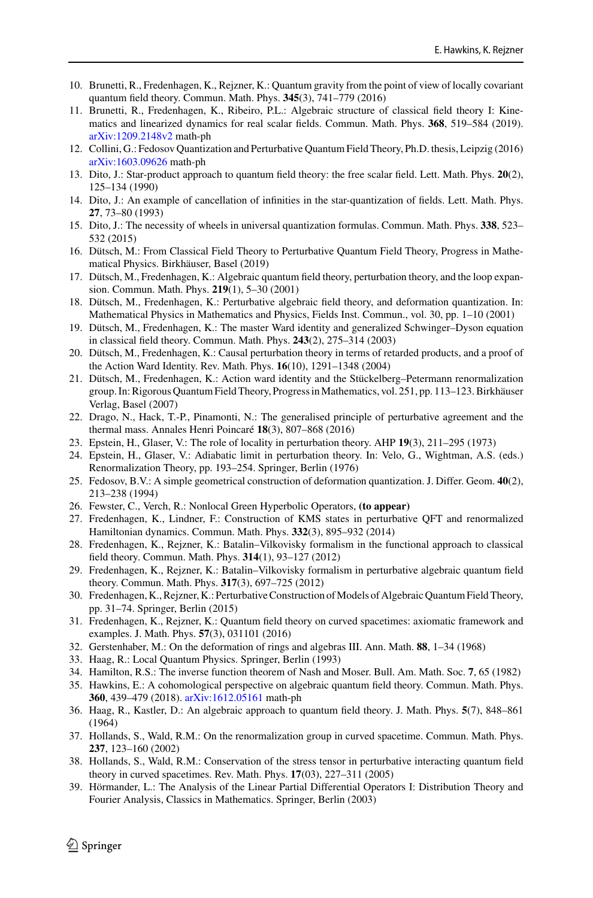- <span id="page-56-15"></span>10. Brunetti, R., Fredenhagen, K., Rejzner, K.: Quantum gravity from the point of view of locally covariant quantum field theory. Commun. Math. Phys. **345**(3), 741–779 (2016)
- <span id="page-56-20"></span>11. Brunetti, R., Fredenhagen, K., Ribeiro, P.L.: Algebraic structure of classical field theory I: Kinematics and linearized dynamics for real scalar fields. Commun. Math. Phys. **368**, 519–584 (2019). [arXiv:1209.2148v2](http://arxiv.org/abs/1209.2148v2) math-ph
- <span id="page-56-10"></span>12. Collini, G.: Fedosov Quantization and Perturbative Quantum Field Theory, Ph.D. thesis, Leipzig (2016) [arXiv:1603.09626](http://arxiv.org/abs/1603.09626) math-ph
- <span id="page-56-7"></span>13. Dito, J.: Star-product approach to quantum field theory: the free scalar field. Lett. Math. Phys. **20**(2), 125–134 (1990)
- <span id="page-56-8"></span>14. Dito, J.: An example of cancellation of infinities in the star-quantization of fields. Lett. Math. Phys. **27**, 73–80 (1993)
- <span id="page-56-14"></span>15. Dito, J.: The necessity of wheels in universal quantization formulas. Commun. Math. Phys. **338**, 523– 532 (2015)
- <span id="page-56-6"></span>16. Dütsch, M.: From Classical Field Theory to Perturbative Quantum Field Theory, Progress in Mathematical Physics. Birkhäuser, Basel (2019)
- <span id="page-56-2"></span>17. Dütsch, M., Fredenhagen, K.: Algebraic quantum field theory, perturbation theory, and the loop expansion. Commun. Math. Phys. **219**(1), 5–30 (2001)
- <span id="page-56-11"></span>18. Dütsch, M., Fredenhagen, K.: Perturbative algebraic field theory, and deformation quantization. In: Mathematical Physics in Mathematics and Physics, Fields Inst. Commun., vol. 30, pp. 1–10 (2001)
- <span id="page-56-17"></span>19. Dütsch, M., Fredenhagen, K.: The master Ward identity and generalized Schwinger–Dyson equation in classical field theory. Commun. Math. Phys. **243**(2), 275–314 (2003)
- <span id="page-56-12"></span>20. Dütsch, M., Fredenhagen, K.: Causal perturbation theory in terms of retarded products, and a proof of the Action Ward Identity. Rev. Math. Phys. **16**(10), 1291–1348 (2004)
- <span id="page-56-3"></span>21. Dütsch, M., Fredenhagen, K.: Action ward identity and the Stückelberg–Petermann renormalization group. In: Rigorous Quantum Field Theory, Progress in Mathematics, vol. 251, pp. 113–123. Birkhäuser Verlag, Basel (2007)
- <span id="page-56-25"></span>22. Drago, N., Hack, T.-P., Pinamonti, N.: The generalised principle of perturbative agreement and the thermal mass. Annales Henri Poincaré **18**(3), 807–868 (2016)
- <span id="page-56-13"></span>23. Epstein, H., Glaser, V.: The role of locality in perturbation theory. AHP **19**(3), 211–295 (1973)
- <span id="page-56-19"></span>24. Epstein, H., Glaser, V.: Adiabatic limit in perturbation theory. In: Velo, G., Wightman, A.S. (eds.) Renormalization Theory, pp. 193–254. Springer, Berlin (1976)
- <span id="page-56-9"></span>25. Fedosov, B.V.: A simple geometrical construction of deformation quantization. J. Differ. Geom. **40**(2), 213–238 (1994)
- <span id="page-56-16"></span>26. Fewster, C., Verch, R.: Nonlocal Green Hyperbolic Operators, **(to appear)**
- <span id="page-56-26"></span>27. Fredenhagen, K., Lindner, F.: Construction of KMS states in perturbative QFT and renormalized Hamiltonian dynamics. Commun. Math. Phys. **332**(3), 895–932 (2014)
- <span id="page-56-4"></span>28. Fredenhagen, K., Rejzner, K.: Batalin–Vilkovisky formalism in the functional approach to classical field theory. Commun. Math. Phys. **314**(1), 93–127 (2012)
- <span id="page-56-5"></span>29. Fredenhagen, K., Rejzner, K.: Batalin–Vilkovisky formalism in perturbative algebraic quantum field theory. Commun. Math. Phys. **317**(3), 697–725 (2012)
- <span id="page-56-23"></span>30. Fredenhagen, K., Rejzner, K.: Perturbative Construction of Models of Algebraic Quantum Field Theory, pp. 31–74. Springer, Berlin (2015)
- <span id="page-56-29"></span>31. Fredenhagen, K., Rejzner, K.: Quantum field theory on curved spacetimes: axiomatic framework and examples. J. Math. Phys. **57**(3), 031101 (2016)
- <span id="page-56-21"></span>32. Gerstenhaber, M.: On the deformation of rings and algebras III. Ann. Math. **88**, 1–34 (1968)
- <span id="page-56-0"></span>33. Haag, R.: Local Quantum Physics. Springer, Berlin (1993)
- <span id="page-56-18"></span>34. Hamilton, R.S.: The inverse function theorem of Nash and Moser. Bull. Am. Math. Soc. **7**, 65 (1982)
- <span id="page-56-24"></span>35. Hawkins, E.: A cohomological perspective on algebraic quantum field theory. Commun. Math. Phys. **360**, 439–479 (2018). [arXiv:1612.05161](http://arxiv.org/abs/1612.05161) math-ph
- <span id="page-56-1"></span>36. Haag, R., Kastler, D.: An algebraic approach to quantum field theory. J. Math. Phys. **5**(7), 848–861 (1964)
- <span id="page-56-22"></span>37. Hollands, S., Wald, R.M.: On the renormalization group in curved spacetime. Commun. Math. Phys. **237**, 123–160 (2002)
- <span id="page-56-28"></span>38. Hollands, S., Wald, R.M.: Conservation of the stress tensor in perturbative interacting quantum field theory in curved spacetimes. Rev. Math. Phys. **17**(03), 227–311 (2005)
- <span id="page-56-27"></span>39. Hörmander, L.: The Analysis of the Linear Partial Differential Operators I: Distribution Theory and Fourier Analysis, Classics in Mathematics. Springer, Berlin (2003)